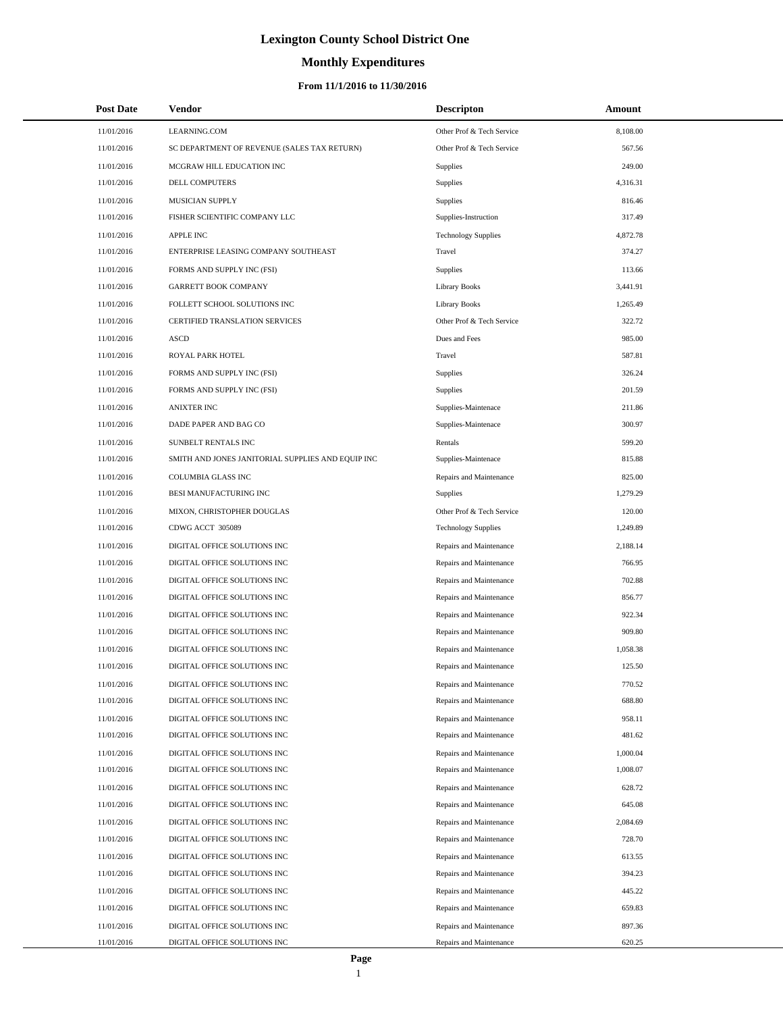# **Monthly Expenditures**

### **From 11/1/2016 to 11/30/2016**

| <b>Post Date</b> | <b>Vendor</b>                                     | <b>Descripton</b>          | Amount   |
|------------------|---------------------------------------------------|----------------------------|----------|
| 11/01/2016       | LEARNING.COM                                      | Other Prof & Tech Service  | 8,108.00 |
| 11/01/2016       | SC DEPARTMENT OF REVENUE (SALES TAX RETURN)       | Other Prof & Tech Service  | 567.56   |
| 11/01/2016       | MCGRAW HILL EDUCATION INC                         | <b>Supplies</b>            | 249.00   |
| 11/01/2016       | DELL COMPUTERS                                    | Supplies                   | 4,316.31 |
| 11/01/2016       | MUSICIAN SUPPLY                                   | Supplies                   | 816.46   |
| 11/01/2016       | FISHER SCIENTIFIC COMPANY LLC                     | Supplies-Instruction       | 317.49   |
| 11/01/2016       | <b>APPLE INC</b>                                  | <b>Technology Supplies</b> | 4,872.78 |
| 11/01/2016       | ENTERPRISE LEASING COMPANY SOUTHEAST              | Travel                     | 374.27   |
| 11/01/2016       | FORMS AND SUPPLY INC (FSI)                        | Supplies                   | 113.66   |
| 11/01/2016       | <b>GARRETT BOOK COMPANY</b>                       | <b>Library Books</b>       | 3,441.91 |
| 11/01/2016       | FOLLETT SCHOOL SOLUTIONS INC                      | <b>Library Books</b>       | 1,265.49 |
| 11/01/2016       | CERTIFIED TRANSLATION SERVICES                    | Other Prof & Tech Service  | 322.72   |
| 11/01/2016       | <b>ASCD</b>                                       | Dues and Fees              | 985.00   |
| 11/01/2016       | ROYAL PARK HOTEL                                  | Travel                     | 587.81   |
| 11/01/2016       | FORMS AND SUPPLY INC (FSI)                        | Supplies                   | 326.24   |
| 11/01/2016       | FORMS AND SUPPLY INC (FSI)                        | Supplies                   | 201.59   |
| 11/01/2016       | <b>ANIXTER INC</b>                                | Supplies-Maintenace        | 211.86   |
| 11/01/2016       | DADE PAPER AND BAG CO                             | Supplies-Maintenace        | 300.97   |
| 11/01/2016       | SUNBELT RENTALS INC                               | Rentals                    | 599.20   |
| 11/01/2016       | SMITH AND JONES JANITORIAL SUPPLIES AND EQUIP INC | Supplies-Maintenace        | 815.88   |
| 11/01/2016       | COLUMBIA GLASS INC                                | Repairs and Maintenance    | 825.00   |
| 11/01/2016       | BESI MANUFACTURING INC                            | <b>Supplies</b>            | 1,279.29 |
| 11/01/2016       | MIXON, CHRISTOPHER DOUGLAS                        | Other Prof & Tech Service  | 120.00   |
| 11/01/2016       | CDWG ACCT 305089                                  | <b>Technology Supplies</b> | 1,249.89 |
| 11/01/2016       | DIGITAL OFFICE SOLUTIONS INC                      | Repairs and Maintenance    | 2,188.14 |
| 11/01/2016       | DIGITAL OFFICE SOLUTIONS INC                      | Repairs and Maintenance    | 766.95   |
| 11/01/2016       | DIGITAL OFFICE SOLUTIONS INC                      | Repairs and Maintenance    | 702.88   |
| 11/01/2016       | DIGITAL OFFICE SOLUTIONS INC                      | Repairs and Maintenance    | 856.77   |
| 11/01/2016       | DIGITAL OFFICE SOLUTIONS INC                      | Repairs and Maintenance    | 922.34   |
| 11/01/2016       | DIGITAL OFFICE SOLUTIONS INC                      | Repairs and Maintenance    | 909.80   |
| 11/01/2016       | DIGITAL OFFICE SOLUTIONS INC                      | Repairs and Maintenance    | 1,058.38 |
| 11/01/2016       | DIGITAL OFFICE SOLUTIONS INC                      | Repairs and Maintenance    | 125.50   |
| 11/01/2016       | DIGITAL OFFICE SOLUTIONS INC                      | Repairs and Maintenance    | 770.52   |
| 11/01/2016       | DIGITAL OFFICE SOLUTIONS INC                      | Repairs and Maintenance    | 688.80   |
| 11/01/2016       | DIGITAL OFFICE SOLUTIONS INC                      | Repairs and Maintenance    | 958.11   |
| 11/01/2016       | DIGITAL OFFICE SOLUTIONS INC                      | Repairs and Maintenance    | 481.62   |
| 11/01/2016       | DIGITAL OFFICE SOLUTIONS INC                      | Repairs and Maintenance    | 1,000.04 |
| 11/01/2016       | DIGITAL OFFICE SOLUTIONS INC                      | Repairs and Maintenance    | 1,008.07 |
| 11/01/2016       | DIGITAL OFFICE SOLUTIONS INC                      | Repairs and Maintenance    | 628.72   |
| 11/01/2016       | DIGITAL OFFICE SOLUTIONS INC                      | Repairs and Maintenance    | 645.08   |
| 11/01/2016       | DIGITAL OFFICE SOLUTIONS INC                      | Repairs and Maintenance    | 2,084.69 |
| 11/01/2016       | DIGITAL OFFICE SOLUTIONS INC                      | Repairs and Maintenance    | 728.70   |
| 11/01/2016       | DIGITAL OFFICE SOLUTIONS INC                      | Repairs and Maintenance    | 613.55   |
| 11/01/2016       | DIGITAL OFFICE SOLUTIONS INC                      | Repairs and Maintenance    | 394.23   |
| 11/01/2016       | DIGITAL OFFICE SOLUTIONS INC                      | Repairs and Maintenance    | 445.22   |
| 11/01/2016       | DIGITAL OFFICE SOLUTIONS INC                      | Repairs and Maintenance    | 659.83   |
| 11/01/2016       | DIGITAL OFFICE SOLUTIONS INC                      | Repairs and Maintenance    | 897.36   |
| 11/01/2016       | DIGITAL OFFICE SOLUTIONS INC                      | Repairs and Maintenance    | 620.25   |

 $\overline{a}$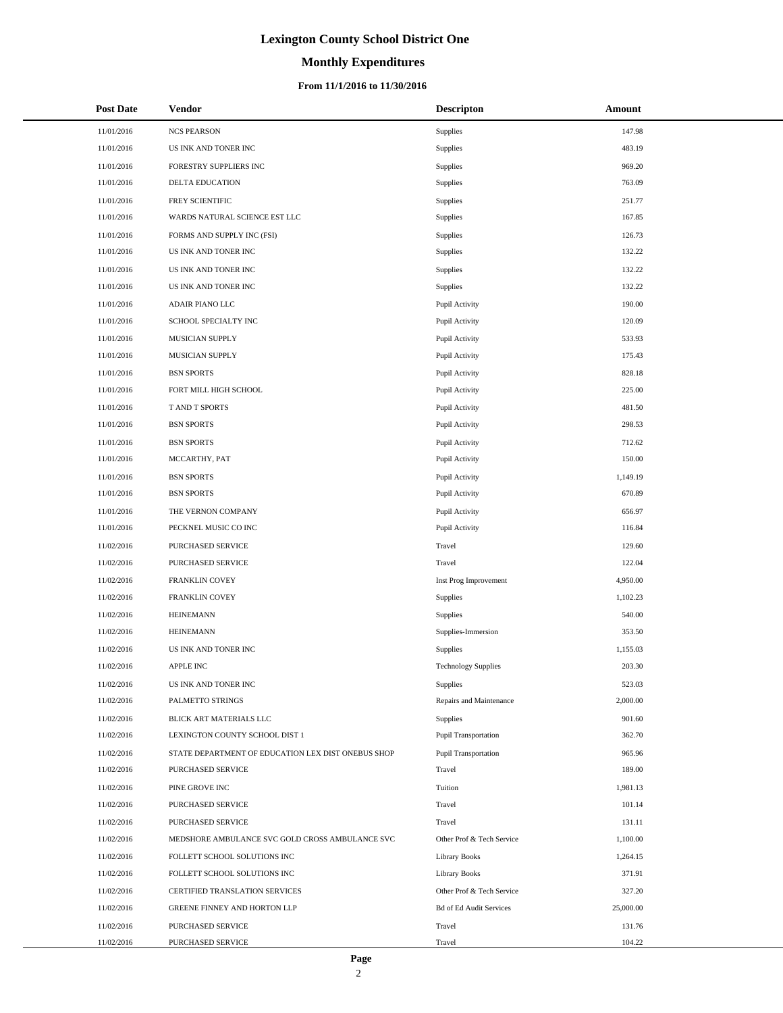# **Monthly Expenditures**

| <b>Post Date</b> | Vendor                                             | <b>Descripton</b>              | Amount    |
|------------------|----------------------------------------------------|--------------------------------|-----------|
| 11/01/2016       | <b>NCS PEARSON</b>                                 | Supplies                       | 147.98    |
| 11/01/2016       | US INK AND TONER INC                               | Supplies                       | 483.19    |
| 11/01/2016       | FORESTRY SUPPLIERS INC                             | Supplies                       | 969.20    |
| 11/01/2016       | <b>DELTA EDUCATION</b>                             | Supplies                       | 763.09    |
| 11/01/2016       | FREY SCIENTIFIC                                    | Supplies                       | 251.77    |
| 11/01/2016       | WARDS NATURAL SCIENCE EST LLC                      | Supplies                       | 167.85    |
| 11/01/2016       | FORMS AND SUPPLY INC (FSI)                         | Supplies                       | 126.73    |
| 11/01/2016       | US INK AND TONER INC                               | Supplies                       | 132.22    |
| 11/01/2016       | US INK AND TONER INC                               | Supplies                       | 132.22    |
| 11/01/2016       | US INK AND TONER INC                               | Supplies                       | 132.22    |
| 11/01/2016       | ADAIR PIANO LLC                                    | Pupil Activity                 | 190.00    |
| 11/01/2016       | SCHOOL SPECIALTY INC                               | Pupil Activity                 | 120.09    |
| 11/01/2016       | MUSICIAN SUPPLY                                    | Pupil Activity                 | 533.93    |
| 11/01/2016       | MUSICIAN SUPPLY                                    | Pupil Activity                 | 175.43    |
| 11/01/2016       | <b>BSN SPORTS</b>                                  | Pupil Activity                 | 828.18    |
| 11/01/2016       | FORT MILL HIGH SCHOOL                              | Pupil Activity                 | 225.00    |
| 11/01/2016       | T AND T SPORTS                                     | Pupil Activity                 | 481.50    |
| 11/01/2016       | <b>BSN SPORTS</b>                                  | Pupil Activity                 | 298.53    |
| 11/01/2016       | <b>BSN SPORTS</b>                                  | Pupil Activity                 | 712.62    |
| 11/01/2016       | MCCARTHY, PAT                                      | Pupil Activity                 | 150.00    |
| 11/01/2016       | <b>BSN SPORTS</b>                                  | Pupil Activity                 | 1,149.19  |
| 11/01/2016       | <b>BSN SPORTS</b>                                  | Pupil Activity                 | 670.89    |
| 11/01/2016       | THE VERNON COMPANY                                 | Pupil Activity                 | 656.97    |
| 11/01/2016       | PECKNEL MUSIC CO INC                               | Pupil Activity                 | 116.84    |
| 11/02/2016       | PURCHASED SERVICE                                  | Travel                         | 129.60    |
| 11/02/2016       | PURCHASED SERVICE                                  | Travel                         | 122.04    |
| 11/02/2016       | FRANKLIN COVEY                                     | Inst Prog Improvement          | 4,950.00  |
| 11/02/2016       | FRANKLIN COVEY                                     | Supplies                       | 1,102.23  |
| 11/02/2016       | <b>HEINEMANN</b>                                   | Supplies                       | 540.00    |
| 11/02/2016       | <b>HEINEMANN</b>                                   | Supplies-Immersion             | 353.50    |
| 11/02/2016       | US INK AND TONER INC                               | Supplies                       | 1,155.03  |
| 11/02/2016       | APPLE INC                                          | <b>Technology Supplies</b>     | 203.30    |
| 11/02/2016       | US INK AND TONER INC                               | Supplies                       | 523.03    |
| 11/02/2016       | PALMETTO STRINGS                                   | Repairs and Maintenance        | 2,000.00  |
| 11/02/2016       | BLICK ART MATERIALS LLC                            | Supplies                       | 901.60    |
| 11/02/2016       | LEXINGTON COUNTY SCHOOL DIST 1                     | <b>Pupil Transportation</b>    | 362.70    |
| 11/02/2016       | STATE DEPARTMENT OF EDUCATION LEX DIST ONEBUS SHOP | Pupil Transportation           | 965.96    |
| 11/02/2016       | PURCHASED SERVICE                                  | Travel                         | 189.00    |
| 11/02/2016       | PINE GROVE INC                                     | Tuition                        | 1,981.13  |
| 11/02/2016       | PURCHASED SERVICE                                  | Travel                         | 101.14    |
| 11/02/2016       | PURCHASED SERVICE                                  | Travel                         | 131.11    |
| 11/02/2016       | MEDSHORE AMBULANCE SVC GOLD CROSS AMBULANCE SVC    | Other Prof & Tech Service      | 1,100.00  |
| 11/02/2016       | FOLLETT SCHOOL SOLUTIONS INC                       | <b>Library Books</b>           | 1,264.15  |
| 11/02/2016       | FOLLETT SCHOOL SOLUTIONS INC                       | <b>Library Books</b>           | 371.91    |
| 11/02/2016       | CERTIFIED TRANSLATION SERVICES                     | Other Prof & Tech Service      | 327.20    |
| 11/02/2016       | GREENE FINNEY AND HORTON LLP                       | <b>Bd of Ed Audit Services</b> | 25,000.00 |
| 11/02/2016       | PURCHASED SERVICE                                  | Travel                         | 131.76    |
| 11/02/2016       | PURCHASED SERVICE                                  | Travel                         | 104.22    |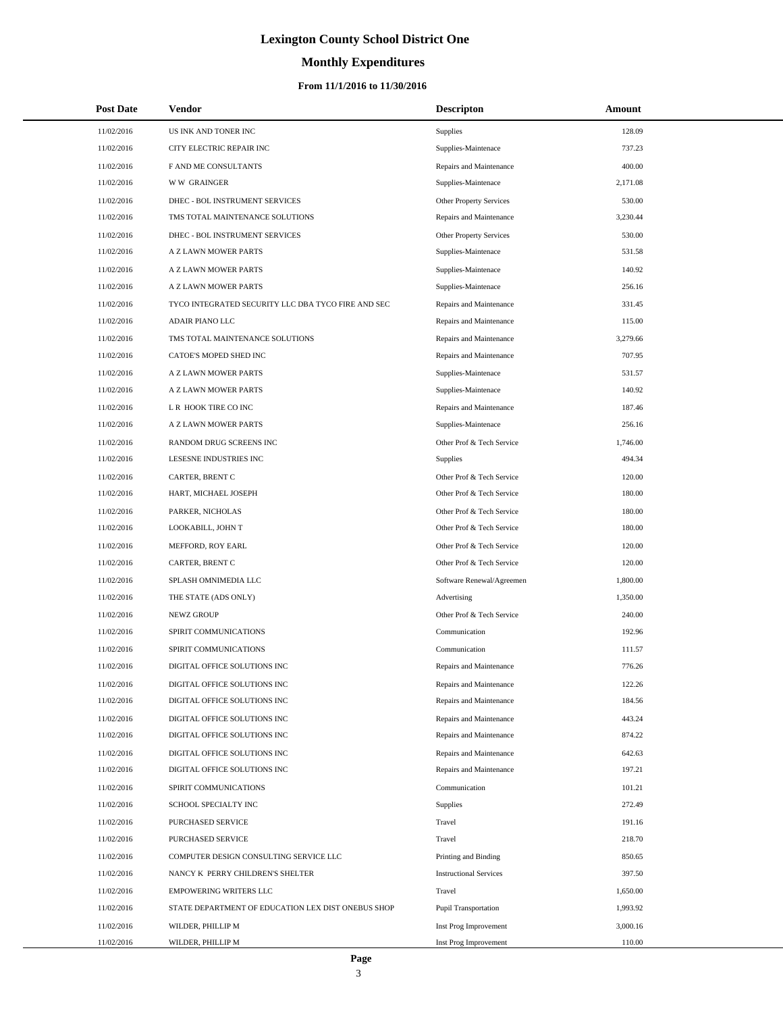# **Monthly Expenditures**

### **From 11/1/2016 to 11/30/2016**

| <b>Post Date</b> | <b>Vendor</b>                                      | <b>Descripton</b>             | Amount   |
|------------------|----------------------------------------------------|-------------------------------|----------|
| 11/02/2016       | US INK AND TONER INC                               | Supplies                      | 128.09   |
| 11/02/2016       | CITY ELECTRIC REPAIR INC                           | Supplies-Maintenace           | 737.23   |
| 11/02/2016       | F AND ME CONSULTANTS                               | Repairs and Maintenance       | 400.00   |
| 11/02/2016       | <b>WW GRAINGER</b>                                 | Supplies-Maintenace           | 2.171.08 |
| 11/02/2016       | DHEC - BOL INSTRUMENT SERVICES                     | Other Property Services       | 530.00   |
| 11/02/2016       | TMS TOTAL MAINTENANCE SOLUTIONS                    | Repairs and Maintenance       | 3,230.44 |
| 11/02/2016       | DHEC - BOL INSTRUMENT SERVICES                     | Other Property Services       | 530.00   |
| 11/02/2016       | A Z LAWN MOWER PARTS                               | Supplies-Maintenace           | 531.58   |
| 11/02/2016       | A Z LAWN MOWER PARTS                               | Supplies-Maintenace           | 140.92   |
| 11/02/2016       | A Z LAWN MOWER PARTS                               | Supplies-Maintenace           | 256.16   |
| 11/02/2016       | TYCO INTEGRATED SECURITY LLC DBA TYCO FIRE AND SEC | Repairs and Maintenance       | 331.45   |
| 11/02/2016       | <b>ADAIR PIANO LLC</b>                             | Repairs and Maintenance       | 115.00   |
| 11/02/2016       | TMS TOTAL MAINTENANCE SOLUTIONS                    | Repairs and Maintenance       | 3,279.66 |
| 11/02/2016       | CATOE'S MOPED SHED INC                             | Repairs and Maintenance       | 707.95   |
| 11/02/2016       | A Z LAWN MOWER PARTS                               | Supplies-Maintenace           | 531.57   |
| 11/02/2016       | A Z LAWN MOWER PARTS                               | Supplies-Maintenace           | 140.92   |
| 11/02/2016       | L R HOOK TIRE CO INC                               | Repairs and Maintenance       | 187.46   |
| 11/02/2016       | A Z LAWN MOWER PARTS                               | Supplies-Maintenace           | 256.16   |
| 11/02/2016       | RANDOM DRUG SCREENS INC                            | Other Prof & Tech Service     | 1,746.00 |
| 11/02/2016       | LESESNE INDUSTRIES INC                             | Supplies                      | 494.34   |
| 11/02/2016       | CARTER, BRENT C                                    | Other Prof & Tech Service     | 120.00   |
| 11/02/2016       | HART, MICHAEL JOSEPH                               | Other Prof & Tech Service     | 180.00   |
| 11/02/2016       | PARKER, NICHOLAS                                   | Other Prof & Tech Service     | 180.00   |
| 11/02/2016       | LOOKABILL, JOHN T                                  | Other Prof & Tech Service     | 180.00   |
| 11/02/2016       | MEFFORD, ROY EARL                                  | Other Prof & Tech Service     | 120.00   |
| 11/02/2016       | CARTER, BRENT C                                    | Other Prof & Tech Service     | 120.00   |
| 11/02/2016       | SPLASH OMNIMEDIA LLC                               | Software Renewal/Agreemen     | 1,800.00 |
| 11/02/2016       | THE STATE (ADS ONLY)                               | Advertising                   | 1,350.00 |
| 11/02/2016       | <b>NEWZ GROUP</b>                                  | Other Prof & Tech Service     | 240.00   |
| 11/02/2016       | SPIRIT COMMUNICATIONS                              | Communication                 | 192.96   |
| 11/02/2016       | SPIRIT COMMUNICATIONS                              | Communication                 | 111.57   |
| 11/02/2016       | DIGITAL OFFICE SOLUTIONS INC                       | Repairs and Maintenance       | 776.26   |
| 11/02/2016       | DIGITAL OFFICE SOLUTIONS INC                       | Repairs and Maintenance       | 122.26   |
| 11/02/2016       | DIGITAL OFFICE SOLUTIONS INC                       | Repairs and Maintenance       | 184.56   |
| 11/02/2016       | DIGITAL OFFICE SOLUTIONS INC                       | Repairs and Maintenance       | 443.24   |
| 11/02/2016       | DIGITAL OFFICE SOLUTIONS INC                       | Repairs and Maintenance       | 874.22   |
| 11/02/2016       | DIGITAL OFFICE SOLUTIONS INC                       | Repairs and Maintenance       | 642.63   |
| 11/02/2016       | DIGITAL OFFICE SOLUTIONS INC                       | Repairs and Maintenance       | 197.21   |
| 11/02/2016       | SPIRIT COMMUNICATIONS                              | Communication                 | 101.21   |
| 11/02/2016       | SCHOOL SPECIALTY INC                               | Supplies                      | 272.49   |
| 11/02/2016       | PURCHASED SERVICE                                  | Travel                        | 191.16   |
| 11/02/2016       | PURCHASED SERVICE                                  | Travel                        | 218.70   |
| 11/02/2016       | COMPUTER DESIGN CONSULTING SERVICE LLC             | Printing and Binding          | 850.65   |
| 11/02/2016       | NANCY K PERRY CHILDREN'S SHELTER                   | <b>Instructional Services</b> | 397.50   |
| 11/02/2016       | <b>EMPOWERING WRITERS LLC</b>                      | Travel                        | 1,650.00 |
| 11/02/2016       | STATE DEPARTMENT OF EDUCATION LEX DIST ONEBUS SHOP | Pupil Transportation          | 1,993.92 |
| 11/02/2016       | WILDER, PHILLIP M                                  | Inst Prog Improvement         | 3,000.16 |
| 11/02/2016       | WILDER, PHILLIP M                                  | Inst Prog Improvement         | 110.00   |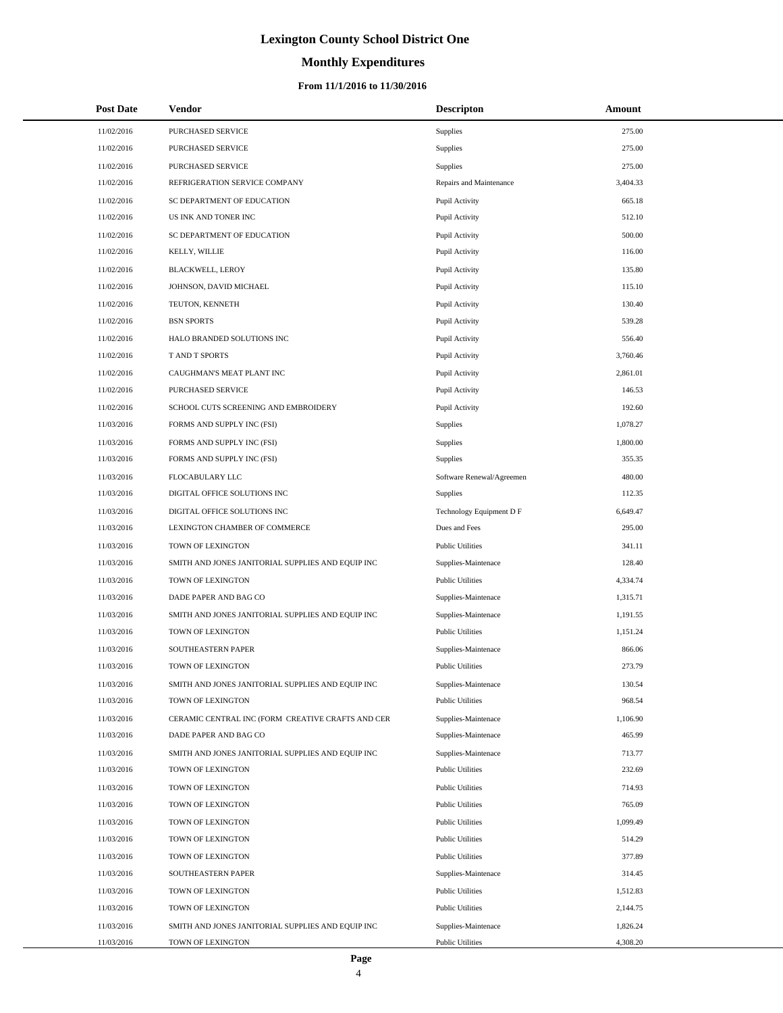### **Monthly Expenditures**

### **From 11/1/2016 to 11/30/2016**

| <b>Post Date</b> | Vendor                                            | <b>Descripton</b>         | Amount   |
|------------------|---------------------------------------------------|---------------------------|----------|
| 11/02/2016       | PURCHASED SERVICE                                 | Supplies                  | 275.00   |
| 11/02/2016       | PURCHASED SERVICE                                 | <b>Supplies</b>           | 275.00   |
| 11/02/2016       | PURCHASED SERVICE                                 | Supplies                  | 275.00   |
| 11/02/2016       | REFRIGERATION SERVICE COMPANY                     | Repairs and Maintenance   | 3,404.33 |
| 11/02/2016       | SC DEPARTMENT OF EDUCATION                        | Pupil Activity            | 665.18   |
| 11/02/2016       | US INK AND TONER INC                              | Pupil Activity            | 512.10   |
| 11/02/2016       | SC DEPARTMENT OF EDUCATION                        | Pupil Activity            | 500.00   |
| 11/02/2016       | KELLY, WILLIE                                     | Pupil Activity            | 116.00   |
| 11/02/2016       | <b>BLACKWELL, LEROY</b>                           | Pupil Activity            | 135.80   |
| 11/02/2016       | JOHNSON, DAVID MICHAEL                            | Pupil Activity            | 115.10   |
| 11/02/2016       | TEUTON, KENNETH                                   | Pupil Activity            | 130.40   |
| 11/02/2016       | <b>BSN SPORTS</b>                                 | Pupil Activity            | 539.28   |
| 11/02/2016       | HALO BRANDED SOLUTIONS INC                        | Pupil Activity            | 556.40   |
| 11/02/2016       | T AND T SPORTS                                    | Pupil Activity            | 3,760.46 |
| 11/02/2016       | CAUGHMAN'S MEAT PLANT INC                         | Pupil Activity            | 2,861.01 |
| 11/02/2016       | PURCHASED SERVICE                                 | Pupil Activity            | 146.53   |
| 11/02/2016       | SCHOOL CUTS SCREENING AND EMBROIDERY              | Pupil Activity            | 192.60   |
| 11/03/2016       | FORMS AND SUPPLY INC (FSI)                        | Supplies                  | 1,078.27 |
| 11/03/2016       | FORMS AND SUPPLY INC (FSI)                        | Supplies                  | 1,800.00 |
| 11/03/2016       | FORMS AND SUPPLY INC (FSI)                        | <b>Supplies</b>           | 355.35   |
| 11/03/2016       | FLOCABULARY LLC                                   | Software Renewal/Agreemen | 480.00   |
| 11/03/2016       | DIGITAL OFFICE SOLUTIONS INC                      | <b>Supplies</b>           | 112.35   |
| 11/03/2016       | DIGITAL OFFICE SOLUTIONS INC                      | Technology Equipment D F  | 6,649.47 |
| 11/03/2016       | LEXINGTON CHAMBER OF COMMERCE                     | Dues and Fees             | 295.00   |
| 11/03/2016       | TOWN OF LEXINGTON                                 | <b>Public Utilities</b>   | 341.11   |
| 11/03/2016       | SMITH AND JONES JANITORIAL SUPPLIES AND EQUIP INC | Supplies-Maintenace       | 128.40   |
| 11/03/2016       | TOWN OF LEXINGTON                                 | <b>Public Utilities</b>   | 4,334.74 |
| 11/03/2016       | DADE PAPER AND BAG CO                             | Supplies-Maintenace       | 1.315.71 |
| 11/03/2016       | SMITH AND JONES JANITORIAL SUPPLIES AND EQUIP INC | Supplies-Maintenace       | 1,191.55 |
| 11/03/2016       | TOWN OF LEXINGTON                                 | <b>Public Utilities</b>   | 1,151.24 |
| 11/03/2016       | SOUTHEASTERN PAPER                                | Supplies-Maintenace       | 866.06   |
| 11/03/2016       | TOWN OF LEXINGTON                                 | <b>Public Utilities</b>   | 273.79   |
| 11/03/2016       | SMITH AND JONES JANITORIAL SUPPLIES AND EQUIP INC | Supplies-Maintenace       | 130.54   |
| 11/03/2016       | TOWN OF LEXINGTON                                 | <b>Public Utilities</b>   | 968.54   |
| 11/03/2016       | CERAMIC CENTRAL INC (FORM CREATIVE CRAFTS AND CER | Supplies-Maintenace       | 1,106.90 |
| 11/03/2016       | DADE PAPER AND BAG CO                             | Supplies-Maintenace       | 465.99   |
| 11/03/2016       | SMITH AND JONES JANITORIAL SUPPLIES AND EQUIP INC | Supplies-Maintenace       | 713.77   |
| 11/03/2016       | TOWN OF LEXINGTON                                 | <b>Public Utilities</b>   | 232.69   |
| 11/03/2016       | TOWN OF LEXINGTON                                 | <b>Public Utilities</b>   | 714.93   |
| 11/03/2016       | TOWN OF LEXINGTON                                 | <b>Public Utilities</b>   | 765.09   |
| 11/03/2016       | TOWN OF LEXINGTON                                 | <b>Public Utilities</b>   | 1,099.49 |
| 11/03/2016       | TOWN OF LEXINGTON                                 | <b>Public Utilities</b>   | 514.29   |
| 11/03/2016       | TOWN OF LEXINGTON                                 | <b>Public Utilities</b>   | 377.89   |
| 11/03/2016       | SOUTHEASTERN PAPER                                | Supplies-Maintenace       | 314.45   |
| 11/03/2016       | TOWN OF LEXINGTON                                 | <b>Public Utilities</b>   | 1,512.83 |
| 11/03/2016       | TOWN OF LEXINGTON                                 | <b>Public Utilities</b>   | 2,144.75 |
| 11/03/2016       | SMITH AND JONES JANITORIAL SUPPLIES AND EQUIP INC | Supplies-Maintenace       | 1,826.24 |
| 11/03/2016       | TOWN OF LEXINGTON                                 | <b>Public Utilities</b>   | 4,308.20 |

L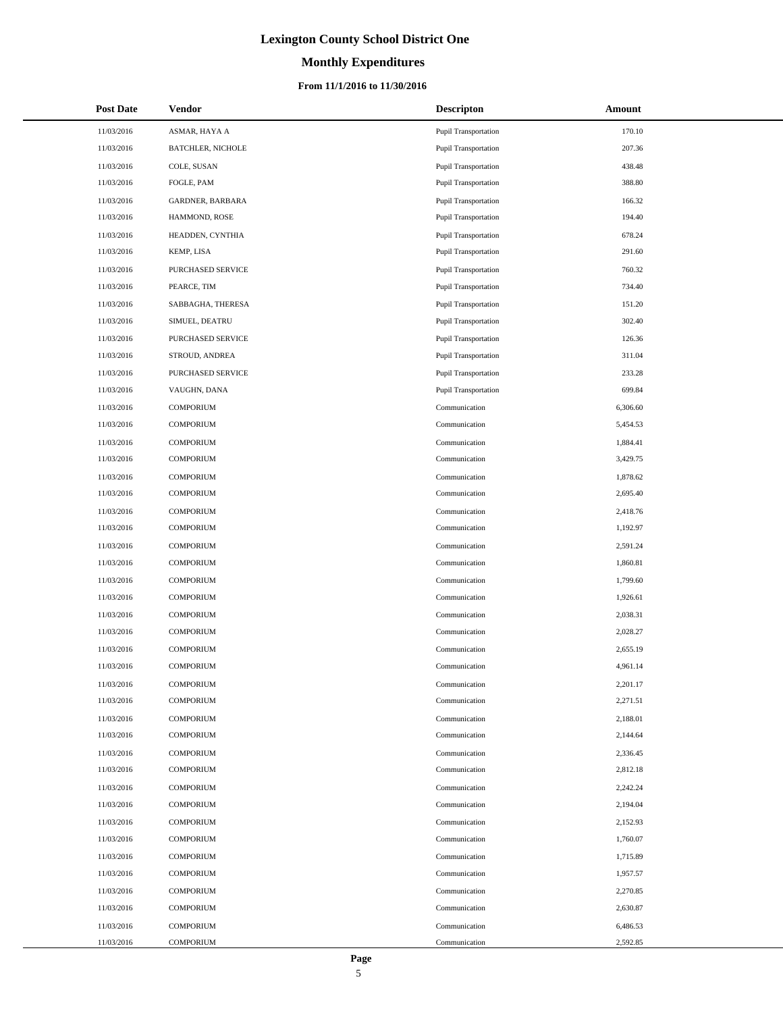# **Monthly Expenditures**

### **From 11/1/2016 to 11/30/2016**

| <b>Post Date</b> | <b>Vendor</b>            | <b>Descripton</b>           | Amount   |
|------------------|--------------------------|-----------------------------|----------|
| 11/03/2016       | ASMAR, HAYA A            | <b>Pupil Transportation</b> | 170.10   |
| 11/03/2016       | <b>BATCHLER, NICHOLE</b> | Pupil Transportation        | 207.36   |
| 11/03/2016       | COLE, SUSAN              | Pupil Transportation        | 438.48   |
| 11/03/2016       | FOGLE, PAM               | Pupil Transportation        | 388.80   |
| 11/03/2016       | GARDNER, BARBARA         | <b>Pupil Transportation</b> | 166.32   |
| 11/03/2016       | HAMMOND, ROSE            | Pupil Transportation        | 194.40   |
| 11/03/2016       | HEADDEN, CYNTHIA         | <b>Pupil Transportation</b> | 678.24   |
| 11/03/2016       | KEMP, LISA               | <b>Pupil Transportation</b> | 291.60   |
| 11/03/2016       | PURCHASED SERVICE        | <b>Pupil Transportation</b> | 760.32   |
| 11/03/2016       | PEARCE, TIM              | Pupil Transportation        | 734.40   |
| 11/03/2016       | SABBAGHA, THERESA        | Pupil Transportation        | 151.20   |
| 11/03/2016       | SIMUEL, DEATRU           | Pupil Transportation        | 302.40   |
| 11/03/2016       | PURCHASED SERVICE        | <b>Pupil Transportation</b> | 126.36   |
| 11/03/2016       | STROUD, ANDREA           | <b>Pupil Transportation</b> | 311.04   |
| 11/03/2016       | PURCHASED SERVICE        | Pupil Transportation        | 233.28   |
| 11/03/2016       | VAUGHN, DANA             | Pupil Transportation        | 699.84   |
| 11/03/2016       | <b>COMPORIUM</b>         | Communication               | 6,306.60 |
| 11/03/2016       | <b>COMPORIUM</b>         | Communication               | 5,454.53 |
| 11/03/2016       | <b>COMPORIUM</b>         | Communication               | 1,884.41 |
| 11/03/2016       | <b>COMPORIUM</b>         | Communication               | 3,429.75 |
| 11/03/2016       | <b>COMPORIUM</b>         | Communication               | 1,878.62 |
| 11/03/2016       | <b>COMPORIUM</b>         | Communication               | 2,695.40 |
| 11/03/2016       | COMPORIUM                | Communication               | 2,418.76 |
| 11/03/2016       | <b>COMPORIUM</b>         | Communication               | 1,192.97 |
| 11/03/2016       | <b>COMPORIUM</b>         | Communication               | 2,591.24 |
| 11/03/2016       | <b>COMPORIUM</b>         | Communication               | 1,860.81 |
| 11/03/2016       | <b>COMPORIUM</b>         | Communication               | 1,799.60 |
| 11/03/2016       | <b>COMPORIUM</b>         | Communication               | 1,926.61 |
| 11/03/2016       | <b>COMPORIUM</b>         | Communication               | 2,038.31 |
| 11/03/2016       | <b>COMPORIUM</b>         | Communication               | 2,028.27 |
| 11/03/2016       | <b>COMPORIUM</b>         | Communication               | 2,655.19 |
| 11/03/2016       | <b>COMPORIUM</b>         | Communication               | 4,961.14 |
| 11/03/2016       | COMPORIUM                | Communication               | 2,201.17 |
| 11/03/2016       | <b>COMPORIUM</b>         | Communication               | 2,271.51 |
| 11/03/2016       | <b>COMPORIUM</b>         | Communication               | 2,188.01 |
| 11/03/2016       | <b>COMPORIUM</b>         | Communication               | 2,144.64 |
| 11/03/2016       | <b>COMPORIUM</b>         | Communication               | 2,336.45 |
| 11/03/2016       | <b>COMPORIUM</b>         | Communication               | 2,812.18 |
| 11/03/2016       | <b>COMPORIUM</b>         | Communication               | 2,242.24 |
| 11/03/2016       | <b>COMPORIUM</b>         | Communication               | 2,194.04 |
| 11/03/2016       | <b>COMPORIUM</b>         | Communication               | 2,152.93 |
| 11/03/2016       | <b>COMPORIUM</b>         | Communication               | 1,760.07 |
| 11/03/2016       | <b>COMPORIUM</b>         | Communication               | 1,715.89 |
| 11/03/2016       | <b>COMPORIUM</b>         | Communication               | 1,957.57 |
| 11/03/2016       | <b>COMPORIUM</b>         | Communication               | 2,270.85 |
| 11/03/2016       | <b>COMPORIUM</b>         | Communication               | 2,630.87 |
| 11/03/2016       | <b>COMPORIUM</b>         | Communication               | 6,486.53 |
| 11/03/2016       | <b>COMPORIUM</b>         | Communication               | 2,592.85 |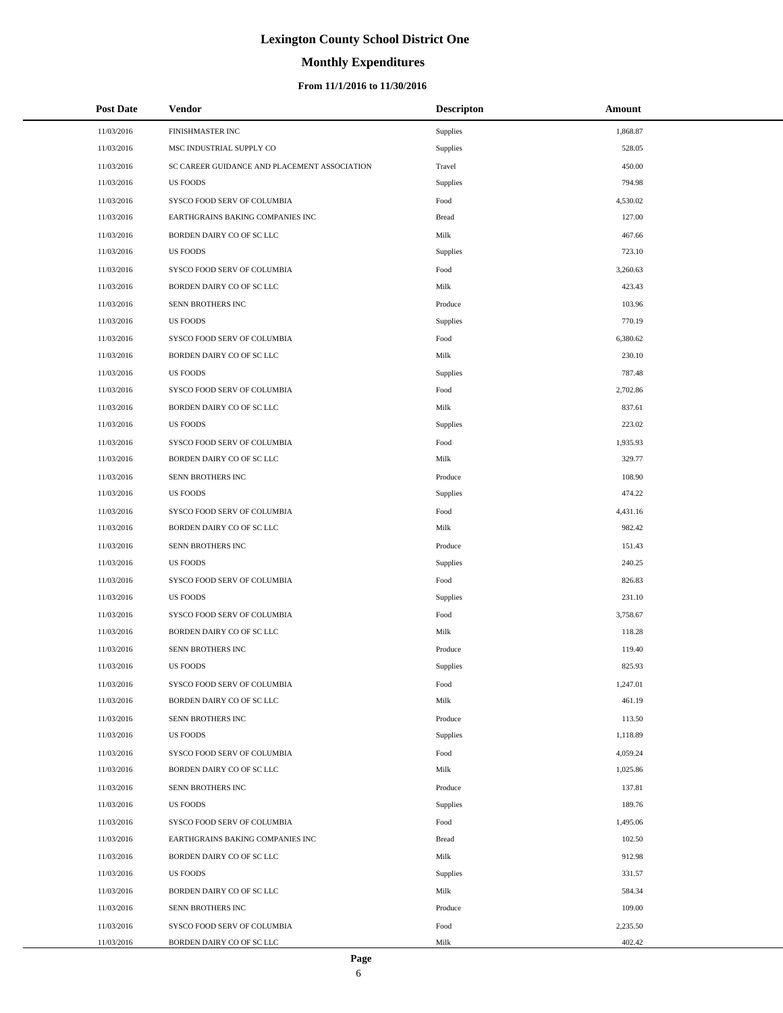# **Monthly Expenditures**

### **From 11/1/2016 to 11/30/2016**

| <b>Post Date</b> | <b>Vendor</b>                                | <b>Descripton</b> | Amount   |
|------------------|----------------------------------------------|-------------------|----------|
| 11/03/2016       | FINISHMASTER INC                             | Supplies          | 1,868.87 |
| 11/03/2016       | MSC INDUSTRIAL SUPPLY CO                     | Supplies          | 528.05   |
| 11/03/2016       | SC CAREER GUIDANCE AND PLACEMENT ASSOCIATION | Travel            | 450.00   |
| 11/03/2016       | <b>US FOODS</b>                              | Supplies          | 794.98   |
| 11/03/2016       | SYSCO FOOD SERV OF COLUMBIA                  | Food              | 4,530.02 |
| 11/03/2016       | EARTHGRAINS BAKING COMPANIES INC             | <b>Bread</b>      | 127.00   |
| 11/03/2016       | BORDEN DAIRY CO OF SC LLC                    | Milk              | 467.66   |
| 11/03/2016       | <b>US FOODS</b>                              | Supplies          | 723.10   |
| 11/03/2016       | SYSCO FOOD SERV OF COLUMBIA                  | Food              | 3,260.63 |
| 11/03/2016       | BORDEN DAIRY CO OF SC LLC                    | Milk              | 423.43   |
| 11/03/2016       | SENN BROTHERS INC                            | Produce           | 103.96   |
| 11/03/2016       | <b>US FOODS</b>                              | Supplies          | 770.19   |
| 11/03/2016       | SYSCO FOOD SERV OF COLUMBIA                  | Food              | 6,380.62 |
| 11/03/2016       | BORDEN DAIRY CO OF SC LLC                    | Milk              | 230.10   |
| 11/03/2016       | <b>US FOODS</b>                              | Supplies          | 787.48   |
| 11/03/2016       | SYSCO FOOD SERV OF COLUMBIA                  | Food              | 2,702.86 |
| 11/03/2016       | BORDEN DAIRY CO OF SC LLC                    | Milk              | 837.61   |
| 11/03/2016       | <b>US FOODS</b>                              | Supplies          | 223.02   |
| 11/03/2016       | SYSCO FOOD SERV OF COLUMBIA                  | Food              | 1,935.93 |
| 11/03/2016       | BORDEN DAIRY CO OF SC LLC                    | Milk              | 329.77   |
| 11/03/2016       | SENN BROTHERS INC                            | Produce           | 108.90   |
| 11/03/2016       | <b>US FOODS</b>                              | Supplies          | 474.22   |
| 11/03/2016       | SYSCO FOOD SERV OF COLUMBIA                  | Food              | 4,431.16 |
| 11/03/2016       | BORDEN DAIRY CO OF SC LLC                    | Milk              | 982.42   |
| 11/03/2016       | SENN BROTHERS INC                            | Produce           | 151.43   |
| 11/03/2016       | <b>US FOODS</b>                              | Supplies          | 240.25   |
| 11/03/2016       | SYSCO FOOD SERV OF COLUMBIA                  | Food              | 826.83   |
| 11/03/2016       | <b>US FOODS</b>                              | Supplies          | 231.10   |
| 11/03/2016       | SYSCO FOOD SERV OF COLUMBIA                  | Food              | 3,758.67 |
| 11/03/2016       | BORDEN DAIRY CO OF SC LLC                    | Milk              | 118.28   |
| 11/03/2016       | SENN BROTHERS INC                            | Produce           | 119.40   |
| 11/03/2016       | <b>US FOODS</b>                              | Supplies          | 825.93   |
| 11/03/2016       | SYSCO FOOD SERV OF COLUMBIA                  | Food              | 1,247.01 |
| 11/03/2016       | BORDEN DAIRY CO OF SC LLC                    | Milk              | 461.19   |
| 11/03/2016       | SENN BROTHERS INC                            | Produce           | 113.50   |
| 11/03/2016       | <b>US FOODS</b>                              | Supplies          | 1,118.89 |
| 11/03/2016       | SYSCO FOOD SERV OF COLUMBIA                  | Food              | 4,059.24 |
| 11/03/2016       | BORDEN DAIRY CO OF SC LLC                    | Milk              | 1,025.86 |
| 11/03/2016       | SENN BROTHERS INC                            | Produce           | 137.81   |
| 11/03/2016       | <b>US FOODS</b>                              | Supplies          | 189.76   |
| 11/03/2016       | SYSCO FOOD SERV OF COLUMBIA                  | Food              | 1,495.06 |
| 11/03/2016       | EARTHGRAINS BAKING COMPANIES INC             | <b>Bread</b>      | 102.50   |
| 11/03/2016       | BORDEN DAIRY CO OF SC LLC                    | Milk              | 912.98   |
| 11/03/2016       | <b>US FOODS</b>                              | Supplies          | 331.57   |
| 11/03/2016       | BORDEN DAIRY CO OF SC LLC                    | Milk              | 584.34   |
| 11/03/2016       | SENN BROTHERS INC                            | Produce           | 109.00   |
| 11/03/2016       | SYSCO FOOD SERV OF COLUMBIA                  | Food              | 2,235.50 |
| 11/03/2016       | BORDEN DAIRY CO OF SC LLC                    | Milk              | 402.42   |

L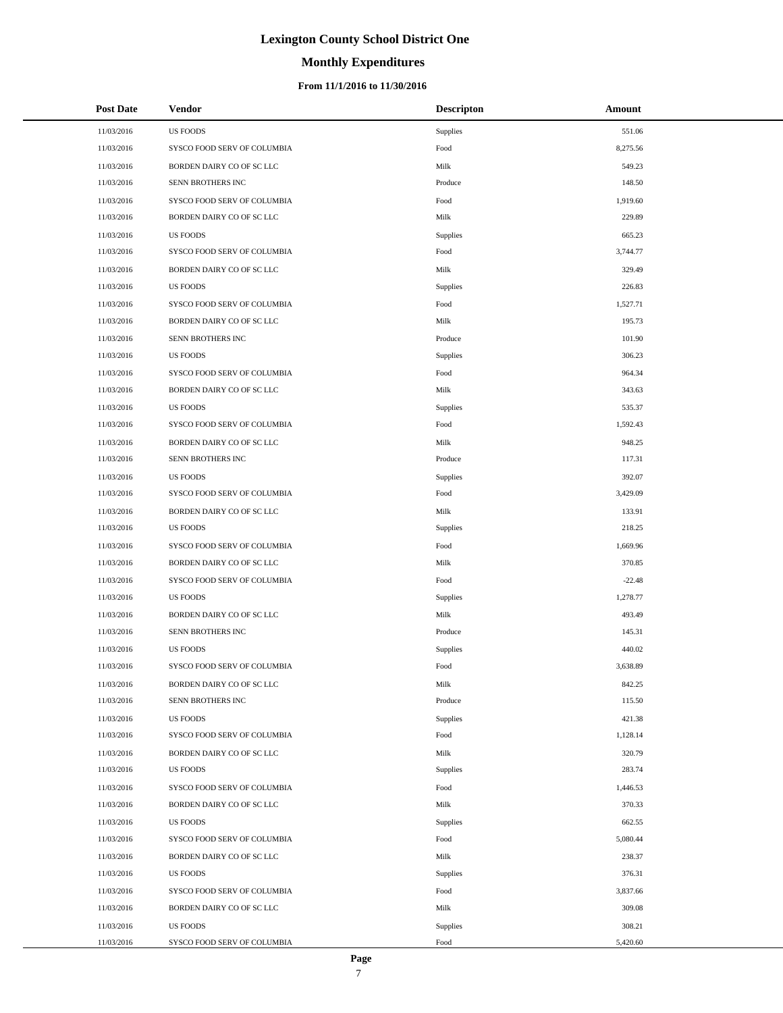### **Monthly Expenditures**

| <b>Post Date</b> | Vendor                      | <b>Descripton</b> | Amount   |
|------------------|-----------------------------|-------------------|----------|
| 11/03/2016       | <b>US FOODS</b>             | Supplies          | 551.06   |
| 11/03/2016       | SYSCO FOOD SERV OF COLUMBIA | Food              | 8,275.56 |
| 11/03/2016       | BORDEN DAIRY CO OF SC LLC   | Milk              | 549.23   |
| 11/03/2016       | SENN BROTHERS INC           | Produce           | 148.50   |
| 11/03/2016       | SYSCO FOOD SERV OF COLUMBIA | Food              | 1,919.60 |
| 11/03/2016       | BORDEN DAIRY CO OF SC LLC   | Milk              | 229.89   |
| 11/03/2016       | <b>US FOODS</b>             | Supplies          | 665.23   |
| 11/03/2016       | SYSCO FOOD SERV OF COLUMBIA | Food              | 3,744.77 |
| 11/03/2016       | BORDEN DAIRY CO OF SC LLC   | Milk              | 329.49   |
| 11/03/2016       | <b>US FOODS</b>             | Supplies          | 226.83   |
| 11/03/2016       | SYSCO FOOD SERV OF COLUMBIA | Food              | 1,527.71 |
| 11/03/2016       | BORDEN DAIRY CO OF SC LLC   | Milk              | 195.73   |
| 11/03/2016       | SENN BROTHERS INC           | Produce           | 101.90   |
| 11/03/2016       | <b>US FOODS</b>             | Supplies          | 306.23   |
| 11/03/2016       | SYSCO FOOD SERV OF COLUMBIA | Food              | 964.34   |
| 11/03/2016       | BORDEN DAIRY CO OF SC LLC   | Milk              | 343.63   |
| 11/03/2016       | <b>US FOODS</b>             | Supplies          | 535.37   |
| 11/03/2016       | SYSCO FOOD SERV OF COLUMBIA | Food              | 1,592.43 |
| 11/03/2016       | BORDEN DAIRY CO OF SC LLC   | Milk              | 948.25   |
| 11/03/2016       | SENN BROTHERS INC           | Produce           | 117.31   |
| 11/03/2016       | <b>US FOODS</b>             | Supplies          | 392.07   |
| 11/03/2016       | SYSCO FOOD SERV OF COLUMBIA | Food              | 3,429.09 |
| 11/03/2016       | BORDEN DAIRY CO OF SC LLC   | Milk              | 133.91   |
| 11/03/2016       | <b>US FOODS</b>             | Supplies          | 218.25   |
| 11/03/2016       | SYSCO FOOD SERV OF COLUMBIA | Food              | 1,669.96 |
| 11/03/2016       | BORDEN DAIRY CO OF SC LLC   | Milk              | 370.85   |
| 11/03/2016       | SYSCO FOOD SERV OF COLUMBIA | Food              | $-22.48$ |
| 11/03/2016       | <b>US FOODS</b>             | Supplies          | 1,278.77 |
| 11/03/2016       | BORDEN DAIRY CO OF SC LLC   | Milk              | 493.49   |
| 11/03/2016       | SENN BROTHERS INC           | Produce           | 145.31   |
| 11/03/2016       | <b>US FOODS</b>             | Supplies          | 440.02   |
| 11/03/2016       | SYSCO FOOD SERV OF COLUMBIA | Food              | 3,638.89 |
| 11/03/2016       | BORDEN DAIRY CO OF SC LLC   | Milk              | 842.25   |
| 11/03/2016       | SENN BROTHERS INC           | Produce           | 115.50   |
| 11/03/2016       | <b>US FOODS</b>             | Supplies          | 421.38   |
| 11/03/2016       | SYSCO FOOD SERV OF COLUMBIA | Food              | 1,128.14 |
| 11/03/2016       | BORDEN DAIRY CO OF SC LLC   | Milk              | 320.79   |
| 11/03/2016       | <b>US FOODS</b>             | Supplies          | 283.74   |
| 11/03/2016       | SYSCO FOOD SERV OF COLUMBIA | Food              | 1,446.53 |
| 11/03/2016       | BORDEN DAIRY CO OF SC LLC   | Milk              | 370.33   |
| 11/03/2016       | <b>US FOODS</b>             | Supplies          | 662.55   |
| 11/03/2016       | SYSCO FOOD SERV OF COLUMBIA | Food              | 5,080.44 |
| 11/03/2016       | BORDEN DAIRY CO OF SC LLC   | Milk              | 238.37   |
| 11/03/2016       | <b>US FOODS</b>             | Supplies          | 376.31   |
| 11/03/2016       | SYSCO FOOD SERV OF COLUMBIA | Food              | 3,837.66 |
| 11/03/2016       | BORDEN DAIRY CO OF SC LLC   | Milk              | 309.08   |
| 11/03/2016       | <b>US FOODS</b>             | Supplies          | 308.21   |
| 11/03/2016       | SYSCO FOOD SERV OF COLUMBIA | Food              | 5,420.60 |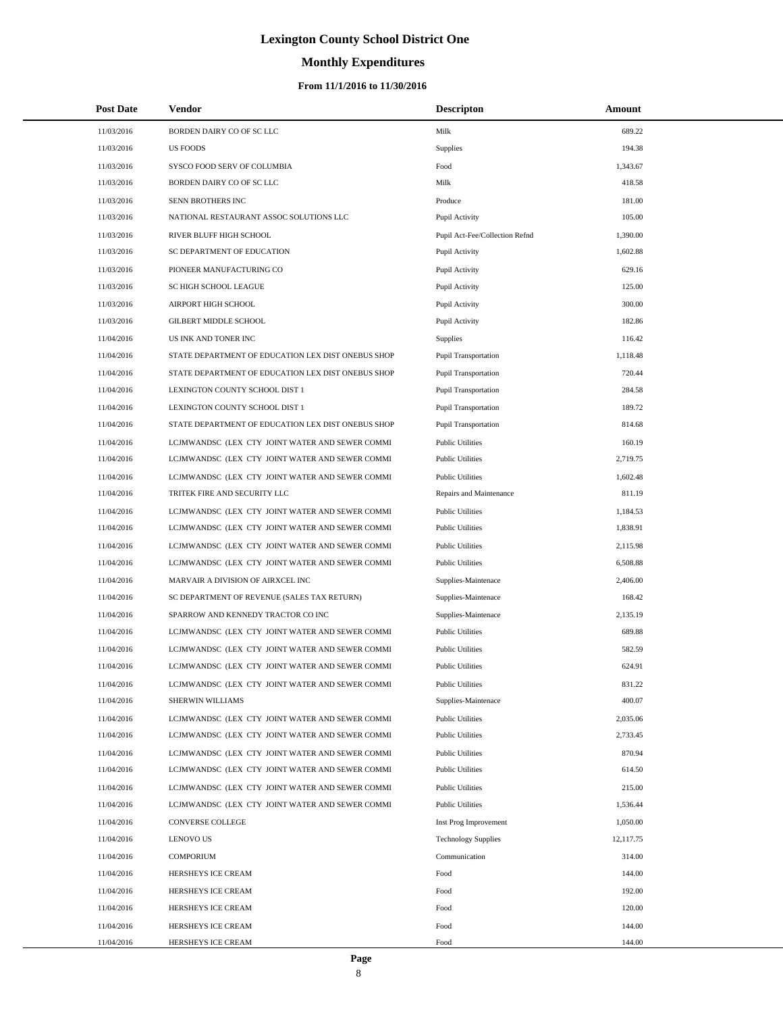# **Monthly Expenditures**

| <b>Post Date</b> | Vendor                                             | <b>Descripton</b>              | Amount    |
|------------------|----------------------------------------------------|--------------------------------|-----------|
| 11/03/2016       | BORDEN DAIRY CO OF SC LLC                          | Milk                           | 689.22    |
| 11/03/2016       | <b>US FOODS</b>                                    | Supplies                       | 194.38    |
| 11/03/2016       | SYSCO FOOD SERV OF COLUMBIA                        | Food                           | 1,343.67  |
| 11/03/2016       | BORDEN DAIRY CO OF SC LLC                          | Milk                           | 418.58    |
| 11/03/2016       | SENN BROTHERS INC                                  | Produce                        | 181.00    |
| 11/03/2016       | NATIONAL RESTAURANT ASSOC SOLUTIONS LLC            | Pupil Activity                 | 105.00    |
| 11/03/2016       | RIVER BLUFF HIGH SCHOOL                            | Pupil Act-Fee/Collection Refnd | 1,390.00  |
| 11/03/2016       | SC DEPARTMENT OF EDUCATION                         | Pupil Activity                 | 1,602.88  |
| 11/03/2016       | PIONEER MANUFACTURING CO                           | Pupil Activity                 | 629.16    |
| 11/03/2016       | SC HIGH SCHOOL LEAGUE                              | Pupil Activity                 | 125.00    |
| 11/03/2016       | AIRPORT HIGH SCHOOL                                | Pupil Activity                 | 300.00    |
| 11/03/2016       | <b>GILBERT MIDDLE SCHOOL</b>                       | Pupil Activity                 | 182.86    |
| 11/04/2016       | US INK AND TONER INC                               | <b>Supplies</b>                | 116.42    |
| 11/04/2016       | STATE DEPARTMENT OF EDUCATION LEX DIST ONEBUS SHOP | <b>Pupil Transportation</b>    | 1,118.48  |
| 11/04/2016       | STATE DEPARTMENT OF EDUCATION LEX DIST ONEBUS SHOP | <b>Pupil Transportation</b>    | 720.44    |
| 11/04/2016       | LEXINGTON COUNTY SCHOOL DIST 1                     | <b>Pupil Transportation</b>    | 284.58    |
| 11/04/2016       | LEXINGTON COUNTY SCHOOL DIST 1                     | <b>Pupil Transportation</b>    | 189.72    |
| 11/04/2016       | STATE DEPARTMENT OF EDUCATION LEX DIST ONEBUS SHOP | Pupil Transportation           | 814.68    |
| 11/04/2016       | LCJMWANDSC (LEX CTY JOINT WATER AND SEWER COMMI    | <b>Public Utilities</b>        | 160.19    |
| 11/04/2016       | LCJMWANDSC (LEX CTY JOINT WATER AND SEWER COMMI    | <b>Public Utilities</b>        | 2,719.75  |
| 11/04/2016       | LCJMWANDSC (LEX CTY JOINT WATER AND SEWER COMMI    | <b>Public Utilities</b>        | 1,602.48  |
| 11/04/2016       | TRITEK FIRE AND SECURITY LLC                       | Repairs and Maintenance        | 811.19    |
| 11/04/2016       | LCJMWANDSC (LEX CTY JOINT WATER AND SEWER COMMI    | <b>Public Utilities</b>        | 1,184.53  |
| 11/04/2016       | LCJMWANDSC (LEX CTY JOINT WATER AND SEWER COMMI    | <b>Public Utilities</b>        | 1,838.91  |
| 11/04/2016       | LCJMWANDSC (LEX CTY JOINT WATER AND SEWER COMMI    | <b>Public Utilities</b>        | 2,115.98  |
| 11/04/2016       | LCJMWANDSC (LEX CTY JOINT WATER AND SEWER COMMI    | <b>Public Utilities</b>        | 6,508.88  |
| 11/04/2016       | MARVAIR A DIVISION OF AIRXCEL INC                  | Supplies-Maintenace            | 2,406.00  |
| 11/04/2016       | SC DEPARTMENT OF REVENUE (SALES TAX RETURN)        | Supplies-Maintenace            | 168.42    |
| 11/04/2016       | SPARROW AND KENNEDY TRACTOR CO INC                 | Supplies-Maintenace            | 2,135.19  |
| 11/04/2016       | LCJMWANDSC (LEX CTY JOINT WATER AND SEWER COMMI    | <b>Public Utilities</b>        | 689.88    |
| 11/04/2016       | LCJMWANDSC (LEX CTY JOINT WATER AND SEWER COMMI    | <b>Public Utilities</b>        | 582.59    |
| 11/04/2016       | LCJMWANDSC (LEX CTY JOINT WATER AND SEWER COMMI    | <b>Public Utilities</b>        | 624.91    |
| 11/04/2016       | LCJMWANDSC (LEX CTY JOINT WATER AND SEWER COMMI    | <b>Public Utilities</b>        | 831.22    |
| 11/04/2016       | SHERWIN WILLIAMS                                   | Supplies-Maintenace            | 400.07    |
| 11/04/2016       | LCJMWANDSC (LEX CTY JOINT WATER AND SEWER COMMI    | <b>Public Utilities</b>        | 2,035.06  |
| 11/04/2016       | LCJMWANDSC (LEX CTY JOINT WATER AND SEWER COMMI    | <b>Public Utilities</b>        | 2,733.45  |
| 11/04/2016       | LCJMWANDSC (LEX CTY JOINT WATER AND SEWER COMMI    | <b>Public Utilities</b>        | 870.94    |
| 11/04/2016       | LCJMWANDSC (LEX CTY JOINT WATER AND SEWER COMMI    | <b>Public Utilities</b>        | 614.50    |
| 11/04/2016       | LCJMWANDSC (LEX CTY JOINT WATER AND SEWER COMMI    | <b>Public Utilities</b>        | 215.00    |
| 11/04/2016       | LCJMWANDSC (LEX CTY JOINT WATER AND SEWER COMMI    | <b>Public Utilities</b>        | 1,536.44  |
| 11/04/2016       | CONVERSE COLLEGE                                   | Inst Prog Improvement          | 1,050.00  |
| 11/04/2016       | <b>LENOVO US</b>                                   | <b>Technology Supplies</b>     | 12,117.75 |
| 11/04/2016       | <b>COMPORIUM</b>                                   | Communication                  | 314.00    |
| 11/04/2016       | HERSHEYS ICE CREAM                                 | Food                           | 144.00    |
| 11/04/2016       | HERSHEYS ICE CREAM                                 | Food                           | 192.00    |
| 11/04/2016       | HERSHEYS ICE CREAM                                 | Food                           | 120.00    |
| 11/04/2016       | HERSHEYS ICE CREAM                                 | Food                           | 144.00    |
| 11/04/2016       | HERSHEYS ICE CREAM                                 | Food                           | 144.00    |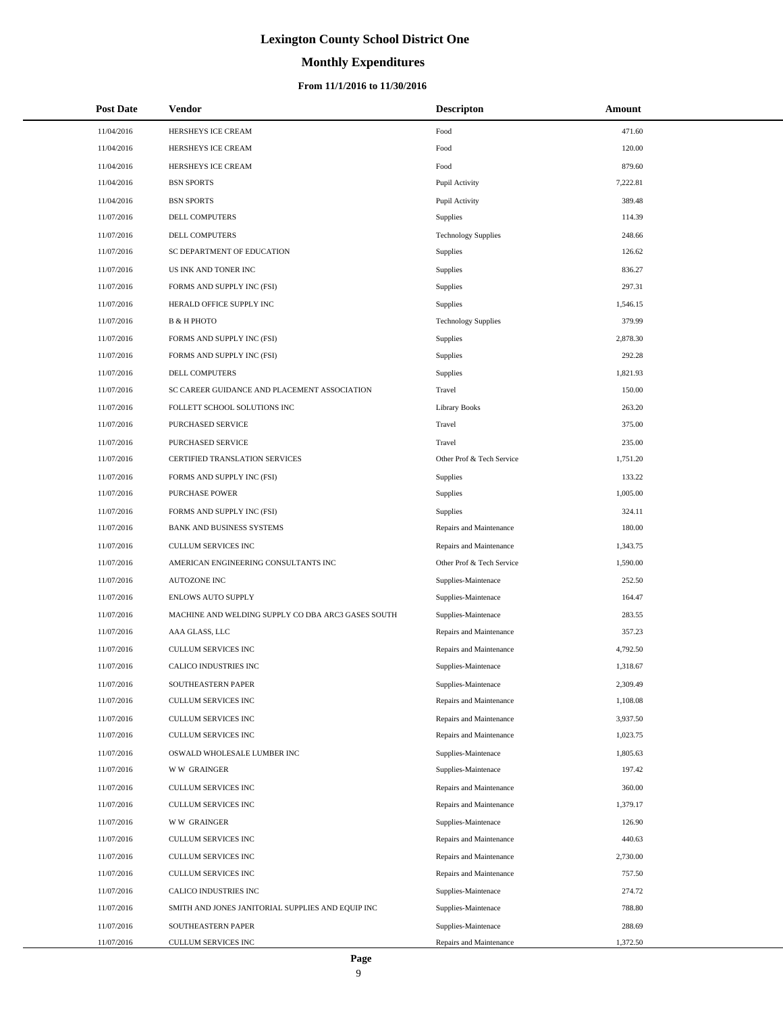# **Monthly Expenditures**

| <b>Post Date</b> | Vendor                                             | <b>Descripton</b>          | Amount   |
|------------------|----------------------------------------------------|----------------------------|----------|
| 11/04/2016       | HERSHEYS ICE CREAM                                 | Food                       | 471.60   |
| 11/04/2016       | HERSHEYS ICE CREAM                                 | Food                       | 120.00   |
| 11/04/2016       | HERSHEYS ICE CREAM                                 | Food                       | 879.60   |
| 11/04/2016       | <b>BSN SPORTS</b>                                  | Pupil Activity             | 7,222.81 |
| 11/04/2016       | <b>BSN SPORTS</b>                                  | Pupil Activity             | 389.48   |
| 11/07/2016       | DELL COMPUTERS                                     | Supplies                   | 114.39   |
| 11/07/2016       | DELL COMPUTERS                                     | <b>Technology Supplies</b> | 248.66   |
| 11/07/2016       | SC DEPARTMENT OF EDUCATION                         | Supplies                   | 126.62   |
| 11/07/2016       | US INK AND TONER INC                               | Supplies                   | 836.27   |
| 11/07/2016       | FORMS AND SUPPLY INC (FSI)                         | Supplies                   | 297.31   |
| 11/07/2016       | HERALD OFFICE SUPPLY INC                           | Supplies                   | 1,546.15 |
| 11/07/2016       | В & Н РНОТО                                        | <b>Technology Supplies</b> | 379.99   |
| 11/07/2016       | FORMS AND SUPPLY INC (FSI)                         | <b>Supplies</b>            | 2,878.30 |
| 11/07/2016       | FORMS AND SUPPLY INC (FSI)                         | Supplies                   | 292.28   |
| 11/07/2016       | DELL COMPUTERS                                     | Supplies                   | 1,821.93 |
| 11/07/2016       | SC CAREER GUIDANCE AND PLACEMENT ASSOCIATION       | Travel                     | 150.00   |
| 11/07/2016       | FOLLETT SCHOOL SOLUTIONS INC                       | <b>Library Books</b>       | 263.20   |
| 11/07/2016       | <b>PURCHASED SERVICE</b>                           | Travel                     | 375.00   |
| 11/07/2016       | PURCHASED SERVICE                                  | Travel                     | 235.00   |
| 11/07/2016       | CERTIFIED TRANSLATION SERVICES                     | Other Prof & Tech Service  | 1,751.20 |
| 11/07/2016       | FORMS AND SUPPLY INC (FSI)                         | Supplies                   | 133.22   |
| 11/07/2016       | <b>PURCHASE POWER</b>                              | Supplies                   | 1,005.00 |
| 11/07/2016       | FORMS AND SUPPLY INC (FSI)                         | Supplies                   | 324.11   |
| 11/07/2016       | BANK AND BUSINESS SYSTEMS                          | Repairs and Maintenance    | 180.00   |
| 11/07/2016       | CULLUM SERVICES INC                                | Repairs and Maintenance    | 1,343.75 |
| 11/07/2016       | AMERICAN ENGINEERING CONSULTANTS INC               | Other Prof & Tech Service  | 1,590.00 |
| 11/07/2016       | AUTOZONE INC                                       | Supplies-Maintenace        | 252.50   |
| 11/07/2016       | <b>ENLOWS AUTO SUPPLY</b>                          | Supplies-Maintenace        | 164.47   |
| 11/07/2016       | MACHINE AND WELDING SUPPLY CO DBA ARC3 GASES SOUTH | Supplies-Maintenace        | 283.55   |
| 11/07/2016       | AAA GLASS, LLC                                     | Repairs and Maintenance    | 357.23   |
| 11/07/2016       | <b>CULLUM SERVICES INC</b>                         | Repairs and Maintenance    | 4,792.50 |
| 11/07/2016       | CALICO INDUSTRIES INC                              | Supplies-Maintenace        | 1,318.67 |
| 11/07/2016       | SOUTHEASTERN PAPER                                 | Supplies-Maintenace        | 2,309.49 |
| 11/07/2016       | CULLUM SERVICES INC                                | Repairs and Maintenance    | 1,108.08 |
| 11/07/2016       | CULLUM SERVICES INC                                | Repairs and Maintenance    | 3,937.50 |
| 11/07/2016       | CULLUM SERVICES INC                                | Repairs and Maintenance    | 1,023.75 |
| 11/07/2016       | OSWALD WHOLESALE LUMBER INC                        | Supplies-Maintenace        | 1,805.63 |
| 11/07/2016       | <b>WW GRAINGER</b>                                 | Supplies-Maintenace        | 197.42   |
| 11/07/2016       | CULLUM SERVICES INC                                | Repairs and Maintenance    | 360.00   |
| 11/07/2016       | CULLUM SERVICES INC                                | Repairs and Maintenance    | 1,379.17 |
| 11/07/2016       | <b>WW GRAINGER</b>                                 | Supplies-Maintenace        | 126.90   |
| 11/07/2016       | CULLUM SERVICES INC                                | Repairs and Maintenance    | 440.63   |
| 11/07/2016       | CULLUM SERVICES INC                                | Repairs and Maintenance    | 2,730.00 |
| 11/07/2016       | CULLUM SERVICES INC                                | Repairs and Maintenance    | 757.50   |
| 11/07/2016       | CALICO INDUSTRIES INC                              | Supplies-Maintenace        | 274.72   |
| 11/07/2016       | SMITH AND JONES JANITORIAL SUPPLIES AND EQUIP INC  | Supplies-Maintenace        | 788.80   |
| 11/07/2016       | SOUTHEASTERN PAPER                                 | Supplies-Maintenace        | 288.69   |
| 11/07/2016       | CULLUM SERVICES INC                                | Repairs and Maintenance    | 1,372.50 |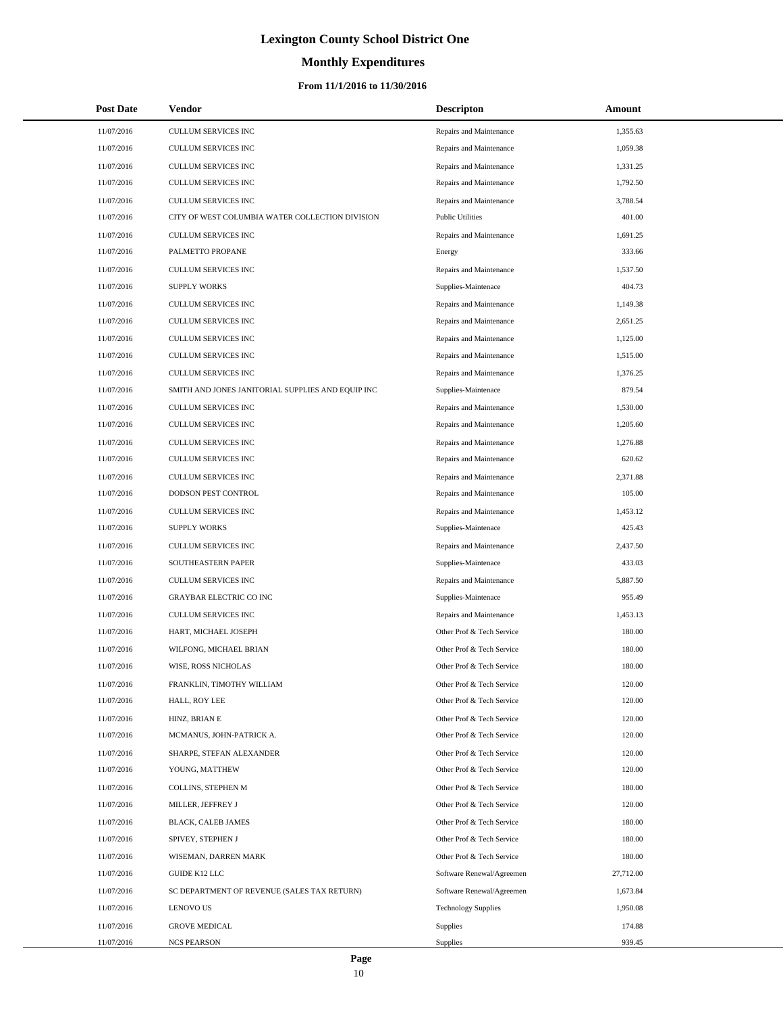# **Monthly Expenditures**

### **From 11/1/2016 to 11/30/2016**

| <b>Post Date</b> | Vendor                                            | <b>Descripton</b>          | Amount    |
|------------------|---------------------------------------------------|----------------------------|-----------|
| 11/07/2016       | CULLUM SERVICES INC                               | Repairs and Maintenance    | 1,355.63  |
| 11/07/2016       | CULLUM SERVICES INC                               | Repairs and Maintenance    | 1,059.38  |
| 11/07/2016       | <b>CULLUM SERVICES INC</b>                        | Repairs and Maintenance    | 1,331.25  |
| 11/07/2016       | CULLUM SERVICES INC                               | Repairs and Maintenance    | 1,792.50  |
| 11/07/2016       | CULLUM SERVICES INC                               | Repairs and Maintenance    | 3,788.54  |
| 11/07/2016       | CITY OF WEST COLUMBIA WATER COLLECTION DIVISION   | <b>Public Utilities</b>    | 401.00    |
| 11/07/2016       | CULLUM SERVICES INC                               | Repairs and Maintenance    | 1,691.25  |
| 11/07/2016       | PALMETTO PROPANE                                  | Energy                     | 333.66    |
| 11/07/2016       | <b>CULLUM SERVICES INC</b>                        | Repairs and Maintenance    | 1,537.50  |
| 11/07/2016       | <b>SUPPLY WORKS</b>                               | Supplies-Maintenace        | 404.73    |
| 11/07/2016       | CULLUM SERVICES INC                               | Repairs and Maintenance    | 1,149.38  |
| 11/07/2016       | CULLUM SERVICES INC                               | Repairs and Maintenance    | 2,651.25  |
| 11/07/2016       | CULLUM SERVICES INC                               | Repairs and Maintenance    | 1,125.00  |
| 11/07/2016       | CULLUM SERVICES INC                               | Repairs and Maintenance    | 1,515.00  |
| 11/07/2016       | CULLUM SERVICES INC                               | Repairs and Maintenance    | 1,376.25  |
| 11/07/2016       | SMITH AND JONES JANITORIAL SUPPLIES AND EQUIP INC | Supplies-Maintenace        | 879.54    |
| 11/07/2016       | CULLUM SERVICES INC                               | Repairs and Maintenance    | 1,530.00  |
| 11/07/2016       | <b>CULLUM SERVICES INC</b>                        | Repairs and Maintenance    | 1,205.60  |
| 11/07/2016       | <b>CULLUM SERVICES INC</b>                        | Repairs and Maintenance    | 1,276.88  |
| 11/07/2016       | CULLUM SERVICES INC                               | Repairs and Maintenance    | 620.62    |
| 11/07/2016       | CULLUM SERVICES INC                               | Repairs and Maintenance    | 2,371.88  |
| 11/07/2016       | DODSON PEST CONTROL                               | Repairs and Maintenance    | 105.00    |
| 11/07/2016       | CULLUM SERVICES INC                               | Repairs and Maintenance    | 1,453.12  |
| 11/07/2016       | <b>SUPPLY WORKS</b>                               | Supplies-Maintenace        | 425.43    |
| 11/07/2016       | CULLUM SERVICES INC                               | Repairs and Maintenance    | 2,437.50  |
| 11/07/2016       | SOUTHEASTERN PAPER                                | Supplies-Maintenace        | 433.03    |
| 11/07/2016       | CULLUM SERVICES INC                               | Repairs and Maintenance    | 5,887.50  |
| 11/07/2016       | <b>GRAYBAR ELECTRIC CO INC</b>                    | Supplies-Maintenace        | 955.49    |
| 11/07/2016       | CULLUM SERVICES INC                               | Repairs and Maintenance    | 1,453.13  |
| 11/07/2016       | HART, MICHAEL JOSEPH                              | Other Prof & Tech Service  | 180.00    |
| 11/07/2016       | WILFONG, MICHAEL BRIAN                            | Other Prof & Tech Service  | 180.00    |
| 11/07/2016       | WISE, ROSS NICHOLAS                               | Other Prof & Tech Service  | 180.00    |
| 11/07/2016       | FRANKLIN, TIMOTHY WILLIAM                         | Other Prof & Tech Service  | 120.00    |
| 11/07/2016       | HALL, ROY LEE                                     | Other Prof & Tech Service  | 120.00    |
| 11/07/2016       | HINZ, BRIAN E                                     | Other Prof & Tech Service  | 120.00    |
| 11/07/2016       | MCMANUS, JOHN-PATRICK A.                          | Other Prof & Tech Service  | 120.00    |
| 11/07/2016       | SHARPE, STEFAN ALEXANDER                          | Other Prof & Tech Service  | 120.00    |
| 11/07/2016       | YOUNG, MATTHEW                                    | Other Prof & Tech Service  | 120.00    |
| 11/07/2016       | COLLINS, STEPHEN M                                | Other Prof & Tech Service  | 180.00    |
| 11/07/2016       | MILLER, JEFFREY J                                 | Other Prof & Tech Service  | 120.00    |
| 11/07/2016       | BLACK, CALEB JAMES                                | Other Prof & Tech Service  | 180.00    |
| 11/07/2016       | SPIVEY, STEPHEN J                                 | Other Prof & Tech Service  | 180.00    |
| 11/07/2016       | WISEMAN, DARREN MARK                              | Other Prof & Tech Service  | 180.00    |
| 11/07/2016       | GUIDE K12 LLC                                     | Software Renewal/Agreemen  | 27,712.00 |
| 11/07/2016       | SC DEPARTMENT OF REVENUE (SALES TAX RETURN)       | Software Renewal/Agreemen  | 1,673.84  |
| 11/07/2016       | <b>LENOVO US</b>                                  | <b>Technology Supplies</b> | 1,950.08  |
| 11/07/2016       | <b>GROVE MEDICAL</b>                              | <b>Supplies</b>            | 174.88    |
| 11/07/2016       | <b>NCS PEARSON</b>                                | Supplies                   | 939.45    |

÷.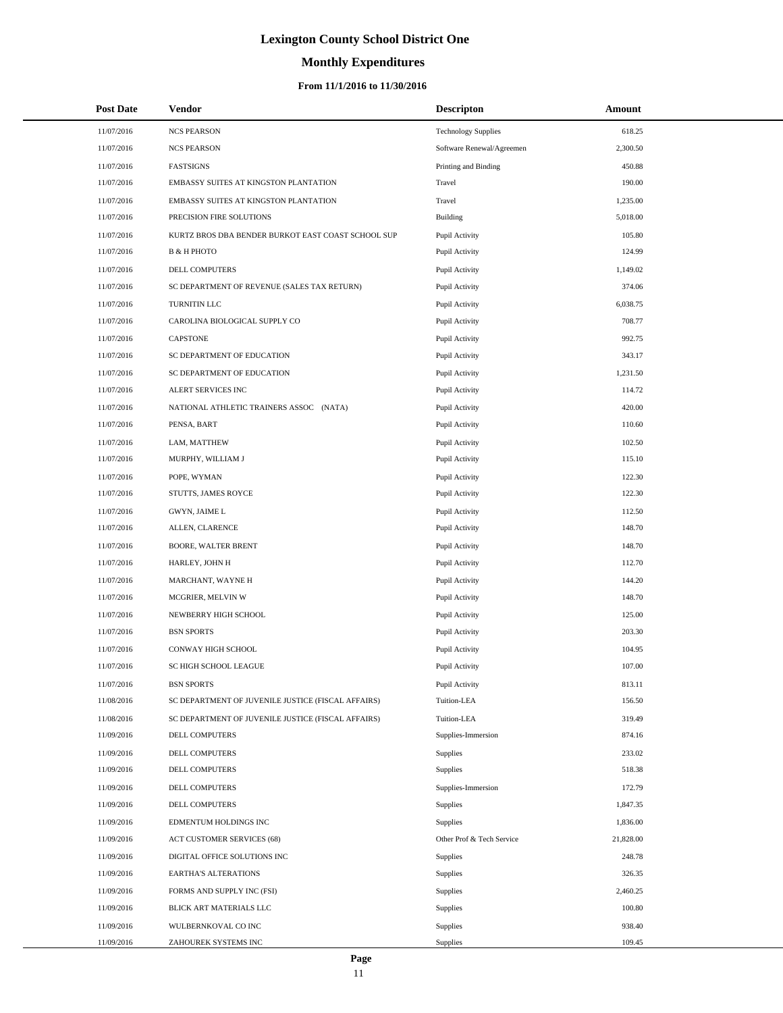# **Monthly Expenditures**

| <b>Post Date</b> | Vendor                                             | <b>Descripton</b>          | Amount    |
|------------------|----------------------------------------------------|----------------------------|-----------|
| 11/07/2016       | <b>NCS PEARSON</b>                                 | <b>Technology Supplies</b> | 618.25    |
| 11/07/2016       | <b>NCS PEARSON</b>                                 | Software Renewal/Agreemen  | 2,300.50  |
| 11/07/2016       | <b>FASTSIGNS</b>                                   | Printing and Binding       | 450.88    |
| 11/07/2016       | EMBASSY SUITES AT KINGSTON PLANTATION              | Travel                     | 190.00    |
| 11/07/2016       | EMBASSY SUITES AT KINGSTON PLANTATION              | Travel                     | 1,235.00  |
| 11/07/2016       | PRECISION FIRE SOLUTIONS                           | <b>Building</b>            | 5,018.00  |
| 11/07/2016       | KURTZ BROS DBA BENDER BURKOT EAST COAST SCHOOL SUP | Pupil Activity             | 105.80    |
| 11/07/2016       | <b>B &amp; H PHOTO</b>                             | Pupil Activity             | 124.99    |
| 11/07/2016       | <b>DELL COMPUTERS</b>                              | Pupil Activity             | 1,149.02  |
| 11/07/2016       | SC DEPARTMENT OF REVENUE (SALES TAX RETURN)        | Pupil Activity             | 374.06    |
| 11/07/2016       | TURNITIN LLC                                       | Pupil Activity             | 6,038.75  |
| 11/07/2016       | CAROLINA BIOLOGICAL SUPPLY CO                      | Pupil Activity             | 708.77    |
| 11/07/2016       | <b>CAPSTONE</b>                                    | Pupil Activity             | 992.75    |
| 11/07/2016       | SC DEPARTMENT OF EDUCATION                         | Pupil Activity             | 343.17    |
| 11/07/2016       | SC DEPARTMENT OF EDUCATION                         | Pupil Activity             | 1,231.50  |
| 11/07/2016       | ALERT SERVICES INC                                 | Pupil Activity             | 114.72    |
| 11/07/2016       | NATIONAL ATHLETIC TRAINERS ASSOC (NATA)            | Pupil Activity             | 420.00    |
| 11/07/2016       | PENSA, BART                                        | Pupil Activity             | 110.60    |
| 11/07/2016       | LAM, MATTHEW                                       | Pupil Activity             | 102.50    |
| 11/07/2016       | MURPHY, WILLIAM J                                  | Pupil Activity             | 115.10    |
| 11/07/2016       | POPE, WYMAN                                        | Pupil Activity             | 122.30    |
| 11/07/2016       | STUTTS, JAMES ROYCE                                | Pupil Activity             | 122.30    |
| 11/07/2016       | GWYN, JAIME L                                      | Pupil Activity             | 112.50    |
| 11/07/2016       | ALLEN, CLARENCE                                    | Pupil Activity             | 148.70    |
| 11/07/2016       | BOORE, WALTER BRENT                                | Pupil Activity             | 148.70    |
| 11/07/2016       | HARLEY, JOHN H                                     | Pupil Activity             | 112.70    |
| 11/07/2016       | MARCHANT, WAYNE H                                  | Pupil Activity             | 144.20    |
| 11/07/2016       | MCGRIER, MELVIN W                                  | Pupil Activity             | 148.70    |
| 11/07/2016       | NEWBERRY HIGH SCHOOL                               | Pupil Activity             | 125.00    |
| 11/07/2016       | <b>BSN SPORTS</b>                                  | Pupil Activity             | 203.30    |
| 11/07/2016       | <b>CONWAY HIGH SCHOOL</b>                          | Pupil Activity             | 104.95    |
| 11/07/2016       | SC HIGH SCHOOL LEAGUE                              | Pupil Activity             | 107.00    |
| 11/07/2016       | <b>BSN SPORTS</b>                                  | Pupil Activity             | 813.11    |
| 11/08/2016       | SC DEPARTMENT OF JUVENILE JUSTICE (FISCAL AFFAIRS) | Tuition-LEA                | 156.50    |
| 11/08/2016       | SC DEPARTMENT OF JUVENILE JUSTICE (FISCAL AFFAIRS) | Tuition-LEA                | 319.49    |
| 11/09/2016       | DELL COMPUTERS                                     | Supplies-Immersion         | 874.16    |
| 11/09/2016       | DELL COMPUTERS                                     | <b>Supplies</b>            | 233.02    |
| 11/09/2016       | DELL COMPUTERS                                     | <b>Supplies</b>            | 518.38    |
| 11/09/2016       | DELL COMPUTERS                                     | Supplies-Immersion         | 172.79    |
| 11/09/2016       | DELL COMPUTERS                                     | Supplies                   | 1,847.35  |
| 11/09/2016       | EDMENTUM HOLDINGS INC                              | <b>Supplies</b>            | 1,836.00  |
| 11/09/2016       | ACT CUSTOMER SERVICES (68)                         | Other Prof & Tech Service  | 21,828.00 |
| 11/09/2016       | DIGITAL OFFICE SOLUTIONS INC                       | <b>Supplies</b>            | 248.78    |
| 11/09/2016       | <b>EARTHA'S ALTERATIONS</b>                        | Supplies                   | 326.35    |
| 11/09/2016       | FORMS AND SUPPLY INC (FSI)                         | <b>Supplies</b>            | 2,460.25  |
| 11/09/2016       | BLICK ART MATERIALS LLC                            | <b>Supplies</b>            | 100.80    |
| 11/09/2016       | WULBERNKOVAL CO INC                                | <b>Supplies</b>            | 938.40    |
| 11/09/2016       | ZAHOUREK SYSTEMS INC                               | Supplies                   | 109.45    |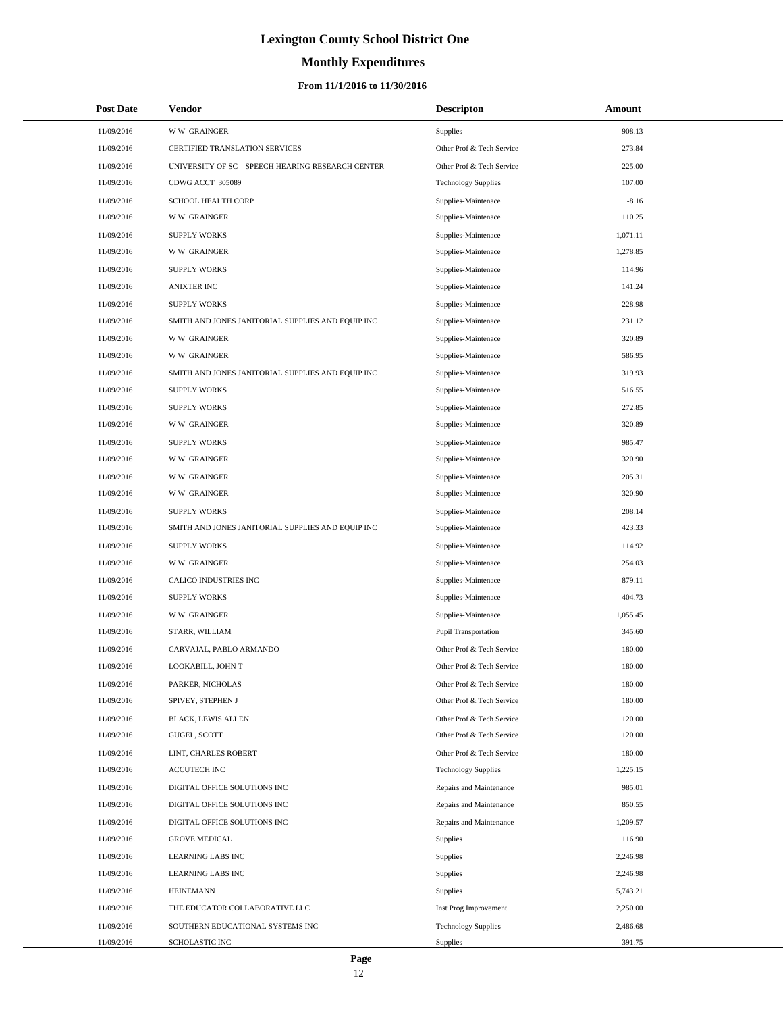# **Monthly Expenditures**

### **From 11/1/2016 to 11/30/2016**

| <b>Post Date</b> | Vendor                                            | <b>Descripton</b>          | Amount   |  |
|------------------|---------------------------------------------------|----------------------------|----------|--|
| 11/09/2016       | <b>WW GRAINGER</b>                                | <b>Supplies</b>            | 908.13   |  |
| 11/09/2016       | CERTIFIED TRANSLATION SERVICES                    | Other Prof & Tech Service  | 273.84   |  |
| 11/09/2016       | UNIVERSITY OF SC SPEECH HEARING RESEARCH CENTER   | Other Prof & Tech Service  | 225.00   |  |
| 11/09/2016       | CDWG ACCT 305089                                  | <b>Technology Supplies</b> | 107.00   |  |
| 11/09/2016       | SCHOOL HEALTH CORP                                | Supplies-Maintenace        | $-8.16$  |  |
| 11/09/2016       | <b>WW GRAINGER</b>                                | Supplies-Maintenace        | 110.25   |  |
| 11/09/2016       | <b>SUPPLY WORKS</b>                               | Supplies-Maintenace        | 1,071.11 |  |
| 11/09/2016       | <b>WW GRAINGER</b>                                | Supplies-Maintenace        | 1,278.85 |  |
| 11/09/2016       | <b>SUPPLY WORKS</b>                               | Supplies-Maintenace        | 114.96   |  |
| 11/09/2016       | <b>ANIXTER INC</b>                                | Supplies-Maintenace        | 141.24   |  |
| 11/09/2016       | <b>SUPPLY WORKS</b>                               | Supplies-Maintenace        | 228.98   |  |
| 11/09/2016       | SMITH AND JONES JANITORIAL SUPPLIES AND EQUIP INC | Supplies-Maintenace        | 231.12   |  |
| 11/09/2016       | <b>WW GRAINGER</b>                                | Supplies-Maintenace        | 320.89   |  |
| 11/09/2016       | <b>WW GRAINGER</b>                                | Supplies-Maintenace        | 586.95   |  |
| 11/09/2016       | SMITH AND JONES JANITORIAL SUPPLIES AND EQUIP INC | Supplies-Maintenace        | 319.93   |  |
| 11/09/2016       | <b>SUPPLY WORKS</b>                               | Supplies-Maintenace        | 516.55   |  |
| 11/09/2016       | <b>SUPPLY WORKS</b>                               | Supplies-Maintenace        | 272.85   |  |
| 11/09/2016       | <b>WW GRAINGER</b>                                | Supplies-Maintenace        | 320.89   |  |
| 11/09/2016       | <b>SUPPLY WORKS</b>                               | Supplies-Maintenace        | 985.47   |  |
| 11/09/2016       | <b>WW GRAINGER</b>                                | Supplies-Maintenace        | 320.90   |  |
| 11/09/2016       | <b>WW GRAINGER</b>                                | Supplies-Maintenace        | 205.31   |  |
| 11/09/2016       | <b>WW GRAINGER</b>                                | Supplies-Maintenace        | 320.90   |  |
| 11/09/2016       | <b>SUPPLY WORKS</b>                               | Supplies-Maintenace        | 208.14   |  |
| 11/09/2016       | SMITH AND JONES JANITORIAL SUPPLIES AND EQUIP INC | Supplies-Maintenace        | 423.33   |  |
| 11/09/2016       | <b>SUPPLY WORKS</b>                               | Supplies-Maintenace        | 114.92   |  |
| 11/09/2016       | <b>WW GRAINGER</b>                                | Supplies-Maintenace        | 254.03   |  |
| 11/09/2016       | CALICO INDUSTRIES INC                             | Supplies-Maintenace        | 879.11   |  |
| 11/09/2016       | <b>SUPPLY WORKS</b>                               | Supplies-Maintenace        | 404.73   |  |
| 11/09/2016       | <b>WW GRAINGER</b>                                | Supplies-Maintenace        | 1,055.45 |  |
| 11/09/2016       | STARR, WILLIAM                                    | Pupil Transportation       | 345.60   |  |
| 11/09/2016       | CARVAJAL, PABLO ARMANDO                           | Other Prof & Tech Service  | 180.00   |  |
| 11/09/2016       | LOOKABILL, JOHN T                                 | Other Prof & Tech Service  | 180.00   |  |
| 11/09/2016       | PARKER, NICHOLAS                                  | Other Prof & Tech Service  | 180.00   |  |
| 11/09/2016       | SPIVEY, STEPHEN J                                 | Other Prof & Tech Service  | 180.00   |  |
| 11/09/2016       | <b>BLACK, LEWIS ALLEN</b>                         | Other Prof & Tech Service  | 120.00   |  |
| 11/09/2016       | GUGEL, SCOTT                                      | Other Prof & Tech Service  | 120.00   |  |
| 11/09/2016       | LINT, CHARLES ROBERT                              | Other Prof & Tech Service  | 180.00   |  |
| 11/09/2016       | <b>ACCUTECH INC</b>                               | <b>Technology Supplies</b> | 1,225.15 |  |
| 11/09/2016       | DIGITAL OFFICE SOLUTIONS INC                      | Repairs and Maintenance    | 985.01   |  |
| 11/09/2016       | DIGITAL OFFICE SOLUTIONS INC                      | Repairs and Maintenance    | 850.55   |  |
| 11/09/2016       | DIGITAL OFFICE SOLUTIONS INC                      | Repairs and Maintenance    | 1,209.57 |  |
| 11/09/2016       | <b>GROVE MEDICAL</b>                              | <b>Supplies</b>            | 116.90   |  |
| 11/09/2016       | LEARNING LABS INC                                 | <b>Supplies</b>            | 2,246.98 |  |
| 11/09/2016       | LEARNING LABS INC                                 | <b>Supplies</b>            | 2,246.98 |  |
| 11/09/2016       | <b>HEINEMANN</b>                                  | <b>Supplies</b>            | 5,743.21 |  |
| 11/09/2016       | THE EDUCATOR COLLABORATIVE LLC                    | Inst Prog Improvement      | 2,250.00 |  |
| 11/09/2016       | SOUTHERN EDUCATIONAL SYSTEMS INC                  | <b>Technology Supplies</b> | 2,486.68 |  |
| 11/09/2016       | SCHOLASTIC INC                                    | Supplies                   | 391.75   |  |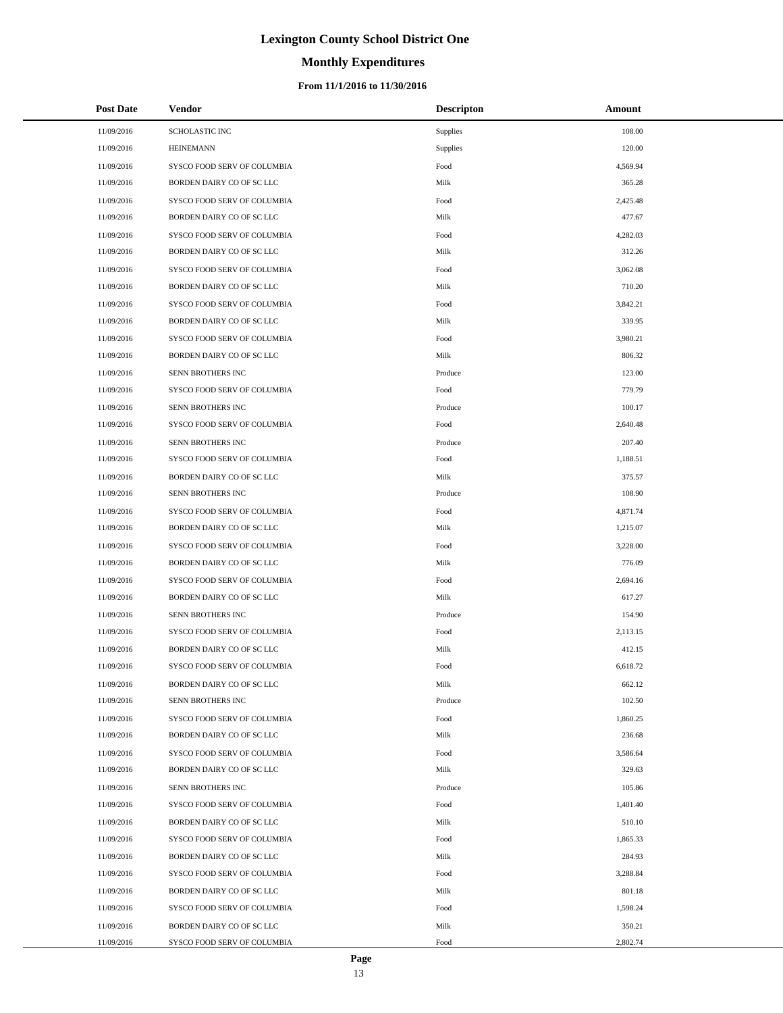# **Monthly Expenditures**

### **From 11/1/2016 to 11/30/2016**

| <b>Post Date</b> | Vendor                      | <b>Descripton</b> | Amount   |
|------------------|-----------------------------|-------------------|----------|
| 11/09/2016       | <b>SCHOLASTIC INC</b>       | Supplies          | 108.00   |
| 11/09/2016       | <b>HEINEMANN</b>            | Supplies          | 120.00   |
| 11/09/2016       | SYSCO FOOD SERV OF COLUMBIA | Food              | 4,569.94 |
| 11/09/2016       | BORDEN DAIRY CO OF SC LLC   | Milk              | 365.28   |
| 11/09/2016       | SYSCO FOOD SERV OF COLUMBIA | Food              | 2,425.48 |
| 11/09/2016       | BORDEN DAIRY CO OF SC LLC   | Milk              | 477.67   |
| 11/09/2016       | SYSCO FOOD SERV OF COLUMBIA | Food              | 4,282.03 |
| 11/09/2016       | BORDEN DAIRY CO OF SC LLC   | Milk              | 312.26   |
| 11/09/2016       | SYSCO FOOD SERV OF COLUMBIA | Food              | 3,062.08 |
| 11/09/2016       | BORDEN DAIRY CO OF SC LLC   | Milk              | 710.20   |
| 11/09/2016       | SYSCO FOOD SERV OF COLUMBIA | Food              | 3,842.21 |
| 11/09/2016       | BORDEN DAIRY CO OF SC LLC   | Milk              | 339.95   |
| 11/09/2016       | SYSCO FOOD SERV OF COLUMBIA | Food              | 3,980.21 |
| 11/09/2016       | BORDEN DAIRY CO OF SC LLC   | Milk              | 806.32   |
| 11/09/2016       | SENN BROTHERS INC           | Produce           | 123.00   |
| 11/09/2016       | SYSCO FOOD SERV OF COLUMBIA | Food              | 779.79   |
| 11/09/2016       | SENN BROTHERS INC           | Produce           | 100.17   |
| 11/09/2016       | SYSCO FOOD SERV OF COLUMBIA | Food              | 2,640.48 |
| 11/09/2016       | SENN BROTHERS INC           | Produce           | 207.40   |
| 11/09/2016       | SYSCO FOOD SERV OF COLUMBIA | Food              | 1,188.51 |
| 11/09/2016       | BORDEN DAIRY CO OF SC LLC   | Milk              | 375.57   |
| 11/09/2016       | SENN BROTHERS INC           | Produce           | 108.90   |
| 11/09/2016       | SYSCO FOOD SERV OF COLUMBIA | Food              | 4,871.74 |
| 11/09/2016       | BORDEN DAIRY CO OF SC LLC   | Milk              | 1,215.07 |
| 11/09/2016       | SYSCO FOOD SERV OF COLUMBIA | Food              | 3,228.00 |
| 11/09/2016       | BORDEN DAIRY CO OF SC LLC   | Milk              | 776.09   |
| 11/09/2016       | SYSCO FOOD SERV OF COLUMBIA | Food              | 2,694.16 |
| 11/09/2016       | BORDEN DAIRY CO OF SC LLC   | Milk              | 617.27   |
| 11/09/2016       | SENN BROTHERS INC           | Produce           | 154.90   |
| 11/09/2016       | SYSCO FOOD SERV OF COLUMBIA | Food              | 2,113.15 |
| 11/09/2016       | BORDEN DAIRY CO OF SC LLC   | Milk              | 412.15   |
| 11/09/2016       | SYSCO FOOD SERV OF COLUMBIA | Food              | 6,618.72 |
| 11/09/2016       | BORDEN DAIRY CO OF SC LLC   | Milk              | 662.12   |
| 11/09/2016       | SENN BROTHERS INC           | Produce           | 102.50   |
| 11/09/2016       | SYSCO FOOD SERV OF COLUMBIA | Food              | 1,860.25 |
| 11/09/2016       | BORDEN DAIRY CO OF SC LLC   | Milk              | 236.68   |
| 11/09/2016       | SYSCO FOOD SERV OF COLUMBIA | Food              | 3,586.64 |
| 11/09/2016       | BORDEN DAIRY CO OF SC LLC   | Milk              | 329.63   |
| 11/09/2016       | SENN BROTHERS INC           | Produce           | 105.86   |
| 11/09/2016       | SYSCO FOOD SERV OF COLUMBIA | Food              | 1,401.40 |
| 11/09/2016       | BORDEN DAIRY CO OF SC LLC   | Milk              | 510.10   |
| 11/09/2016       | SYSCO FOOD SERV OF COLUMBIA | Food              | 1,865.33 |
| 11/09/2016       | BORDEN DAIRY CO OF SC LLC   | Milk              | 284.93   |
| 11/09/2016       | SYSCO FOOD SERV OF COLUMBIA | Food              | 3,288.84 |
| 11/09/2016       | BORDEN DAIRY CO OF SC LLC   | Milk              | 801.18   |
| 11/09/2016       | SYSCO FOOD SERV OF COLUMBIA | Food              | 1,598.24 |
| 11/09/2016       | BORDEN DAIRY CO OF SC LLC   | Milk              | 350.21   |
| 11/09/2016       | SYSCO FOOD SERV OF COLUMBIA | Food              | 2,802.74 |

÷.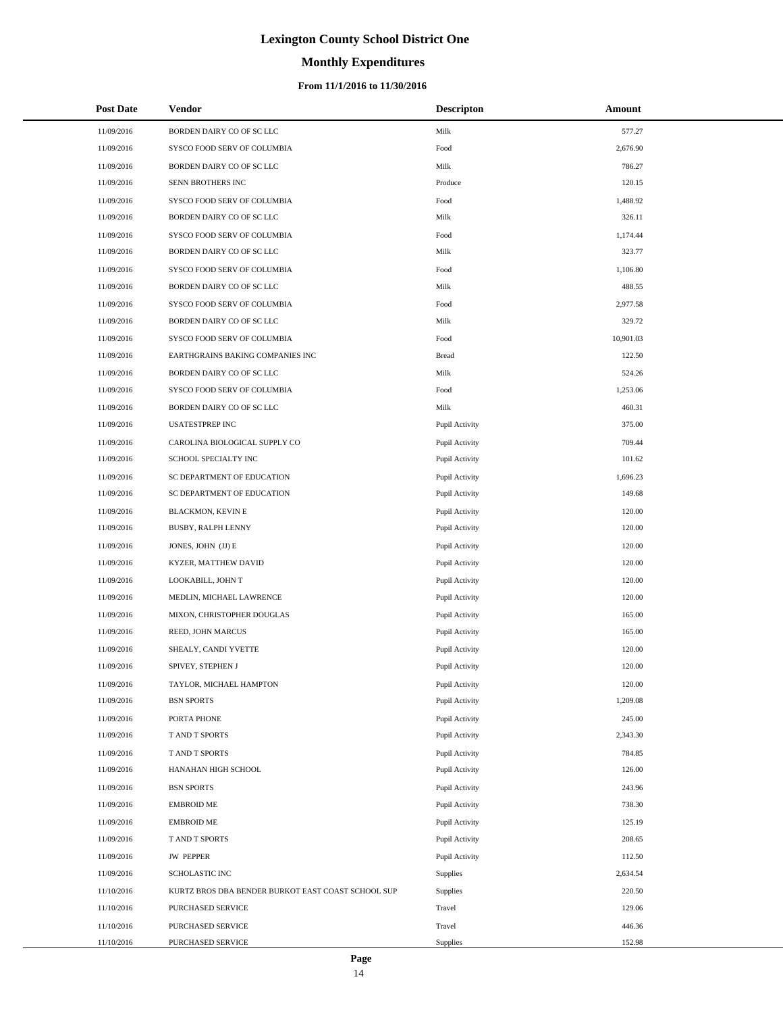# **Monthly Expenditures**

### **From 11/1/2016 to 11/30/2016**

| <b>Post Date</b> | <b>Vendor</b>                                      | <b>Descripton</b> | Amount    |
|------------------|----------------------------------------------------|-------------------|-----------|
| 11/09/2016       | BORDEN DAIRY CO OF SC LLC                          | Milk              | 577.27    |
| 11/09/2016       | SYSCO FOOD SERV OF COLUMBIA                        | Food              | 2,676.90  |
| 11/09/2016       | BORDEN DAIRY CO OF SC LLC                          | Milk              | 786.27    |
| 11/09/2016       | SENN BROTHERS INC                                  | Produce           | 120.15    |
| 11/09/2016       | SYSCO FOOD SERV OF COLUMBIA                        | Food              | 1,488.92  |
| 11/09/2016       | BORDEN DAIRY CO OF SC LLC                          | Milk              | 326.11    |
| 11/09/2016       | SYSCO FOOD SERV OF COLUMBIA                        | Food              | 1,174.44  |
| 11/09/2016       | BORDEN DAIRY CO OF SC LLC                          | Milk              | 323.77    |
| 11/09/2016       | SYSCO FOOD SERV OF COLUMBIA                        | Food              | 1,106.80  |
| 11/09/2016       | BORDEN DAIRY CO OF SC LLC                          | Milk              | 488.55    |
| 11/09/2016       | SYSCO FOOD SERV OF COLUMBIA                        | Food              | 2,977.58  |
| 11/09/2016       | BORDEN DAIRY CO OF SC LLC                          | Milk              | 329.72    |
| 11/09/2016       | SYSCO FOOD SERV OF COLUMBIA                        | Food              | 10,901.03 |
| 11/09/2016       | EARTHGRAINS BAKING COMPANIES INC                   | <b>Bread</b>      | 122.50    |
| 11/09/2016       | BORDEN DAIRY CO OF SC LLC                          | Milk              | 524.26    |
| 11/09/2016       | SYSCO FOOD SERV OF COLUMBIA                        | Food              | 1,253.06  |
| 11/09/2016       | BORDEN DAIRY CO OF SC LLC                          | Milk              | 460.31    |
| 11/09/2016       | <b>USATESTPREP INC</b>                             | Pupil Activity    | 375.00    |
| 11/09/2016       | CAROLINA BIOLOGICAL SUPPLY CO                      | Pupil Activity    | 709.44    |
| 11/09/2016       | SCHOOL SPECIALTY INC                               | Pupil Activity    | 101.62    |
| 11/09/2016       | SC DEPARTMENT OF EDUCATION                         | Pupil Activity    | 1,696.23  |
| 11/09/2016       | SC DEPARTMENT OF EDUCATION                         | Pupil Activity    | 149.68    |
| 11/09/2016       | <b>BLACKMON, KEVIN E</b>                           | Pupil Activity    | 120.00    |
| 11/09/2016       | BUSBY, RALPH LENNY                                 | Pupil Activity    | 120.00    |
| 11/09/2016       | JONES, JOHN (JJ) E                                 | Pupil Activity    | 120.00    |
| 11/09/2016       | KYZER, MATTHEW DAVID                               | Pupil Activity    | 120.00    |
| 11/09/2016       | LOOKABILL, JOHN T                                  | Pupil Activity    | 120.00    |
| 11/09/2016       | MEDLIN, MICHAEL LAWRENCE                           | Pupil Activity    | 120.00    |
| 11/09/2016       | MIXON, CHRISTOPHER DOUGLAS                         | Pupil Activity    | 165.00    |
| 11/09/2016       | REED, JOHN MARCUS                                  | Pupil Activity    | 165.00    |
| 11/09/2016       | SHEALY, CANDI YVETTE                               | Pupil Activity    | 120.00    |
| 11/09/2016       | SPIVEY, STEPHEN J                                  | Pupil Activity    | 120.00    |
| 11/09/2016       | TAYLOR, MICHAEL HAMPTON                            | Pupil Activity    | 120.00    |
| 11/09/2016       | <b>BSN SPORTS</b>                                  | Pupil Activity    | 1,209.08  |
| 11/09/2016       | PORTA PHONE                                        | Pupil Activity    | 245.00    |
| 11/09/2016       | T AND T SPORTS                                     | Pupil Activity    | 2,343.30  |
| 11/09/2016       | T AND T SPORTS                                     | Pupil Activity    | 784.85    |
| 11/09/2016       | HANAHAN HIGH SCHOOL                                | Pupil Activity    | 126.00    |
| 11/09/2016       | <b>BSN SPORTS</b>                                  | Pupil Activity    | 243.96    |
| 11/09/2016       | <b>EMBROID ME</b>                                  | Pupil Activity    | 738.30    |
| 11/09/2016       | <b>EMBROID ME</b>                                  | Pupil Activity    | 125.19    |
| 11/09/2016       | T AND T SPORTS                                     | Pupil Activity    | 208.65    |
| 11/09/2016       | <b>JW PEPPER</b>                                   | Pupil Activity    | 112.50    |
| 11/09/2016       | SCHOLASTIC INC                                     | Supplies          | 2,634.54  |
| 11/10/2016       | KURTZ BROS DBA BENDER BURKOT EAST COAST SCHOOL SUP | Supplies          | 220.50    |
| 11/10/2016       | PURCHASED SERVICE                                  | Travel            | 129.06    |
| 11/10/2016       | PURCHASED SERVICE                                  | Travel            | 446.36    |
| 11/10/2016       | PURCHASED SERVICE                                  | Supplies          | 152.98    |

L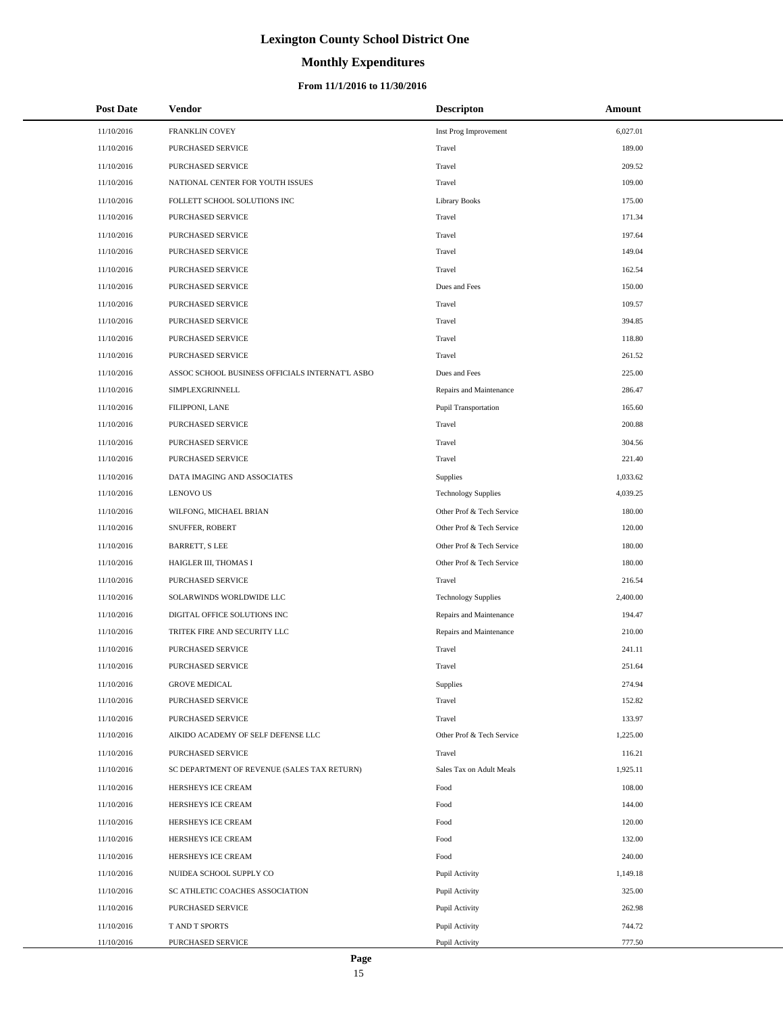# **Monthly Expenditures**

### **From 11/1/2016 to 11/30/2016**

| <b>Post Date</b> | Vendor                                          | <b>Descripton</b>          | Amount   |
|------------------|-------------------------------------------------|----------------------------|----------|
| 11/10/2016       | FRANKLIN COVEY                                  | Inst Prog Improvement      | 6,027.01 |
| 11/10/2016       | PURCHASED SERVICE                               | Travel                     | 189.00   |
| 11/10/2016       | PURCHASED SERVICE                               | Travel                     | 209.52   |
| 11/10/2016       | NATIONAL CENTER FOR YOUTH ISSUES                | Travel                     | 109.00   |
| 11/10/2016       | FOLLETT SCHOOL SOLUTIONS INC                    | <b>Library Books</b>       | 175.00   |
| 11/10/2016       | PURCHASED SERVICE                               | Travel                     | 171.34   |
| 11/10/2016       | PURCHASED SERVICE                               | Travel                     | 197.64   |
| 11/10/2016       | PURCHASED SERVICE                               | Travel                     | 149.04   |
| 11/10/2016       | PURCHASED SERVICE                               | Travel                     | 162.54   |
| 11/10/2016       | PURCHASED SERVICE                               | Dues and Fees              | 150.00   |
| 11/10/2016       | PURCHASED SERVICE                               | Travel                     | 109.57   |
| 11/10/2016       | PURCHASED SERVICE                               | Travel                     | 394.85   |
| 11/10/2016       | PURCHASED SERVICE                               | Travel                     | 118.80   |
| 11/10/2016       | PURCHASED SERVICE                               | Travel                     | 261.52   |
| 11/10/2016       | ASSOC SCHOOL BUSINESS OFFICIALS INTERNAT'L ASBO | Dues and Fees              | 225.00   |
| 11/10/2016       | SIMPLEXGRINNELL                                 | Repairs and Maintenance    | 286.47   |
| 11/10/2016       | FILIPPONI, LANE                                 | Pupil Transportation       | 165.60   |
| 11/10/2016       | PURCHASED SERVICE                               | Travel                     | 200.88   |
| 11/10/2016       | PURCHASED SERVICE                               | Travel                     | 304.56   |
| 11/10/2016       | PURCHASED SERVICE                               | Travel                     | 221.40   |
| 11/10/2016       | DATA IMAGING AND ASSOCIATES                     | <b>Supplies</b>            | 1,033.62 |
| 11/10/2016       | <b>LENOVO US</b>                                | <b>Technology Supplies</b> | 4,039.25 |
| 11/10/2016       | WILFONG, MICHAEL BRIAN                          | Other Prof & Tech Service  | 180.00   |
| 11/10/2016       | SNUFFER, ROBERT                                 | Other Prof & Tech Service  | 120.00   |
| 11/10/2016       | <b>BARRETT, S LEE</b>                           | Other Prof & Tech Service  | 180.00   |
| 11/10/2016       | HAIGLER III, THOMAS I                           | Other Prof & Tech Service  | 180.00   |
| 11/10/2016       | PURCHASED SERVICE                               | Travel                     | 216.54   |
| 11/10/2016       | SOLARWINDS WORLDWIDE LLC                        | <b>Technology Supplies</b> | 2,400.00 |
| 11/10/2016       | DIGITAL OFFICE SOLUTIONS INC                    | Repairs and Maintenance    | 194.47   |
| 11/10/2016       | TRITEK FIRE AND SECURITY LLC                    | Repairs and Maintenance    | 210.00   |
| 11/10/2016       | <b>PURCHASED SERVICE</b>                        | Travel                     | 241.11   |
| 11/10/2016       | <b>PURCHASED SERVICE</b>                        | Travel                     | 251.64   |
| 11/10/2016       | <b>GROVE MEDICAL</b>                            | Supplies                   | 274.94   |
| 11/10/2016       | PURCHASED SERVICE                               | Travel                     | 152.82   |
| 11/10/2016       | PURCHASED SERVICE                               | Travel                     | 133.97   |
| 11/10/2016       | AIKIDO ACADEMY OF SELF DEFENSE LLC              | Other Prof & Tech Service  | 1,225.00 |
| 11/10/2016       | PURCHASED SERVICE                               | Travel                     | 116.21   |
| 11/10/2016       | SC DEPARTMENT OF REVENUE (SALES TAX RETURN)     | Sales Tax on Adult Meals   | 1,925.11 |
| 11/10/2016       | HERSHEYS ICE CREAM                              | Food                       | 108.00   |
| 11/10/2016       | HERSHEYS ICE CREAM                              | Food                       | 144.00   |
| 11/10/2016       | HERSHEYS ICE CREAM                              | Food                       | 120.00   |
| 11/10/2016       | HERSHEYS ICE CREAM                              | Food                       | 132.00   |
| 11/10/2016       | HERSHEYS ICE CREAM                              | Food                       | 240.00   |
| 11/10/2016       | NUIDEA SCHOOL SUPPLY CO                         | Pupil Activity             | 1,149.18 |
| 11/10/2016       | SC ATHLETIC COACHES ASSOCIATION                 | Pupil Activity             | 325.00   |
| 11/10/2016       | PURCHASED SERVICE                               | Pupil Activity             | 262.98   |
| 11/10/2016       | T AND T SPORTS                                  | Pupil Activity             | 744.72   |
| 11/10/2016       | PURCHASED SERVICE                               | Pupil Activity             | 777.50   |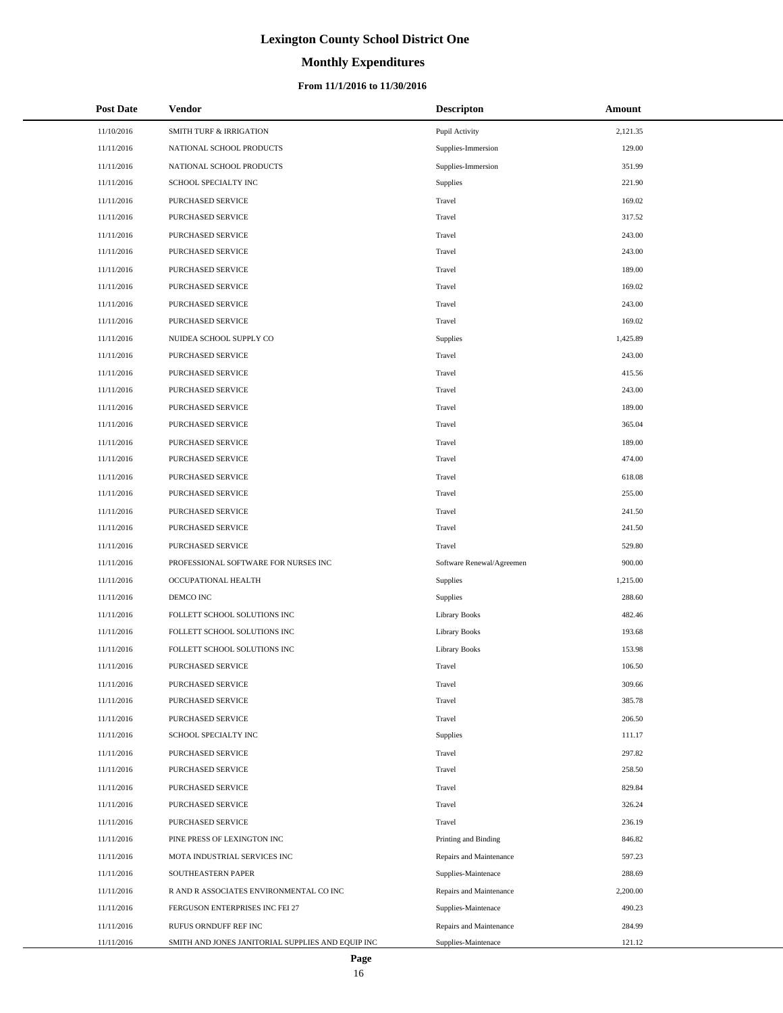# **Monthly Expenditures**

### **From 11/1/2016 to 11/30/2016**

| <b>Post Date</b> | Vendor                                            | <b>Descripton</b>         | Amount   |
|------------------|---------------------------------------------------|---------------------------|----------|
| 11/10/2016       | <b>SMITH TURF &amp; IRRIGATION</b>                | Pupil Activity            | 2,121.35 |
| 11/11/2016       | NATIONAL SCHOOL PRODUCTS                          | Supplies-Immersion        | 129.00   |
| 11/11/2016       | NATIONAL SCHOOL PRODUCTS                          | Supplies-Immersion        | 351.99   |
| 11/11/2016       | SCHOOL SPECIALTY INC                              | Supplies                  | 221.90   |
| 11/11/2016       | PURCHASED SERVICE                                 | Travel                    | 169.02   |
| 11/11/2016       | PURCHASED SERVICE                                 | Travel                    | 317.52   |
| 11/11/2016       | PURCHASED SERVICE                                 | Travel                    | 243.00   |
| 11/11/2016       | PURCHASED SERVICE                                 | Travel                    | 243.00   |
| 11/11/2016       | PURCHASED SERVICE                                 | Travel                    | 189.00   |
| 11/11/2016       | PURCHASED SERVICE                                 | Travel                    | 169.02   |
| 11/11/2016       | PURCHASED SERVICE                                 | Travel                    | 243.00   |
| 11/11/2016       | PURCHASED SERVICE                                 | Travel                    | 169.02   |
| 11/11/2016       | NUIDEA SCHOOL SUPPLY CO                           | Supplies                  | 1,425.89 |
| 11/11/2016       | <b>PURCHASED SERVICE</b>                          | Travel                    | 243.00   |
| 11/11/2016       | PURCHASED SERVICE                                 | Travel                    | 415.56   |
| 11/11/2016       | PURCHASED SERVICE                                 | Travel                    | 243.00   |
| 11/11/2016       | <b>PURCHASED SERVICE</b>                          | Travel                    | 189.00   |
| 11/11/2016       | <b>PURCHASED SERVICE</b>                          | Travel                    | 365.04   |
| 11/11/2016       | PURCHASED SERVICE                                 | Travel                    | 189.00   |
| 11/11/2016       | PURCHASED SERVICE                                 | Travel                    | 474.00   |
| 11/11/2016       | PURCHASED SERVICE                                 | Travel                    | 618.08   |
| 11/11/2016       | PURCHASED SERVICE                                 | Travel                    | 255.00   |
| 11/11/2016       | PURCHASED SERVICE                                 | Travel                    | 241.50   |
| 11/11/2016       | PURCHASED SERVICE                                 | Travel                    | 241.50   |
| 11/11/2016       | PURCHASED SERVICE                                 | Travel                    | 529.80   |
| 11/11/2016       | PROFESSIONAL SOFTWARE FOR NURSES INC              | Software Renewal/Agreemen | 900.00   |
| 11/11/2016       | OCCUPATIONAL HEALTH                               | Supplies                  | 1,215.00 |
| 11/11/2016       | DEMCO INC                                         | Supplies                  | 288.60   |
| 11/11/2016       | FOLLETT SCHOOL SOLUTIONS INC                      | <b>Library Books</b>      | 482.46   |
| 11/11/2016       | FOLLETT SCHOOL SOLUTIONS INC                      | <b>Library Books</b>      | 193.68   |
| 11/11/2016       | FOLLETT SCHOOL SOLUTIONS INC                      | <b>Library Books</b>      | 153.98   |
| 11/11/2016       | PURCHASED SERVICE                                 | Travel                    | 106.50   |
| 11/11/2016       | PURCHASED SERVICE                                 | Travel                    | 309.66   |
| 11/11/2016       | PURCHASED SERVICE                                 | Travel                    | 385.78   |
| 11/11/2016       | PURCHASED SERVICE                                 | Travel                    | 206.50   |
| 11/11/2016       | SCHOOL SPECIALTY INC                              | Supplies                  | 111.17   |
| 11/11/2016       | <b>PURCHASED SERVICE</b>                          | Travel                    | 297.82   |
| 11/11/2016       | PURCHASED SERVICE                                 | Travel                    | 258.50   |
| 11/11/2016       | PURCHASED SERVICE                                 | Travel                    | 829.84   |
| 11/11/2016       | PURCHASED SERVICE                                 | Travel                    | 326.24   |
| 11/11/2016       | <b>PURCHASED SERVICE</b>                          | Travel                    | 236.19   |
| 11/11/2016       | PINE PRESS OF LEXINGTON INC                       | Printing and Binding      | 846.82   |
| 11/11/2016       | MOTA INDUSTRIAL SERVICES INC                      | Repairs and Maintenance   | 597.23   |
| 11/11/2016       | SOUTHEASTERN PAPER                                | Supplies-Maintenace       | 288.69   |
| 11/11/2016       | R AND R ASSOCIATES ENVIRONMENTAL CO INC           | Repairs and Maintenance   | 2,200.00 |
| 11/11/2016       | FERGUSON ENTERPRISES INC FEI 27                   | Supplies-Maintenace       | 490.23   |
| 11/11/2016       | RUFUS ORNDUFF REF INC                             | Repairs and Maintenance   | 284.99   |
| 11/11/2016       | SMITH AND JONES JANITORIAL SUPPLIES AND EQUIP INC | Supplies-Maintenace       | 121.12   |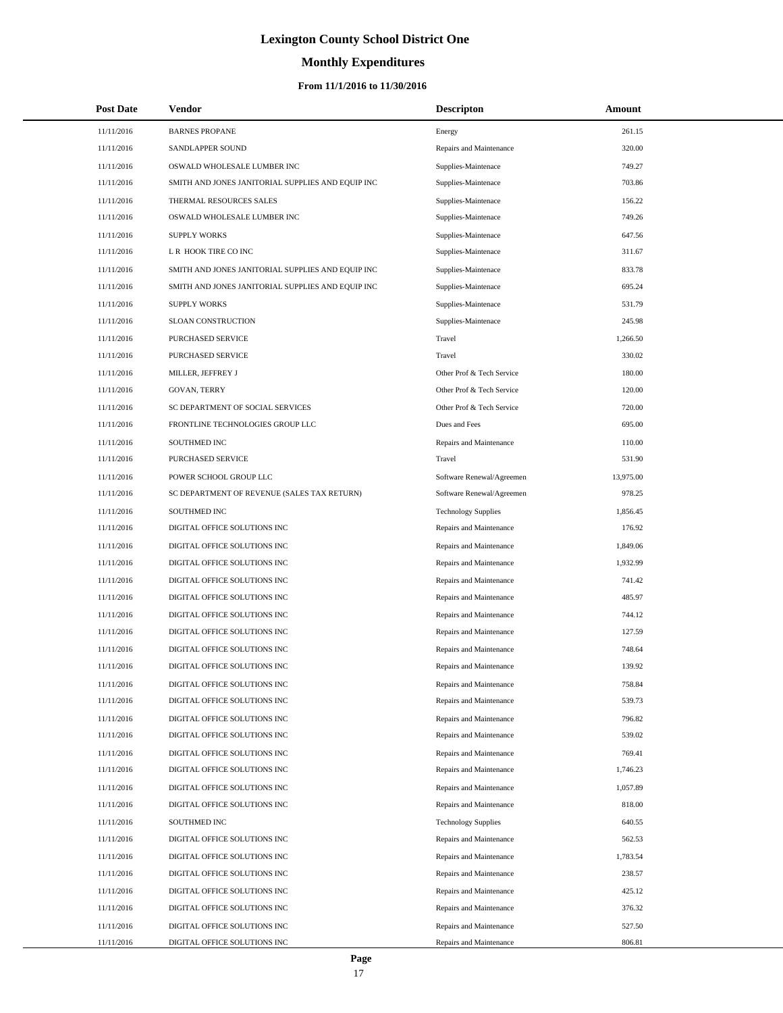# **Monthly Expenditures**

### **From 11/1/2016 to 11/30/2016**

| <b>Post Date</b> | Vendor                                            | <b>Descripton</b>          | Amount    |
|------------------|---------------------------------------------------|----------------------------|-----------|
| 11/11/2016       | <b>BARNES PROPANE</b>                             | Energy                     | 261.15    |
| 11/11/2016       | SANDLAPPER SOUND                                  | Repairs and Maintenance    | 320.00    |
| 11/11/2016       | OSWALD WHOLESALE LUMBER INC                       | Supplies-Maintenace        | 749.27    |
| 11/11/2016       | SMITH AND JONES JANITORIAL SUPPLIES AND EQUIP INC | Supplies-Maintenace        | 703.86    |
| 11/11/2016       | THERMAL RESOURCES SALES                           | Supplies-Maintenace        | 156.22    |
| 11/11/2016       | OSWALD WHOLESALE LUMBER INC                       | Supplies-Maintenace        | 749.26    |
| 11/11/2016       | <b>SUPPLY WORKS</b>                               | Supplies-Maintenace        | 647.56    |
| 11/11/2016       | L R HOOK TIRE CO INC                              | Supplies-Maintenace        | 311.67    |
| 11/11/2016       | SMITH AND JONES JANITORIAL SUPPLIES AND EQUIP INC | Supplies-Maintenace        | 833.78    |
| 11/11/2016       | SMITH AND JONES JANITORIAL SUPPLIES AND EQUIP INC | Supplies-Maintenace        | 695.24    |
| 11/11/2016       | <b>SUPPLY WORKS</b>                               | Supplies-Maintenace        | 531.79    |
| 11/11/2016       | SLOAN CONSTRUCTION                                | Supplies-Maintenace        | 245.98    |
| 11/11/2016       | PURCHASED SERVICE                                 | Travel                     | 1,266.50  |
| 11/11/2016       | PURCHASED SERVICE                                 | Travel                     | 330.02    |
| 11/11/2016       | MILLER, JEFFREY J                                 | Other Prof & Tech Service  | 180.00    |
| 11/11/2016       | <b>GOVAN, TERRY</b>                               | Other Prof & Tech Service  | 120.00    |
| 11/11/2016       | SC DEPARTMENT OF SOCIAL SERVICES                  | Other Prof & Tech Service  | 720.00    |
| 11/11/2016       | FRONTLINE TECHNOLOGIES GROUP LLC                  | Dues and Fees              | 695.00    |
| 11/11/2016       | SOUTHMED INC                                      | Repairs and Maintenance    | 110.00    |
| 11/11/2016       | PURCHASED SERVICE                                 | Travel                     | 531.90    |
| 11/11/2016       | POWER SCHOOL GROUP LLC                            | Software Renewal/Agreemen  | 13,975.00 |
| 11/11/2016       | SC DEPARTMENT OF REVENUE (SALES TAX RETURN)       | Software Renewal/Agreemen  | 978.25    |
| 11/11/2016       | SOUTHMED INC                                      | <b>Technology Supplies</b> | 1,856.45  |
| 11/11/2016       | DIGITAL OFFICE SOLUTIONS INC                      | Repairs and Maintenance    | 176.92    |
| 11/11/2016       | DIGITAL OFFICE SOLUTIONS INC                      | Repairs and Maintenance    | 1,849.06  |
| 11/11/2016       | DIGITAL OFFICE SOLUTIONS INC                      | Repairs and Maintenance    | 1,932.99  |
| 11/11/2016       | DIGITAL OFFICE SOLUTIONS INC                      | Repairs and Maintenance    | 741.42    |
| 11/11/2016       | DIGITAL OFFICE SOLUTIONS INC                      | Repairs and Maintenance    | 485.97    |
| 11/11/2016       | DIGITAL OFFICE SOLUTIONS INC                      | Repairs and Maintenance    | 744.12    |
| 11/11/2016       | DIGITAL OFFICE SOLUTIONS INC                      | Repairs and Maintenance    | 127.59    |
| 11/11/2016       | DIGITAL OFFICE SOLUTIONS INC                      | Repairs and Maintenance    | 748.64    |
| 11/11/2016       | DIGITAL OFFICE SOLUTIONS INC                      | Repairs and Maintenance    | 139.92    |
| 11/11/2016       | DIGITAL OFFICE SOLUTIONS INC                      | Repairs and Maintenance    | 758.84    |
| 11/11/2016       | DIGITAL OFFICE SOLUTIONS INC                      | Repairs and Maintenance    | 539.73    |
| 11/11/2016       | DIGITAL OFFICE SOLUTIONS INC                      | Repairs and Maintenance    | 796.82    |
| 11/11/2016       | DIGITAL OFFICE SOLUTIONS INC                      | Repairs and Maintenance    | 539.02    |
| 11/11/2016       | DIGITAL OFFICE SOLUTIONS INC                      | Repairs and Maintenance    | 769.41    |
| 11/11/2016       | DIGITAL OFFICE SOLUTIONS INC                      | Repairs and Maintenance    | 1,746.23  |
| 11/11/2016       | DIGITAL OFFICE SOLUTIONS INC                      | Repairs and Maintenance    | 1,057.89  |
| 11/11/2016       | DIGITAL OFFICE SOLUTIONS INC                      | Repairs and Maintenance    | 818.00    |
| 11/11/2016       | SOUTHMED INC                                      | <b>Technology Supplies</b> | 640.55    |
| 11/11/2016       | DIGITAL OFFICE SOLUTIONS INC                      | Repairs and Maintenance    | 562.53    |
| 11/11/2016       | DIGITAL OFFICE SOLUTIONS INC                      | Repairs and Maintenance    | 1,783.54  |
| 11/11/2016       | DIGITAL OFFICE SOLUTIONS INC                      | Repairs and Maintenance    | 238.57    |
| 11/11/2016       | DIGITAL OFFICE SOLUTIONS INC                      | Repairs and Maintenance    | 425.12    |
| 11/11/2016       | DIGITAL OFFICE SOLUTIONS INC                      | Repairs and Maintenance    | 376.32    |
| 11/11/2016       | DIGITAL OFFICE SOLUTIONS INC                      | Repairs and Maintenance    | 527.50    |
| 11/11/2016       | DIGITAL OFFICE SOLUTIONS INC                      | Repairs and Maintenance    | 806.81    |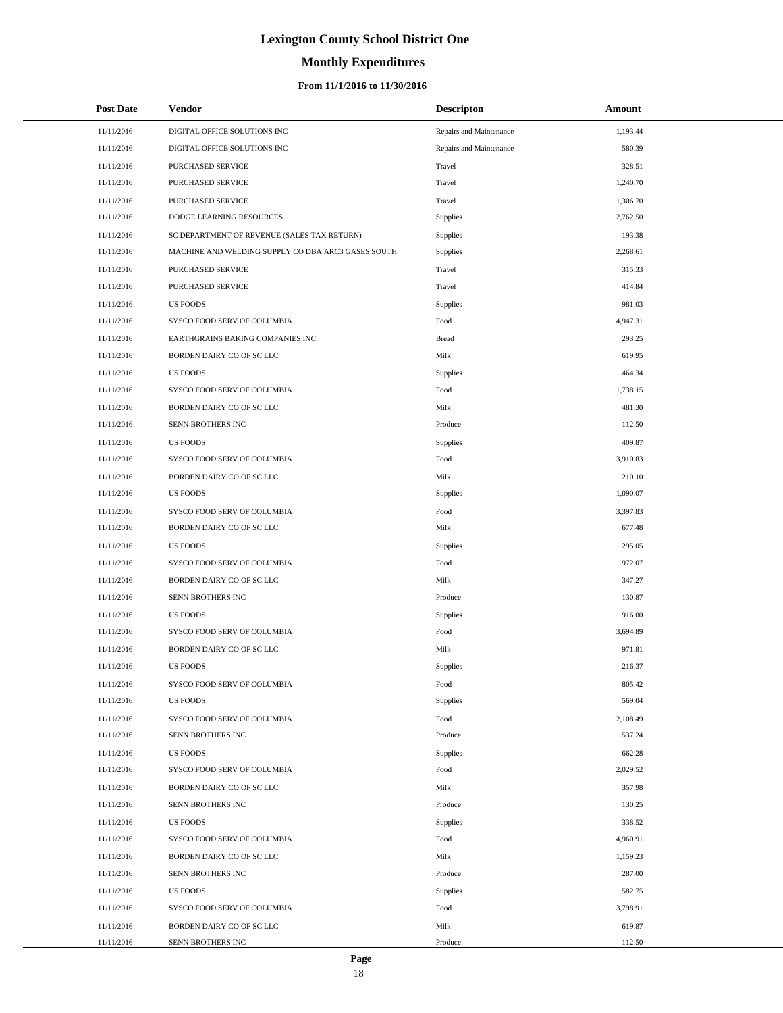# **Monthly Expenditures**

### **From 11/1/2016 to 11/30/2016**

| <b>Post Date</b> | <b>Vendor</b>                                      | <b>Descripton</b>       | Amount   |
|------------------|----------------------------------------------------|-------------------------|----------|
| 11/11/2016       | DIGITAL OFFICE SOLUTIONS INC                       | Repairs and Maintenance | 1,193.44 |
| 11/11/2016       | DIGITAL OFFICE SOLUTIONS INC                       | Repairs and Maintenance | 580.39   |
| 11/11/2016       | PURCHASED SERVICE                                  | Travel                  | 328.51   |
| 11/11/2016       | PURCHASED SERVICE                                  | Travel                  | 1,240.70 |
| 11/11/2016       | PURCHASED SERVICE                                  | Travel                  | 1,306.70 |
| 11/11/2016       | DODGE LEARNING RESOURCES                           | Supplies                | 2,762.50 |
| 11/11/2016       | SC DEPARTMENT OF REVENUE (SALES TAX RETURN)        | Supplies                | 193.38   |
| 11/11/2016       | MACHINE AND WELDING SUPPLY CO DBA ARC3 GASES SOUTH | Supplies                | 2,268.61 |
| 11/11/2016       | PURCHASED SERVICE                                  | Travel                  | 315.33   |
| 11/11/2016       | PURCHASED SERVICE                                  | Travel                  | 414.84   |
| 11/11/2016       | <b>US FOODS</b>                                    | Supplies                | 981.03   |
| 11/11/2016       | SYSCO FOOD SERV OF COLUMBIA                        | Food                    | 4,947.31 |
| 11/11/2016       | EARTHGRAINS BAKING COMPANIES INC                   | <b>Bread</b>            | 293.25   |
| 11/11/2016       | BORDEN DAIRY CO OF SC LLC                          | Milk                    | 619.95   |
| 11/11/2016       | <b>US FOODS</b>                                    | Supplies                | 464.34   |
| 11/11/2016       | SYSCO FOOD SERV OF COLUMBIA                        | Food                    | 1,738.15 |
| 11/11/2016       | BORDEN DAIRY CO OF SC LLC                          | Milk                    | 481.30   |
| 11/11/2016       | SENN BROTHERS INC                                  | Produce                 | 112.50   |
| 11/11/2016       | <b>US FOODS</b>                                    | Supplies                | 409.87   |
| 11/11/2016       | SYSCO FOOD SERV OF COLUMBIA                        | Food                    | 3,910.83 |
| 11/11/2016       | BORDEN DAIRY CO OF SC LLC                          | Milk                    | 210.10   |
| 11/11/2016       | <b>US FOODS</b>                                    | Supplies                | 1,090.07 |
| 11/11/2016       | SYSCO FOOD SERV OF COLUMBIA                        | Food                    | 3,397.83 |
| 11/11/2016       | BORDEN DAIRY CO OF SC LLC                          | Milk                    | 677.48   |
| 11/11/2016       | <b>US FOODS</b>                                    | Supplies                | 295.05   |
| 11/11/2016       | SYSCO FOOD SERV OF COLUMBIA                        | Food                    | 972.07   |
| 11/11/2016       | BORDEN DAIRY CO OF SC LLC                          | Milk                    | 347.27   |
| 11/11/2016       | SENN BROTHERS INC                                  | Produce                 | 130.87   |
| 11/11/2016       | <b>US FOODS</b>                                    | Supplies                | 916.00   |
| 11/11/2016       | SYSCO FOOD SERV OF COLUMBIA                        | Food                    | 3,694.89 |
| 11/11/2016       | BORDEN DAIRY CO OF SC LLC                          | Milk                    | 971.81   |
| 11/11/2016       | <b>US FOODS</b>                                    | Supplies                | 216.37   |
| 11/11/2016       | SYSCO FOOD SERV OF COLUMBIA                        | Food                    | 805.42   |
| 11/11/2016       | <b>US FOODS</b>                                    | Supplies                | 569.04   |
| 11/11/2016       | SYSCO FOOD SERV OF COLUMBIA                        | Food                    | 2,108.49 |
| 11/11/2016       | SENN BROTHERS INC                                  | Produce                 | 537.24   |
| 11/11/2016       | <b>US FOODS</b>                                    | Supplies                | 662.28   |
| 11/11/2016       | SYSCO FOOD SERV OF COLUMBIA                        | Food                    | 2,029.52 |
| 11/11/2016       | BORDEN DAIRY CO OF SC LLC                          | Milk                    | 357.98   |
| 11/11/2016       | SENN BROTHERS INC                                  | Produce                 | 130.25   |
| 11/11/2016       | <b>US FOODS</b>                                    | Supplies                | 338.52   |
| 11/11/2016       | SYSCO FOOD SERV OF COLUMBIA                        | Food                    | 4,960.91 |
| 11/11/2016       | BORDEN DAIRY CO OF SC LLC                          | Milk                    | 1,159.23 |
| 11/11/2016       | SENN BROTHERS INC                                  | Produce                 | 287.00   |
| 11/11/2016       | <b>US FOODS</b>                                    | Supplies                | 582.75   |
| 11/11/2016       | SYSCO FOOD SERV OF COLUMBIA                        | Food                    | 3,798.91 |
| 11/11/2016       | BORDEN DAIRY CO OF SC LLC                          | Milk                    | 619.87   |
| 11/11/2016       | SENN BROTHERS INC                                  | Produce                 | 112.50   |

L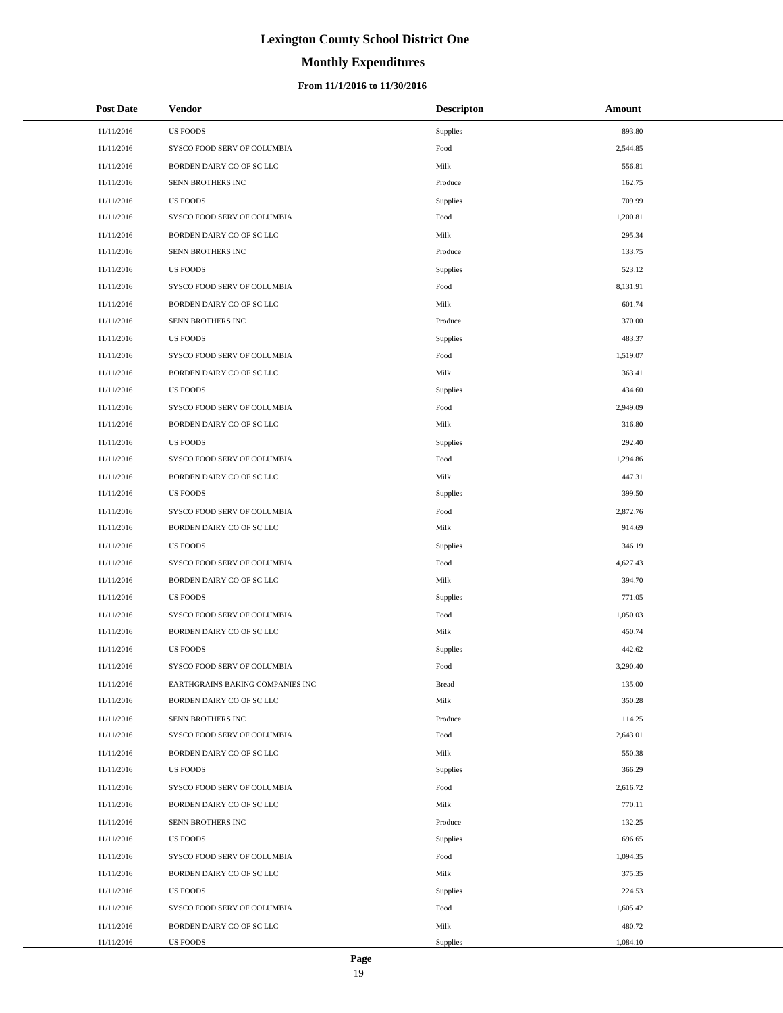# **Monthly Expenditures**

| <b>Post Date</b> | Vendor                           | <b>Descripton</b> | Amount   |
|------------------|----------------------------------|-------------------|----------|
| 11/11/2016       | <b>US FOODS</b>                  | Supplies          | 893.80   |
| 11/11/2016       | SYSCO FOOD SERV OF COLUMBIA      | Food              | 2,544.85 |
| 11/11/2016       | BORDEN DAIRY CO OF SC LLC        | Milk              | 556.81   |
| 11/11/2016       | SENN BROTHERS INC                | Produce           | 162.75   |
| 11/11/2016       | <b>US FOODS</b>                  | Supplies          | 709.99   |
| 11/11/2016       | SYSCO FOOD SERV OF COLUMBIA      | Food              | 1,200.81 |
| 11/11/2016       | BORDEN DAIRY CO OF SC LLC        | Milk              | 295.34   |
| 11/11/2016       | SENN BROTHERS INC                | Produce           | 133.75   |
| 11/11/2016       | <b>US FOODS</b>                  | Supplies          | 523.12   |
| 11/11/2016       | SYSCO FOOD SERV OF COLUMBIA      | Food              | 8,131.91 |
| 11/11/2016       | BORDEN DAIRY CO OF SC LLC        | Milk              | 601.74   |
| 11/11/2016       | SENN BROTHERS INC                | Produce           | 370.00   |
| 11/11/2016       | <b>US FOODS</b>                  | Supplies          | 483.37   |
| 11/11/2016       | SYSCO FOOD SERV OF COLUMBIA      | Food              | 1,519.07 |
| 11/11/2016       | BORDEN DAIRY CO OF SC LLC        | Milk              | 363.41   |
| 11/11/2016       | <b>US FOODS</b>                  | Supplies          | 434.60   |
| 11/11/2016       | SYSCO FOOD SERV OF COLUMBIA      | Food              | 2,949.09 |
| 11/11/2016       | BORDEN DAIRY CO OF SC LLC        | Milk              | 316.80   |
| 11/11/2016       | <b>US FOODS</b>                  | Supplies          | 292.40   |
| 11/11/2016       | SYSCO FOOD SERV OF COLUMBIA      | Food              | 1,294.86 |
| 11/11/2016       | BORDEN DAIRY CO OF SC LLC        | Milk              | 447.31   |
| 11/11/2016       | <b>US FOODS</b>                  | Supplies          | 399.50   |
| 11/11/2016       | SYSCO FOOD SERV OF COLUMBIA      | Food              | 2,872.76 |
| 11/11/2016       | BORDEN DAIRY CO OF SC LLC        | Milk              | 914.69   |
| 11/11/2016       | <b>US FOODS</b>                  | Supplies          | 346.19   |
| 11/11/2016       | SYSCO FOOD SERV OF COLUMBIA      | Food              | 4,627.43 |
| 11/11/2016       | BORDEN DAIRY CO OF SC LLC        | Milk              | 394.70   |
| 11/11/2016       | <b>US FOODS</b>                  | Supplies          | 771.05   |
| 11/11/2016       | SYSCO FOOD SERV OF COLUMBIA      | Food              | 1,050.03 |
| 11/11/2016       | BORDEN DAIRY CO OF SC LLC        | Milk              | 450.74   |
| 11/11/2016       | <b>US FOODS</b>                  | Supplies          | 442.62   |
| 11/11/2016       | SYSCO FOOD SERV OF COLUMBIA      | Food              | 3,290.40 |
| 11/11/2016       | EARTHGRAINS BAKING COMPANIES INC | <b>Bread</b>      | 135.00   |
| 11/11/2016       | BORDEN DAIRY CO OF SC LLC        | Milk              | 350.28   |
| 11/11/2016       | SENN BROTHERS INC                | Produce           | 114.25   |
| 11/11/2016       | SYSCO FOOD SERV OF COLUMBIA      | Food              | 2,643.01 |
| 11/11/2016       | BORDEN DAIRY CO OF SC LLC        | Milk              | 550.38   |
| 11/11/2016       | <b>US FOODS</b>                  | Supplies          | 366.29   |
| 11/11/2016       | SYSCO FOOD SERV OF COLUMBIA      | Food              | 2,616.72 |
| 11/11/2016       | BORDEN DAIRY CO OF SC LLC        | Milk              | 770.11   |
| 11/11/2016       | SENN BROTHERS INC                | Produce           | 132.25   |
| 11/11/2016       | <b>US FOODS</b>                  | Supplies          | 696.65   |
| 11/11/2016       | SYSCO FOOD SERV OF COLUMBIA      | Food              | 1,094.35 |
| 11/11/2016       | BORDEN DAIRY CO OF SC LLC        | Milk              | 375.35   |
| 11/11/2016       | <b>US FOODS</b>                  | Supplies          | 224.53   |
| 11/11/2016       | SYSCO FOOD SERV OF COLUMBIA      | Food              | 1,605.42 |
| 11/11/2016       | BORDEN DAIRY CO OF SC LLC        | Milk              | 480.72   |
| 11/11/2016       | US FOODS                         | Supplies          | 1,084.10 |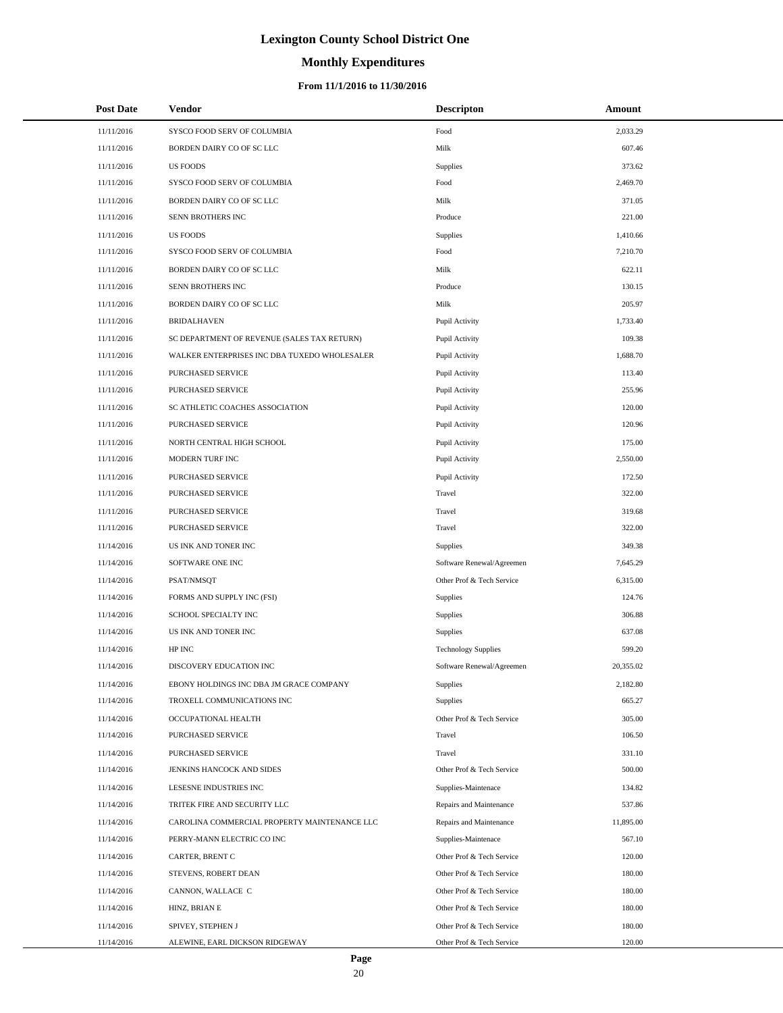# **Monthly Expenditures**

| <b>Post Date</b> | <b>Vendor</b>                                | <b>Descripton</b>          | Amount    |
|------------------|----------------------------------------------|----------------------------|-----------|
| 11/11/2016       | SYSCO FOOD SERV OF COLUMBIA                  | Food                       | 2,033.29  |
| 11/11/2016       | BORDEN DAIRY CO OF SC LLC                    | Milk                       | 607.46    |
| 11/11/2016       | <b>US FOODS</b>                              | <b>Supplies</b>            | 373.62    |
| 11/11/2016       | SYSCO FOOD SERV OF COLUMBIA                  | Food                       | 2,469.70  |
| 11/11/2016       | BORDEN DAIRY CO OF SC LLC                    | Milk                       | 371.05    |
| 11/11/2016       | SENN BROTHERS INC                            | Produce                    | 221.00    |
| 11/11/2016       | <b>US FOODS</b>                              | Supplies                   | 1,410.66  |
| 11/11/2016       | SYSCO FOOD SERV OF COLUMBIA                  | Food                       | 7,210.70  |
| 11/11/2016       | BORDEN DAIRY CO OF SC LLC                    | Milk                       | 622.11    |
| 11/11/2016       | SENN BROTHERS INC                            | Produce                    | 130.15    |
| 11/11/2016       | BORDEN DAIRY CO OF SC LLC                    | Milk                       | 205.97    |
| 11/11/2016       | <b>BRIDALHAVEN</b>                           | Pupil Activity             | 1,733.40  |
| 11/11/2016       | SC DEPARTMENT OF REVENUE (SALES TAX RETURN)  | Pupil Activity             | 109.38    |
| 11/11/2016       | WALKER ENTERPRISES INC DBA TUXEDO WHOLESALER | Pupil Activity             | 1,688.70  |
| 11/11/2016       | PURCHASED SERVICE                            | Pupil Activity             | 113.40    |
| 11/11/2016       | PURCHASED SERVICE                            | Pupil Activity             | 255.96    |
| 11/11/2016       | SC ATHLETIC COACHES ASSOCIATION              | Pupil Activity             | 120.00    |
| 11/11/2016       | PURCHASED SERVICE                            | Pupil Activity             | 120.96    |
| 11/11/2016       | NORTH CENTRAL HIGH SCHOOL                    | Pupil Activity             | 175.00    |
| 11/11/2016       | MODERN TURF INC                              | Pupil Activity             | 2,550.00  |
| 11/11/2016       | PURCHASED SERVICE                            | Pupil Activity             | 172.50    |
| 11/11/2016       | PURCHASED SERVICE                            | Travel                     | 322.00    |
| 11/11/2016       | PURCHASED SERVICE                            | Travel                     | 319.68    |
| 11/11/2016       | PURCHASED SERVICE                            | Travel                     | 322.00    |
| 11/14/2016       | US INK AND TONER INC                         | <b>Supplies</b>            | 349.38    |
| 11/14/2016       | SOFTWARE ONE INC                             | Software Renewal/Agreemen  | 7,645.29  |
| 11/14/2016       | PSAT/NMSQT                                   | Other Prof & Tech Service  | 6,315.00  |
| 11/14/2016       | FORMS AND SUPPLY INC (FSI)                   | <b>Supplies</b>            | 124.76    |
| 11/14/2016       | SCHOOL SPECIALTY INC                         | <b>Supplies</b>            | 306.88    |
| 11/14/2016       | US INK AND TONER INC                         | Supplies                   | 637.08    |
| 11/14/2016       | ${\rm HP}$ INC                               | <b>Technology Supplies</b> | 599.20    |
| 11/14/2016       | DISCOVERY EDUCATION INC                      | Software Renewal/Agreemen  | 20,355.02 |
| 11/14/2016       | EBONY HOLDINGS INC DBA JM GRACE COMPANY      | <b>Supplies</b>            | 2,182.80  |
| 11/14/2016       | TROXELL COMMUNICATIONS INC                   | Supplies                   | 665.27    |
| 11/14/2016       | OCCUPATIONAL HEALTH                          | Other Prof & Tech Service  | 305.00    |
| 11/14/2016       | PURCHASED SERVICE                            | Travel                     | 106.50    |
| 11/14/2016       | PURCHASED SERVICE                            | Travel                     | 331.10    |
| 11/14/2016       | JENKINS HANCOCK AND SIDES                    | Other Prof & Tech Service  | 500.00    |
| 11/14/2016       | LESESNE INDUSTRIES INC                       | Supplies-Maintenace        | 134.82    |
| 11/14/2016       | TRITEK FIRE AND SECURITY LLC                 | Repairs and Maintenance    | 537.86    |
| 11/14/2016       | CAROLINA COMMERCIAL PROPERTY MAINTENANCE LLC | Repairs and Maintenance    | 11,895.00 |
| 11/14/2016       | PERRY-MANN ELECTRIC CO INC                   | Supplies-Maintenace        | 567.10    |
| 11/14/2016       | CARTER, BRENT C                              | Other Prof & Tech Service  | 120.00    |
| 11/14/2016       | STEVENS, ROBERT DEAN                         | Other Prof & Tech Service  | 180.00    |
| 11/14/2016       | CANNON, WALLACE C                            | Other Prof & Tech Service  | 180.00    |
| 11/14/2016       | HINZ, BRIAN E                                | Other Prof & Tech Service  | 180.00    |
| 11/14/2016       | SPIVEY, STEPHEN J                            | Other Prof & Tech Service  | 180.00    |
| 11/14/2016       | ALEWINE, EARL DICKSON RIDGEWAY               | Other Prof & Tech Service  | 120.00    |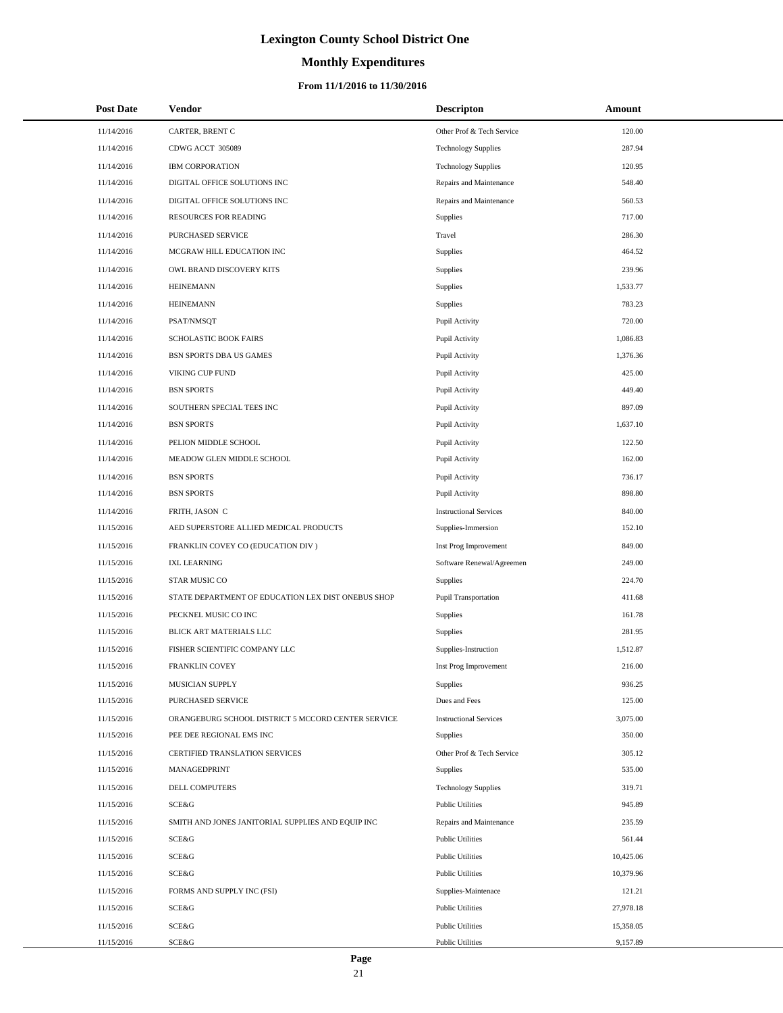# **Monthly Expenditures**

### **From 11/1/2016 to 11/30/2016**

| <b>Post Date</b> | Vendor                                             | <b>Descripton</b>             | Amount    |
|------------------|----------------------------------------------------|-------------------------------|-----------|
| 11/14/2016       | CARTER, BRENT C                                    | Other Prof & Tech Service     | 120.00    |
| 11/14/2016       | CDWG ACCT 305089                                   | <b>Technology Supplies</b>    | 287.94    |
| 11/14/2016       | <b>IBM CORPORATION</b>                             | <b>Technology Supplies</b>    | 120.95    |
| 11/14/2016       | DIGITAL OFFICE SOLUTIONS INC                       | Repairs and Maintenance       | 548.40    |
| 11/14/2016       | DIGITAL OFFICE SOLUTIONS INC                       | Repairs and Maintenance       | 560.53    |
| 11/14/2016       | RESOURCES FOR READING                              | Supplies                      | 717.00    |
| 11/14/2016       | PURCHASED SERVICE                                  | Travel                        | 286.30    |
| 11/14/2016       | MCGRAW HILL EDUCATION INC                          | Supplies                      | 464.52    |
| 11/14/2016       | OWL BRAND DISCOVERY KITS                           | Supplies                      | 239.96    |
| 11/14/2016       | <b>HEINEMANN</b>                                   | Supplies                      | 1,533.77  |
| 11/14/2016       | <b>HEINEMANN</b>                                   | Supplies                      | 783.23    |
| 11/14/2016       | PSAT/NMSQT                                         | Pupil Activity                | 720.00    |
| 11/14/2016       | SCHOLASTIC BOOK FAIRS                              | Pupil Activity                | 1,086.83  |
| 11/14/2016       | <b>BSN SPORTS DBA US GAMES</b>                     | Pupil Activity                | 1,376.36  |
| 11/14/2016       | VIKING CUP FUND                                    | Pupil Activity                | 425.00    |
| 11/14/2016       | <b>BSN SPORTS</b>                                  | Pupil Activity                | 449.40    |
| 11/14/2016       | SOUTHERN SPECIAL TEES INC                          | Pupil Activity                | 897.09    |
| 11/14/2016       | <b>BSN SPORTS</b>                                  | Pupil Activity                | 1,637.10  |
| 11/14/2016       | PELION MIDDLE SCHOOL                               | Pupil Activity                | 122.50    |
| 11/14/2016       | MEADOW GLEN MIDDLE SCHOOL                          | Pupil Activity                | 162.00    |
| 11/14/2016       | <b>BSN SPORTS</b>                                  | Pupil Activity                | 736.17    |
| 11/14/2016       | <b>BSN SPORTS</b>                                  | Pupil Activity                | 898.80    |
| 11/14/2016       | FRITH, JASON C                                     | <b>Instructional Services</b> | 840.00    |
| 11/15/2016       | AED SUPERSTORE ALLIED MEDICAL PRODUCTS             | Supplies-Immersion            | 152.10    |
| 11/15/2016       | FRANKLIN COVEY CO (EDUCATION DIV)                  | Inst Prog Improvement         | 849.00    |
| 11/15/2016       | <b>IXL LEARNING</b>                                | Software Renewal/Agreemen     | 249.00    |
| 11/15/2016       | STAR MUSIC CO                                      | <b>Supplies</b>               | 224.70    |
| 11/15/2016       | STATE DEPARTMENT OF EDUCATION LEX DIST ONEBUS SHOP | Pupil Transportation          | 411.68    |
| 11/15/2016       | PECKNEL MUSIC CO INC                               | Supplies                      | 161.78    |
| 11/15/2016       | BLICK ART MATERIALS LLC                            | Supplies                      | 281.95    |
| 11/15/2016       | FISHER SCIENTIFIC COMPANY LLC                      | Supplies-Instruction          | 1,512.87  |
| 11/15/2016       | <b>FRANKLIN COVEY</b>                              | Inst Prog Improvement         | 216.00    |
| 11/15/2016       | MUSICIAN SUPPLY                                    | Supplies                      | 936.25    |
| 11/15/2016       | PURCHASED SERVICE                                  | Dues and Fees                 | 125.00    |
| 11/15/2016       | ORANGEBURG SCHOOL DISTRICT 5 MCCORD CENTER SERVICE | <b>Instructional Services</b> | 3,075.00  |
| 11/15/2016       | PEE DEE REGIONAL EMS INC                           | Supplies                      | 350.00    |
| 11/15/2016       | CERTIFIED TRANSLATION SERVICES                     | Other Prof & Tech Service     | 305.12    |
| 11/15/2016       | MANAGEDPRINT                                       | Supplies                      | 535.00    |
| 11/15/2016       | DELL COMPUTERS                                     | <b>Technology Supplies</b>    | 319.71    |
| 11/15/2016       | SCE&G                                              | <b>Public Utilities</b>       | 945.89    |
| 11/15/2016       | SMITH AND JONES JANITORIAL SUPPLIES AND EQUIP INC  | Repairs and Maintenance       | 235.59    |
| 11/15/2016       | SCE&G                                              | <b>Public Utilities</b>       | 561.44    |
| 11/15/2016       | SCE&G                                              | <b>Public Utilities</b>       | 10,425.06 |
| 11/15/2016       | SCE&G                                              | <b>Public Utilities</b>       | 10,379.96 |
| 11/15/2016       | FORMS AND SUPPLY INC (FSI)                         | Supplies-Maintenace           | 121.21    |
| 11/15/2016       | SCE&G                                              | <b>Public Utilities</b>       | 27,978.18 |
| 11/15/2016       | SCE&G                                              | <b>Public Utilities</b>       | 15,358.05 |
| 11/15/2016       | SCE&G                                              | <b>Public Utilities</b>       | 9,157.89  |

L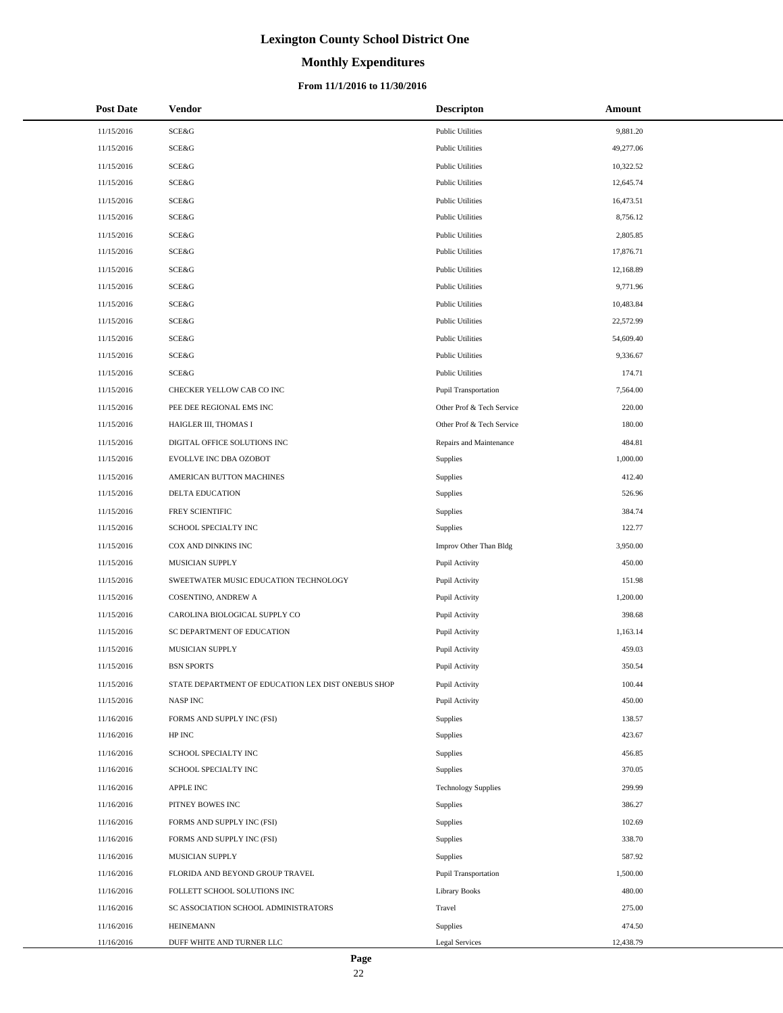### **Monthly Expenditures**

### **From 11/1/2016 to 11/30/2016**

| <b>Post Date</b> | <b>Vendor</b>                                      | Descripton                  | Amount    |
|------------------|----------------------------------------------------|-----------------------------|-----------|
| 11/15/2016       | <b>SCE&amp;G</b>                                   | <b>Public Utilities</b>     | 9,881.20  |
| 11/15/2016       | <b>SCE&amp;G</b>                                   | <b>Public Utilities</b>     | 49,277.06 |
| 11/15/2016       | SCE&G                                              | <b>Public Utilities</b>     | 10,322.52 |
| 11/15/2016       | SCE&G                                              | <b>Public Utilities</b>     | 12,645.74 |
| 11/15/2016       | <b>SCE&amp;G</b>                                   | <b>Public Utilities</b>     | 16,473.51 |
| 11/15/2016       | SCE&G                                              | <b>Public Utilities</b>     | 8,756.12  |
| 11/15/2016       | SCE&G                                              | <b>Public Utilities</b>     | 2,805.85  |
| 11/15/2016       | <b>SCE&amp;G</b>                                   | <b>Public Utilities</b>     | 17,876.71 |
| 11/15/2016       | <b>SCE&amp;G</b>                                   | <b>Public Utilities</b>     | 12,168.89 |
| 11/15/2016       | SCE&G                                              | <b>Public Utilities</b>     | 9,771.96  |
| 11/15/2016       | SCE&G                                              | <b>Public Utilities</b>     | 10,483.84 |
| 11/15/2016       | <b>SCE&amp;G</b>                                   | <b>Public Utilities</b>     | 22,572.99 |
| 11/15/2016       | <b>SCE&amp;G</b>                                   | <b>Public Utilities</b>     | 54,609.40 |
| 11/15/2016       | SCE&G                                              | <b>Public Utilities</b>     | 9,336.67  |
| 11/15/2016       | SCE&G                                              | <b>Public Utilities</b>     | 174.71    |
| 11/15/2016       | CHECKER YELLOW CAB CO INC                          | <b>Pupil Transportation</b> | 7,564.00  |
| 11/15/2016       | PEE DEE REGIONAL EMS INC                           | Other Prof & Tech Service   | 220.00    |
| 11/15/2016       | HAIGLER III, THOMAS I                              | Other Prof & Tech Service   | 180.00    |
| 11/15/2016       | DIGITAL OFFICE SOLUTIONS INC                       | Repairs and Maintenance     | 484.81    |
| 11/15/2016       | EVOLLVE INC DBA OZOBOT                             | Supplies                    | 1,000.00  |
| 11/15/2016       | AMERICAN BUTTON MACHINES                           | Supplies                    | 412.40    |
| 11/15/2016       | DELTA EDUCATION                                    | Supplies                    | 526.96    |
| 11/15/2016       | FREY SCIENTIFIC                                    | Supplies                    | 384.74    |
| 11/15/2016       | SCHOOL SPECIALTY INC                               | Supplies                    | 122.77    |
| 11/15/2016       | COX AND DINKINS INC                                | Improv Other Than Bldg      | 3,950.00  |
| 11/15/2016       | MUSICIAN SUPPLY                                    | Pupil Activity              | 450.00    |
| 11/15/2016       | SWEETWATER MUSIC EDUCATION TECHNOLOGY              | Pupil Activity              | 151.98    |
| 11/15/2016       | <b>COSENTINO, ANDREW A</b>                         | Pupil Activity              | 1,200.00  |
| 11/15/2016       | CAROLINA BIOLOGICAL SUPPLY CO                      | Pupil Activity              | 398.68    |
| 11/15/2016       | SC DEPARTMENT OF EDUCATION                         | Pupil Activity              | 1,163.14  |
| 11/15/2016       | MUSICIAN SUPPLY                                    | Pupil Activity              | 459.03    |
| 11/15/2016       | <b>BSN SPORTS</b>                                  | Pupil Activity              | 350.54    |
| 11/15/2016       | STATE DEPARTMENT OF EDUCATION LEX DIST ONEBUS SHOP | Pupil Activity              | 100.44    |
| 11/15/2016       | NASP INC                                           | Pupil Activity              | 450.00    |
| 11/16/2016       | FORMS AND SUPPLY INC (FSI)                         | Supplies                    | 138.57    |
| 11/16/2016       | HP INC                                             | Supplies                    | 423.67    |
| 11/16/2016       | SCHOOL SPECIALTY INC                               | Supplies                    | 456.85    |
| 11/16/2016       | SCHOOL SPECIALTY INC                               | Supplies                    | 370.05    |
| 11/16/2016       | APPLE INC                                          | <b>Technology Supplies</b>  | 299.99    |
| 11/16/2016       | PITNEY BOWES INC                                   | Supplies                    | 386.27    |
| 11/16/2016       | FORMS AND SUPPLY INC (FSI)                         | Supplies                    | 102.69    |
| 11/16/2016       | FORMS AND SUPPLY INC (FSI)                         | Supplies                    | 338.70    |
| 11/16/2016       | MUSICIAN SUPPLY                                    | Supplies                    | 587.92    |
| 11/16/2016       | FLORIDA AND BEYOND GROUP TRAVEL                    | Pupil Transportation        | 1,500.00  |
| 11/16/2016       | FOLLETT SCHOOL SOLUTIONS INC                       | <b>Library Books</b>        | 480.00    |
| 11/16/2016       | SC ASSOCIATION SCHOOL ADMINISTRATORS               | Travel                      | 275.00    |
| 11/16/2016       | <b>HEINEMANN</b>                                   | Supplies                    | 474.50    |
| 11/16/2016       | DUFF WHITE AND TURNER LLC                          | Legal Services              | 12,438.79 |

÷.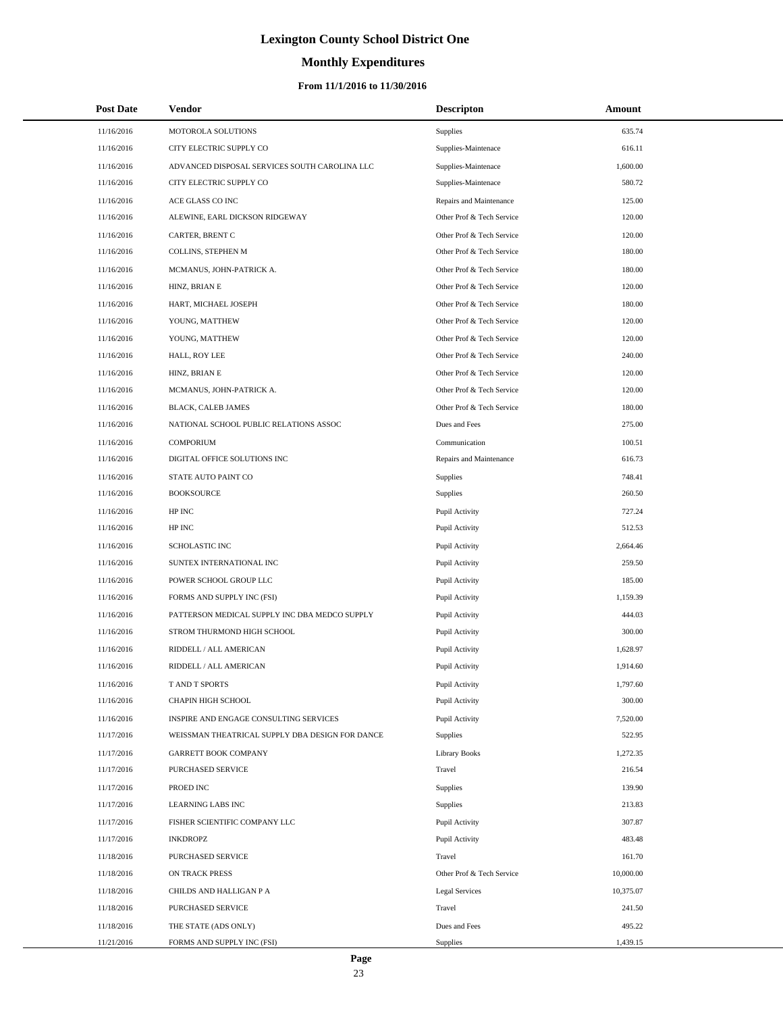# **Monthly Expenditures**

### **From 11/1/2016 to 11/30/2016**

| <b>Post Date</b> | Vendor                                          | <b>Descripton</b>         | Amount    |
|------------------|-------------------------------------------------|---------------------------|-----------|
| 11/16/2016       | MOTOROLA SOLUTIONS                              | Supplies                  | 635.74    |
| 11/16/2016       | CITY ELECTRIC SUPPLY CO                         | Supplies-Maintenace       | 616.11    |
| 11/16/2016       | ADVANCED DISPOSAL SERVICES SOUTH CAROLINA LLC   | Supplies-Maintenace       | 1,600.00  |
| 11/16/2016       | CITY ELECTRIC SUPPLY CO                         | Supplies-Maintenace       | 580.72    |
| 11/16/2016       | ACE GLASS CO INC                                | Repairs and Maintenance   | 125.00    |
| 11/16/2016       | ALEWINE, EARL DICKSON RIDGEWAY                  | Other Prof & Tech Service | 120.00    |
| 11/16/2016       | CARTER, BRENT C                                 | Other Prof & Tech Service | 120.00    |
| 11/16/2016       | COLLINS, STEPHEN M                              | Other Prof & Tech Service | 180.00    |
| 11/16/2016       | MCMANUS, JOHN-PATRICK A.                        | Other Prof & Tech Service | 180.00    |
| 11/16/2016       | HINZ, BRIAN E                                   | Other Prof & Tech Service | 120.00    |
| 11/16/2016       | HART, MICHAEL JOSEPH                            | Other Prof & Tech Service | 180.00    |
| 11/16/2016       | YOUNG, MATTHEW                                  | Other Prof & Tech Service | 120.00    |
| 11/16/2016       | YOUNG, MATTHEW                                  | Other Prof & Tech Service | 120.00    |
| 11/16/2016       | HALL, ROY LEE                                   | Other Prof & Tech Service | 240.00    |
| 11/16/2016       | HINZ, BRIAN E                                   | Other Prof & Tech Service | 120.00    |
| 11/16/2016       | MCMANUS, JOHN-PATRICK A.                        | Other Prof & Tech Service | 120.00    |
| 11/16/2016       | BLACK, CALEB JAMES                              | Other Prof & Tech Service | 180.00    |
| 11/16/2016       | NATIONAL SCHOOL PUBLIC RELATIONS ASSOC          | Dues and Fees             | 275.00    |
| 11/16/2016       | COMPORIUM                                       | Communication             | 100.51    |
| 11/16/2016       | DIGITAL OFFICE SOLUTIONS INC                    | Repairs and Maintenance   | 616.73    |
| 11/16/2016       | STATE AUTO PAINT CO                             | <b>Supplies</b>           | 748.41    |
| 11/16/2016       | <b>BOOKSOURCE</b>                               | <b>Supplies</b>           | 260.50    |
| 11/16/2016       | HP INC                                          | Pupil Activity            | 727.24    |
| 11/16/2016       | HP INC                                          | Pupil Activity            | 512.53    |
| 11/16/2016       | <b>SCHOLASTIC INC</b>                           | Pupil Activity            | 2,664.46  |
| 11/16/2016       | SUNTEX INTERNATIONAL INC                        | Pupil Activity            | 259.50    |
| 11/16/2016       | POWER SCHOOL GROUP LLC                          | Pupil Activity            | 185.00    |
| 11/16/2016       | FORMS AND SUPPLY INC (FSI)                      | Pupil Activity            | 1,159.39  |
| 11/16/2016       | PATTERSON MEDICAL SUPPLY INC DBA MEDCO SUPPLY   | Pupil Activity            | 444.03    |
| 11/16/2016       | STROM THURMOND HIGH SCHOOL                      | Pupil Activity            | 300.00    |
| 11/16/2016       | RIDDELL / ALL AMERICAN                          | Pupil Activity            | 1,628.97  |
| 11/16/2016       | RIDDELL / ALL AMERICAN                          | Pupil Activity            | 1,914.60  |
| 11/16/2016       | T AND T SPORTS                                  | Pupil Activity            | 1,797.60  |
| 11/16/2016       | CHAPIN HIGH SCHOOL                              | Pupil Activity            | 300.00    |
| 11/16/2016       | INSPIRE AND ENGAGE CONSULTING SERVICES          | Pupil Activity            | 7,520.00  |
| 11/17/2016       | WEISSMAN THEATRICAL SUPPLY DBA DESIGN FOR DANCE | Supplies                  | 522.95    |
| 11/17/2016       | <b>GARRETT BOOK COMPANY</b>                     | Library Books             | 1,272.35  |
| 11/17/2016       | PURCHASED SERVICE                               | Travel                    | 216.54    |
| 11/17/2016       | PROED INC                                       | Supplies                  | 139.90    |
| 11/17/2016       | <b>LEARNING LABS INC</b>                        | Supplies                  | 213.83    |
| 11/17/2016       | FISHER SCIENTIFIC COMPANY LLC                   | Pupil Activity            | 307.87    |
| 11/17/2016       | <b>INKDROPZ</b>                                 | Pupil Activity            | 483.48    |
| 11/18/2016       | PURCHASED SERVICE                               | Travel                    | 161.70    |
| 11/18/2016       | ON TRACK PRESS                                  | Other Prof & Tech Service | 10,000.00 |
| 11/18/2016       | CHILDS AND HALLIGAN P A                         | Legal Services            | 10,375.07 |
| 11/18/2016       | PURCHASED SERVICE                               | Travel                    | 241.50    |
| 11/18/2016       | THE STATE (ADS ONLY)                            | Dues and Fees             | 495.22    |
| 11/21/2016       | FORMS AND SUPPLY INC (FSI)                      | Supplies                  | 1,439.15  |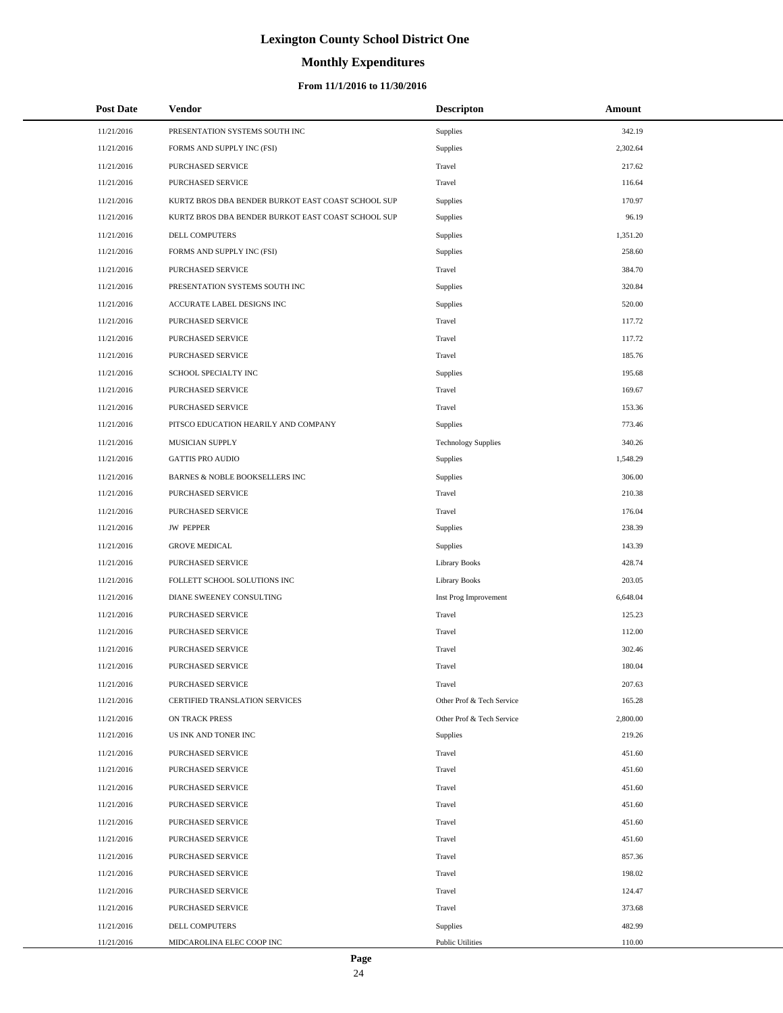# **Monthly Expenditures**

### **From 11/1/2016 to 11/30/2016**

| <b>Post Date</b> | Vendor                                             | <b>Descripton</b>          | Amount   |
|------------------|----------------------------------------------------|----------------------------|----------|
| 11/21/2016       | PRESENTATION SYSTEMS SOUTH INC                     | Supplies                   | 342.19   |
| 11/21/2016       | FORMS AND SUPPLY INC (FSI)                         | Supplies                   | 2,302.64 |
| 11/21/2016       | PURCHASED SERVICE                                  | Travel                     | 217.62   |
| 11/21/2016       | PURCHASED SERVICE                                  | Travel                     | 116.64   |
| 11/21/2016       | KURTZ BROS DBA BENDER BURKOT EAST COAST SCHOOL SUP | <b>Supplies</b>            | 170.97   |
| 11/21/2016       | KURTZ BROS DBA BENDER BURKOT EAST COAST SCHOOL SUP | Supplies                   | 96.19    |
| 11/21/2016       | DELL COMPUTERS                                     | Supplies                   | 1,351.20 |
| 11/21/2016       | FORMS AND SUPPLY INC (FSI)                         | Supplies                   | 258.60   |
| 11/21/2016       | PURCHASED SERVICE                                  | Travel                     | 384.70   |
| 11/21/2016       | PRESENTATION SYSTEMS SOUTH INC                     | Supplies                   | 320.84   |
| 11/21/2016       | ACCURATE LABEL DESIGNS INC                         | Supplies                   | 520.00   |
| 11/21/2016       | PURCHASED SERVICE                                  | Travel                     | 117.72   |
| 11/21/2016       | PURCHASED SERVICE                                  | Travel                     | 117.72   |
| 11/21/2016       | PURCHASED SERVICE                                  | Travel                     | 185.76   |
| 11/21/2016       | SCHOOL SPECIALTY INC                               | Supplies                   | 195.68   |
| 11/21/2016       | PURCHASED SERVICE                                  | Travel                     | 169.67   |
| 11/21/2016       | PURCHASED SERVICE                                  | Travel                     | 153.36   |
| 11/21/2016       | PITSCO EDUCATION HEARILY AND COMPANY               | <b>Supplies</b>            | 773.46   |
| 11/21/2016       | MUSICIAN SUPPLY                                    | <b>Technology Supplies</b> | 340.26   |
| 11/21/2016       | <b>GATTIS PRO AUDIO</b>                            | <b>Supplies</b>            | 1,548.29 |
| 11/21/2016       | BARNES & NOBLE BOOKSELLERS INC                     | Supplies                   | 306.00   |
| 11/21/2016       | PURCHASED SERVICE                                  | Travel                     | 210.38   |
| 11/21/2016       | PURCHASED SERVICE                                  | Travel                     | 176.04   |
| 11/21/2016       | <b>JW PEPPER</b>                                   | Supplies                   | 238.39   |
| 11/21/2016       | <b>GROVE MEDICAL</b>                               | <b>Supplies</b>            | 143.39   |
| 11/21/2016       | PURCHASED SERVICE                                  | <b>Library Books</b>       | 428.74   |
| 11/21/2016       | FOLLETT SCHOOL SOLUTIONS INC                       | <b>Library Books</b>       | 203.05   |
| 11/21/2016       | DIANE SWEENEY CONSULTING                           | Inst Prog Improvement      | 6,648.04 |
| 11/21/2016       | PURCHASED SERVICE                                  | Travel                     | 125.23   |
| 11/21/2016       | PURCHASED SERVICE                                  | Travel                     | 112.00   |
| 11/21/2016       | PURCHASED SERVICE                                  | Travel                     | 302.46   |
| 11/21/2016       | PURCHASED SERVICE                                  | Travel                     | 180.04   |
| 11/21/2016       | PURCHASED SERVICE                                  | Travel                     | 207.63   |
| 11/21/2016       | CERTIFIED TRANSLATION SERVICES                     | Other Prof & Tech Service  | 165.28   |
| 11/21/2016       | ON TRACK PRESS                                     | Other Prof & Tech Service  | 2,800.00 |
| 11/21/2016       | US INK AND TONER INC                               | Supplies                   | 219.26   |
| 11/21/2016       | PURCHASED SERVICE                                  | Travel                     | 451.60   |
| 11/21/2016       | PURCHASED SERVICE                                  | Travel                     | 451.60   |
| 11/21/2016       | PURCHASED SERVICE                                  | Travel                     | 451.60   |
| 11/21/2016       | PURCHASED SERVICE                                  | Travel                     | 451.60   |
| 11/21/2016       | PURCHASED SERVICE                                  | Travel                     | 451.60   |
| 11/21/2016       | PURCHASED SERVICE                                  | Travel                     | 451.60   |
| 11/21/2016       | PURCHASED SERVICE                                  | Travel                     | 857.36   |
| 11/21/2016       | PURCHASED SERVICE                                  | Travel                     | 198.02   |
| 11/21/2016       | PURCHASED SERVICE                                  | Travel                     | 124.47   |
| 11/21/2016       | PURCHASED SERVICE                                  | Travel                     | 373.68   |
| 11/21/2016       | DELL COMPUTERS                                     | <b>Supplies</b>            | 482.99   |
| 11/21/2016       | MIDCAROLINA ELEC COOP INC                          | <b>Public Utilities</b>    | 110.00   |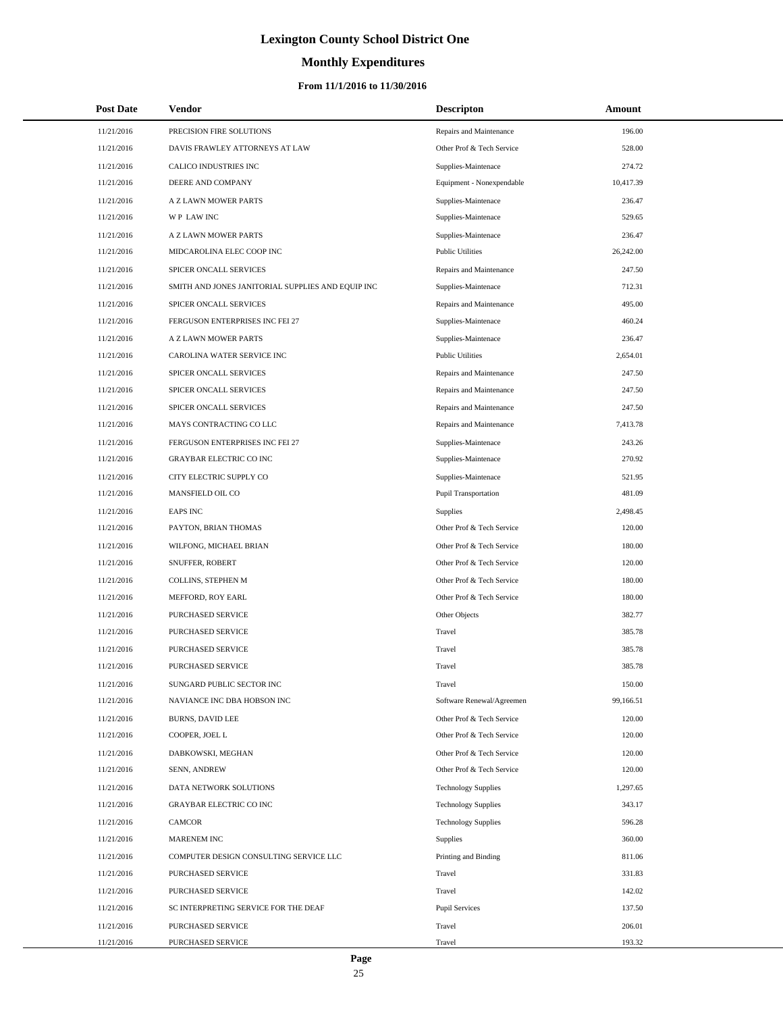# **Monthly Expenditures**

### **From 11/1/2016 to 11/30/2016**

| <b>Post Date</b> | <b>Vendor</b>                                     | <b>Descripton</b>           | Amount    |
|------------------|---------------------------------------------------|-----------------------------|-----------|
| 11/21/2016       | PRECISION FIRE SOLUTIONS                          | Repairs and Maintenance     | 196.00    |
| 11/21/2016       | DAVIS FRAWLEY ATTORNEYS AT LAW                    | Other Prof & Tech Service   | 528.00    |
| 11/21/2016       | CALICO INDUSTRIES INC                             | Supplies-Maintenace         | 274.72    |
| 11/21/2016       | DEERE AND COMPANY                                 | Equipment - Nonexpendable   | 10,417.39 |
| 11/21/2016       | A Z LAWN MOWER PARTS                              | Supplies-Maintenace         | 236.47    |
| 11/21/2016       | WP LAW INC                                        | Supplies-Maintenace         | 529.65    |
| 11/21/2016       | A Z LAWN MOWER PARTS                              | Supplies-Maintenace         | 236.47    |
| 11/21/2016       | MIDCAROLINA ELEC COOP INC                         | <b>Public Utilities</b>     | 26,242.00 |
| 11/21/2016       | SPICER ONCALL SERVICES                            | Repairs and Maintenance     | 247.50    |
| 11/21/2016       | SMITH AND JONES JANITORIAL SUPPLIES AND EQUIP INC | Supplies-Maintenace         | 712.31    |
| 11/21/2016       | SPICER ONCALL SERVICES                            | Repairs and Maintenance     | 495.00    |
| 11/21/2016       | FERGUSON ENTERPRISES INC FEI 27                   | Supplies-Maintenace         | 460.24    |
| 11/21/2016       | A Z LAWN MOWER PARTS                              | Supplies-Maintenace         | 236.47    |
| 11/21/2016       | CAROLINA WATER SERVICE INC                        | <b>Public Utilities</b>     | 2,654.01  |
| 11/21/2016       | SPICER ONCALL SERVICES                            | Repairs and Maintenance     | 247.50    |
| 11/21/2016       | SPICER ONCALL SERVICES                            | Repairs and Maintenance     | 247.50    |
| 11/21/2016       | SPICER ONCALL SERVICES                            | Repairs and Maintenance     | 247.50    |
| 11/21/2016       | MAYS CONTRACTING CO LLC                           | Repairs and Maintenance     | 7,413.78  |
| 11/21/2016       | FERGUSON ENTERPRISES INC FEI 27                   | Supplies-Maintenace         | 243.26    |
| 11/21/2016       | <b>GRAYBAR ELECTRIC CO INC</b>                    | Supplies-Maintenace         | 270.92    |
| 11/21/2016       | CITY ELECTRIC SUPPLY CO                           | Supplies-Maintenace         | 521.95    |
| 11/21/2016       | MANSFIELD OIL CO                                  | <b>Pupil Transportation</b> | 481.09    |
| 11/21/2016       | <b>EAPS INC</b>                                   | <b>Supplies</b>             | 2,498.45  |
| 11/21/2016       | PAYTON, BRIAN THOMAS                              | Other Prof & Tech Service   | 120.00    |
| 11/21/2016       | WILFONG, MICHAEL BRIAN                            | Other Prof & Tech Service   | 180.00    |
| 11/21/2016       | SNUFFER, ROBERT                                   | Other Prof & Tech Service   | 120.00    |
| 11/21/2016       | COLLINS, STEPHEN M                                | Other Prof & Tech Service   | 180.00    |
| 11/21/2016       | MEFFORD, ROY EARL                                 | Other Prof & Tech Service   | 180.00    |
| 11/21/2016       | PURCHASED SERVICE                                 | Other Objects               | 382.77    |
| 11/21/2016       | PURCHASED SERVICE                                 | Travel                      | 385.78    |
| 11/21/2016       | PURCHASED SERVICE                                 | Travel                      | 385.78    |
| 11/21/2016       | PURCHASED SERVICE                                 | Travel                      | 385.78    |
| 11/21/2016       | SUNGARD PUBLIC SECTOR INC                         | Travel                      | 150.00    |
| 11/21/2016       | NAVIANCE INC DBA HOBSON INC                       | Software Renewal/Agreemen   | 99,166.51 |
| 11/21/2016       | <b>BURNS, DAVID LEE</b>                           | Other Prof & Tech Service   | 120.00    |
| 11/21/2016       | COOPER, JOEL L                                    | Other Prof & Tech Service   | 120.00    |
| 11/21/2016       | DABKOWSKI, MEGHAN                                 | Other Prof & Tech Service   | 120.00    |
| 11/21/2016       | SENN, ANDREW                                      | Other Prof & Tech Service   | 120.00    |
| 11/21/2016       | DATA NETWORK SOLUTIONS                            | <b>Technology Supplies</b>  | 1,297.65  |
| 11/21/2016       | <b>GRAYBAR ELECTRIC CO INC</b>                    | <b>Technology Supplies</b>  | 343.17    |
| 11/21/2016       | <b>CAMCOR</b>                                     | <b>Technology Supplies</b>  | 596.28    |
| 11/21/2016       | MARENEM INC                                       | Supplies                    | 360.00    |
| 11/21/2016       | COMPUTER DESIGN CONSULTING SERVICE LLC            | Printing and Binding        | 811.06    |
| 11/21/2016       | PURCHASED SERVICE                                 | Travel                      | 331.83    |
| 11/21/2016       | PURCHASED SERVICE                                 | Travel                      | 142.02    |
| 11/21/2016       | SC INTERPRETING SERVICE FOR THE DEAF              | Pupil Services              | 137.50    |
| 11/21/2016       | PURCHASED SERVICE                                 | Travel                      | 206.01    |
| 11/21/2016       | PURCHASED SERVICE                                 | Travel                      | 193.32    |

 $\overline{a}$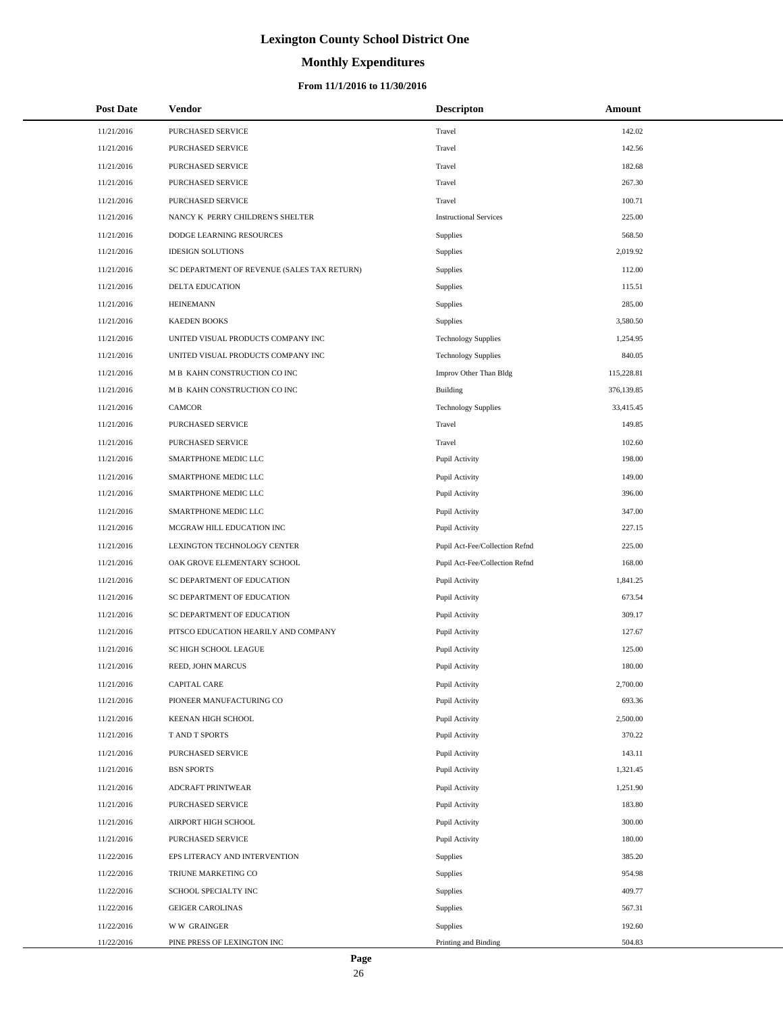# **Monthly Expenditures**

### **From 11/1/2016 to 11/30/2016**

| <b>Post Date</b> | Vendor                                      | <b>Descripton</b>              | Amount     |
|------------------|---------------------------------------------|--------------------------------|------------|
| 11/21/2016       | PURCHASED SERVICE                           | Travel                         | 142.02     |
| 11/21/2016       | PURCHASED SERVICE                           | Travel                         | 142.56     |
| 11/21/2016       | PURCHASED SERVICE                           | Travel                         | 182.68     |
| 11/21/2016       | PURCHASED SERVICE                           | Travel                         | 267.30     |
| 11/21/2016       | PURCHASED SERVICE                           | Travel                         | 100.71     |
| 11/21/2016       | NANCY K PERRY CHILDREN'S SHELTER            | <b>Instructional Services</b>  | 225.00     |
| 11/21/2016       | DODGE LEARNING RESOURCES                    | Supplies                       | 568.50     |
| 11/21/2016       | <b>IDESIGN SOLUTIONS</b>                    | Supplies                       | 2,019.92   |
| 11/21/2016       | SC DEPARTMENT OF REVENUE (SALES TAX RETURN) | Supplies                       | 112.00     |
| 11/21/2016       | <b>DELTA EDUCATION</b>                      | Supplies                       | 115.51     |
| 11/21/2016       | <b>HEINEMANN</b>                            | Supplies                       | 285.00     |
| 11/21/2016       | <b>KAEDEN BOOKS</b>                         | Supplies                       | 3,580.50   |
| 11/21/2016       | UNITED VISUAL PRODUCTS COMPANY INC          | <b>Technology Supplies</b>     | 1,254.95   |
| 11/21/2016       | UNITED VISUAL PRODUCTS COMPANY INC          | <b>Technology Supplies</b>     | 840.05     |
| 11/21/2016       | M B KAHN CONSTRUCTION CO INC                | Improv Other Than Bldg         | 115,228.81 |
| 11/21/2016       | M B KAHN CONSTRUCTION CO INC                | Building                       | 376,139.85 |
| 11/21/2016       | <b>CAMCOR</b>                               | <b>Technology Supplies</b>     | 33,415.45  |
| 11/21/2016       | PURCHASED SERVICE                           | Travel                         | 149.85     |
| 11/21/2016       | <b>PURCHASED SERVICE</b>                    | Travel                         | 102.60     |
| 11/21/2016       | SMARTPHONE MEDIC LLC                        | Pupil Activity                 | 198.00     |
| 11/21/2016       | SMARTPHONE MEDIC LLC                        | Pupil Activity                 | 149.00     |
| 11/21/2016       | SMARTPHONE MEDIC LLC                        | Pupil Activity                 | 396.00     |
| 11/21/2016       | SMARTPHONE MEDIC LLC                        | Pupil Activity                 | 347.00     |
| 11/21/2016       | MCGRAW HILL EDUCATION INC                   | Pupil Activity                 | 227.15     |
| 11/21/2016       | LEXINGTON TECHNOLOGY CENTER                 | Pupil Act-Fee/Collection Refnd | 225.00     |
| 11/21/2016       | OAK GROVE ELEMENTARY SCHOOL                 | Pupil Act-Fee/Collection Refnd | 168.00     |
| 11/21/2016       | SC DEPARTMENT OF EDUCATION                  | Pupil Activity                 | 1,841.25   |
| 11/21/2016       | SC DEPARTMENT OF EDUCATION                  | Pupil Activity                 | 673.54     |
| 11/21/2016       | SC DEPARTMENT OF EDUCATION                  | Pupil Activity                 | 309.17     |
| 11/21/2016       | PITSCO EDUCATION HEARILY AND COMPANY        | Pupil Activity                 | 127.67     |
| 11/21/2016       | SC HIGH SCHOOL LEAGUE                       | Pupil Activity                 | 125.00     |
| 11/21/2016       | REED, JOHN MARCUS                           | Pupil Activity                 | 180.00     |
| 11/21/2016       | <b>CAPITAL CARE</b>                         | Pupil Activity                 | 2,700.00   |
| 11/21/2016       | PIONEER MANUFACTURING CO                    | Pupil Activity                 | 693.36     |
| 11/21/2016       | KEENAN HIGH SCHOOL                          | Pupil Activity                 | 2,500.00   |
| 11/21/2016       | T AND T SPORTS                              | Pupil Activity                 | 370.22     |
| 11/21/2016       | PURCHASED SERVICE                           | Pupil Activity                 | 143.11     |
| 11/21/2016       | <b>BSN SPORTS</b>                           | Pupil Activity                 | 1,321.45   |
| 11/21/2016       | ADCRAFT PRINTWEAR                           | Pupil Activity                 | 1,251.90   |
| 11/21/2016       | PURCHASED SERVICE                           | Pupil Activity                 | 183.80     |
| 11/21/2016       | AIRPORT HIGH SCHOOL                         | Pupil Activity                 | 300.00     |
| 11/21/2016       | PURCHASED SERVICE                           | Pupil Activity                 | 180.00     |
| 11/22/2016       | EPS LITERACY AND INTERVENTION               | Supplies                       | 385.20     |
| 11/22/2016       | TRIUNE MARKETING CO                         | Supplies                       | 954.98     |
| 11/22/2016       | SCHOOL SPECIALTY INC                        | Supplies                       | 409.77     |
| 11/22/2016       | <b>GEIGER CAROLINAS</b>                     | Supplies                       | 567.31     |
| 11/22/2016       | <b>WW GRAINGER</b>                          | Supplies                       | 192.60     |
| 11/22/2016       | PINE PRESS OF LEXINGTON INC                 | Printing and Binding           | 504.83     |

L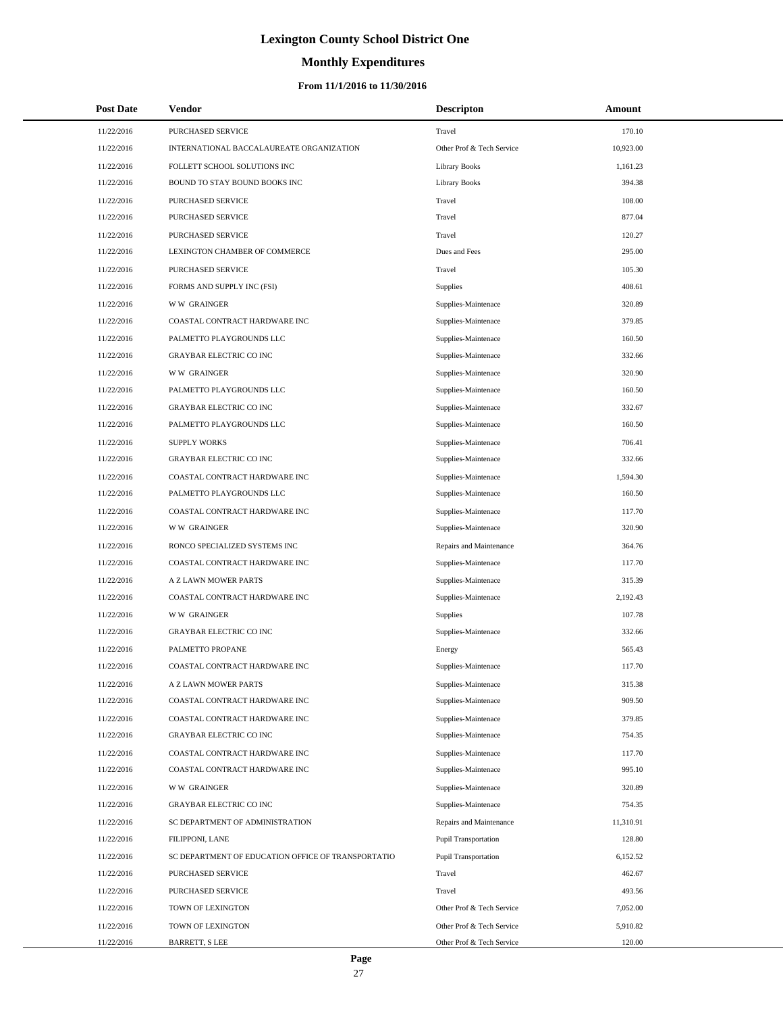# **Monthly Expenditures**

### **From 11/1/2016 to 11/30/2016**

| <b>Post Date</b> | <b>Vendor</b>                                      | <b>Descripton</b>           | Amount    |
|------------------|----------------------------------------------------|-----------------------------|-----------|
| 11/22/2016       | <b>PURCHASED SERVICE</b>                           | Travel                      | 170.10    |
| 11/22/2016       | INTERNATIONAL BACCALAUREATE ORGANIZATION           | Other Prof & Tech Service   | 10,923.00 |
| 11/22/2016       | FOLLETT SCHOOL SOLUTIONS INC                       | <b>Library Books</b>        | 1,161.23  |
| 11/22/2016       | BOUND TO STAY BOUND BOOKS INC                      | <b>Library Books</b>        | 394.38    |
| 11/22/2016       | PURCHASED SERVICE                                  | Travel                      | 108.00    |
| 11/22/2016       | PURCHASED SERVICE                                  | Travel                      | 877.04    |
| 11/22/2016       | PURCHASED SERVICE                                  | Travel                      | 120.27    |
| 11/22/2016       | LEXINGTON CHAMBER OF COMMERCE                      | Dues and Fees               | 295.00    |
| 11/22/2016       | PURCHASED SERVICE                                  | Travel                      | 105.30    |
| 11/22/2016       | FORMS AND SUPPLY INC (FSI)                         | Supplies                    | 408.61    |
| 11/22/2016       | <b>WW GRAINGER</b>                                 | Supplies-Maintenace         | 320.89    |
| 11/22/2016       | COASTAL CONTRACT HARDWARE INC                      | Supplies-Maintenace         | 379.85    |
| 11/22/2016       | PALMETTO PLAYGROUNDS LLC                           | Supplies-Maintenace         | 160.50    |
| 11/22/2016       | <b>GRAYBAR ELECTRIC CO INC</b>                     | Supplies-Maintenace         | 332.66    |
| 11/22/2016       | <b>WW GRAINGER</b>                                 | Supplies-Maintenace         | 320.90    |
| 11/22/2016       | PALMETTO PLAYGROUNDS LLC                           | Supplies-Maintenace         | 160.50    |
| 11/22/2016       | <b>GRAYBAR ELECTRIC CO INC</b>                     | Supplies-Maintenace         | 332.67    |
| 11/22/2016       | PALMETTO PLAYGROUNDS LLC                           | Supplies-Maintenace         | 160.50    |
| 11/22/2016       | <b>SUPPLY WORKS</b>                                | Supplies-Maintenace         | 706.41    |
| 11/22/2016       | <b>GRAYBAR ELECTRIC CO INC</b>                     | Supplies-Maintenace         | 332.66    |
| 11/22/2016       | COASTAL CONTRACT HARDWARE INC                      | Supplies-Maintenace         | 1,594.30  |
| 11/22/2016       | PALMETTO PLAYGROUNDS LLC                           | Supplies-Maintenace         | 160.50    |
| 11/22/2016       | COASTAL CONTRACT HARDWARE INC                      | Supplies-Maintenace         | 117.70    |
| 11/22/2016       | <b>WW GRAINGER</b>                                 | Supplies-Maintenace         | 320.90    |
| 11/22/2016       | RONCO SPECIALIZED SYSTEMS INC                      | Repairs and Maintenance     | 364.76    |
| 11/22/2016       | COASTAL CONTRACT HARDWARE INC                      | Supplies-Maintenace         | 117.70    |
| 11/22/2016       | A Z LAWN MOWER PARTS                               | Supplies-Maintenace         | 315.39    |
| 11/22/2016       | COASTAL CONTRACT HARDWARE INC                      | Supplies-Maintenace         | 2,192.43  |
| 11/22/2016       | <b>WW GRAINGER</b>                                 | Supplies                    | 107.78    |
| 11/22/2016       | <b>GRAYBAR ELECTRIC CO INC</b>                     | Supplies-Maintenace         | 332.66    |
| 11/22/2016       | PALMETTO PROPANE                                   | Energy                      | 565.43    |
| 11/22/2016       | COASTAL CONTRACT HARDWARE INC                      | Supplies-Maintenace         | 117.70    |
| 11/22/2016       | A Z LAWN MOWER PARTS                               | Supplies-Maintenace         | 315.38    |
| 11/22/2016       | COASTAL CONTRACT HARDWARE INC                      | Supplies-Maintenace         | 909.50    |
| 11/22/2016       | COASTAL CONTRACT HARDWARE INC                      | Supplies-Maintenace         | 379.85    |
| 11/22/2016       | GRAYBAR ELECTRIC CO INC                            | Supplies-Maintenace         | 754.35    |
| 11/22/2016       | COASTAL CONTRACT HARDWARE INC                      | Supplies-Maintenace         | 117.70    |
| 11/22/2016       | COASTAL CONTRACT HARDWARE INC                      | Supplies-Maintenace         | 995.10    |
| 11/22/2016       | <b>WW GRAINGER</b>                                 | Supplies-Maintenace         | 320.89    |
| 11/22/2016       | <b>GRAYBAR ELECTRIC CO INC</b>                     | Supplies-Maintenace         | 754.35    |
| 11/22/2016       | SC DEPARTMENT OF ADMINISTRATION                    | Repairs and Maintenance     | 11,310.91 |
| 11/22/2016       | FILIPPONI, LANE                                    | <b>Pupil Transportation</b> | 128.80    |
| 11/22/2016       | SC DEPARTMENT OF EDUCATION OFFICE OF TRANSPORTATIO | <b>Pupil Transportation</b> | 6,152.52  |
| 11/22/2016       | PURCHASED SERVICE                                  | Travel                      | 462.67    |
| 11/22/2016       | PURCHASED SERVICE                                  | Travel                      | 493.56    |
| 11/22/2016       | TOWN OF LEXINGTON                                  | Other Prof & Tech Service   | 7,052.00  |
| 11/22/2016       | TOWN OF LEXINGTON                                  | Other Prof & Tech Service   | 5,910.82  |
| 11/22/2016       | BARRETT, S LEE                                     | Other Prof & Tech Service   | 120.00    |

 $\overline{a}$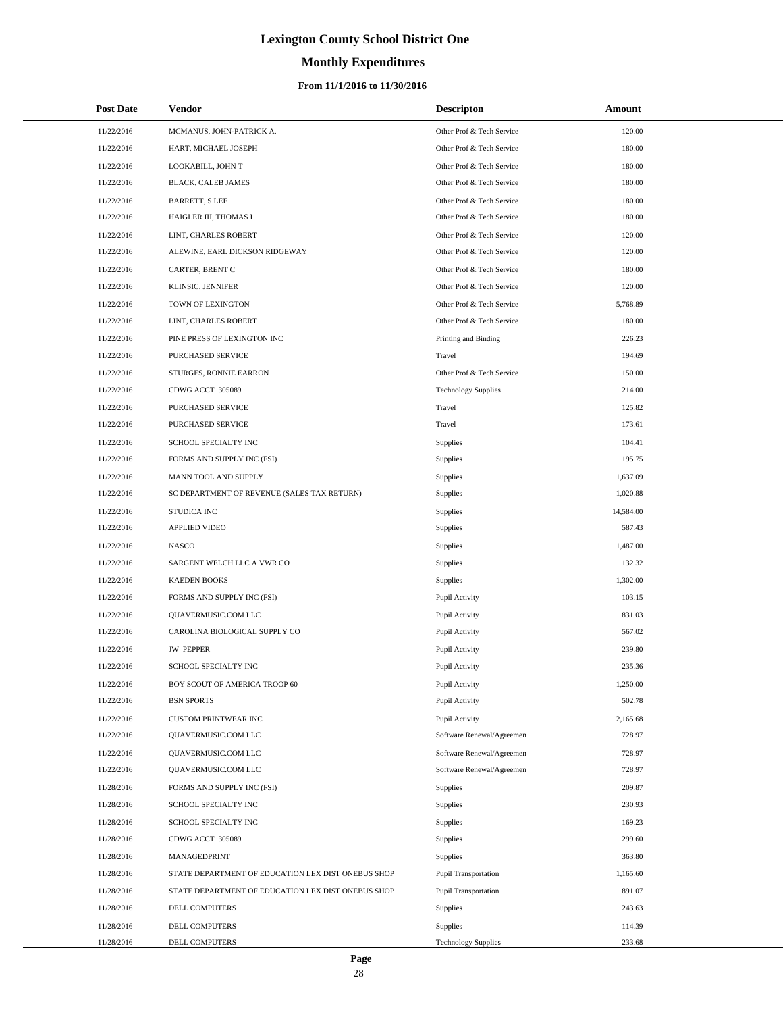# **Monthly Expenditures**

### **From 11/1/2016 to 11/30/2016**

| <b>Post Date</b> | Vendor                                             | <b>Descripton</b>           | Amount    |  |
|------------------|----------------------------------------------------|-----------------------------|-----------|--|
| 11/22/2016       | MCMANUS, JOHN-PATRICK A.                           | Other Prof & Tech Service   | 120.00    |  |
| 11/22/2016       | HART, MICHAEL JOSEPH                               | Other Prof & Tech Service   | 180.00    |  |
| 11/22/2016       | LOOKABILL, JOHN T                                  | Other Prof & Tech Service   | 180.00    |  |
| 11/22/2016       | <b>BLACK, CALEB JAMES</b>                          | Other Prof & Tech Service   | 180.00    |  |
| 11/22/2016       | <b>BARRETT, S LEE</b>                              | Other Prof & Tech Service   | 180.00    |  |
| 11/22/2016       | HAIGLER III, THOMAS I                              | Other Prof & Tech Service   | 180.00    |  |
| 11/22/2016       | LINT, CHARLES ROBERT                               | Other Prof & Tech Service   | 120.00    |  |
| 11/22/2016       | ALEWINE, EARL DICKSON RIDGEWAY                     | Other Prof & Tech Service   | 120.00    |  |
| 11/22/2016       | CARTER, BRENT C                                    | Other Prof & Tech Service   | 180.00    |  |
| 11/22/2016       | KLINSIC, JENNIFER                                  | Other Prof & Tech Service   | 120.00    |  |
| 11/22/2016       | TOWN OF LEXINGTON                                  | Other Prof & Tech Service   | 5,768.89  |  |
| 11/22/2016       | LINT, CHARLES ROBERT                               | Other Prof & Tech Service   | 180.00    |  |
| 11/22/2016       | PINE PRESS OF LEXINGTON INC                        | Printing and Binding        | 226.23    |  |
| 11/22/2016       | PURCHASED SERVICE                                  | Travel                      | 194.69    |  |
| 11/22/2016       | STURGES, RONNIE EARRON                             | Other Prof & Tech Service   | 150.00    |  |
| 11/22/2016       | CDWG ACCT 305089                                   | <b>Technology Supplies</b>  | 214.00    |  |
| 11/22/2016       | PURCHASED SERVICE                                  | Travel                      | 125.82    |  |
| 11/22/2016       | PURCHASED SERVICE                                  | Travel                      | 173.61    |  |
| 11/22/2016       | SCHOOL SPECIALTY INC                               | Supplies                    | 104.41    |  |
| 11/22/2016       | FORMS AND SUPPLY INC (FSI)                         | Supplies                    | 195.75    |  |
| 11/22/2016       | MANN TOOL AND SUPPLY                               | Supplies                    | 1,637.09  |  |
| 11/22/2016       | SC DEPARTMENT OF REVENUE (SALES TAX RETURN)        | <b>Supplies</b>             | 1,020.88  |  |
| 11/22/2016       | <b>STUDICA INC</b>                                 | Supplies                    | 14,584.00 |  |
| 11/22/2016       | <b>APPLIED VIDEO</b>                               | Supplies                    | 587.43    |  |
| 11/22/2016       | NASCO                                              | Supplies                    | 1,487.00  |  |
| 11/22/2016       | SARGENT WELCH LLC A VWR CO                         | <b>Supplies</b>             | 132.32    |  |
| 11/22/2016       | <b>KAEDEN BOOKS</b>                                | Supplies                    | 1,302.00  |  |
| 11/22/2016       | FORMS AND SUPPLY INC (FSI)                         | Pupil Activity              | 103.15    |  |
| 11/22/2016       | <b>OUAVERMUSIC.COM LLC</b>                         | Pupil Activity              | 831.03    |  |
| 11/22/2016       | CAROLINA BIOLOGICAL SUPPLY CO                      | Pupil Activity              | 567.02    |  |
| 11/22/2016       | <b>JW PEPPER</b>                                   | Pupil Activity              | 239.80    |  |
| 11/22/2016       | SCHOOL SPECIALTY INC                               | Pupil Activity              | 235.36    |  |
| 11/22/2016       | BOY SCOUT OF AMERICA TROOP 60                      | Pupil Activity              | 1,250.00  |  |
| 11/22/2016       | <b>BSN SPORTS</b>                                  | Pupil Activity              | 502.78    |  |
| 11/22/2016       | CUSTOM PRINTWEAR INC                               | Pupil Activity              | 2,165.68  |  |
| 11/22/2016       | QUAVERMUSIC.COM LLC                                | Software Renewal/Agreemen   | 728.97    |  |
| 11/22/2016       | QUAVERMUSIC.COM LLC                                | Software Renewal/Agreemen   | 728.97    |  |
| 11/22/2016       | QUAVERMUSIC.COM LLC                                | Software Renewal/Agreemen   | 728.97    |  |
| 11/28/2016       | FORMS AND SUPPLY INC (FSI)                         | Supplies                    | 209.87    |  |
| 11/28/2016       | SCHOOL SPECIALTY INC                               | Supplies                    | 230.93    |  |
| 11/28/2016       | SCHOOL SPECIALTY INC                               | Supplies                    | 169.23    |  |
| 11/28/2016       | CDWG ACCT 305089                                   | Supplies                    | 299.60    |  |
| 11/28/2016       | MANAGEDPRINT                                       | Supplies                    | 363.80    |  |
| 11/28/2016       | STATE DEPARTMENT OF EDUCATION LEX DIST ONEBUS SHOP | Pupil Transportation        | 1,165.60  |  |
| 11/28/2016       | STATE DEPARTMENT OF EDUCATION LEX DIST ONEBUS SHOP | <b>Pupil Transportation</b> | 891.07    |  |
| 11/28/2016       | DELL COMPUTERS                                     | Supplies                    | 243.63    |  |
| 11/28/2016       | DELL COMPUTERS                                     | Supplies                    | 114.39    |  |
| 11/28/2016       | DELL COMPUTERS                                     | <b>Technology Supplies</b>  | 233.68    |  |

 $\overline{a}$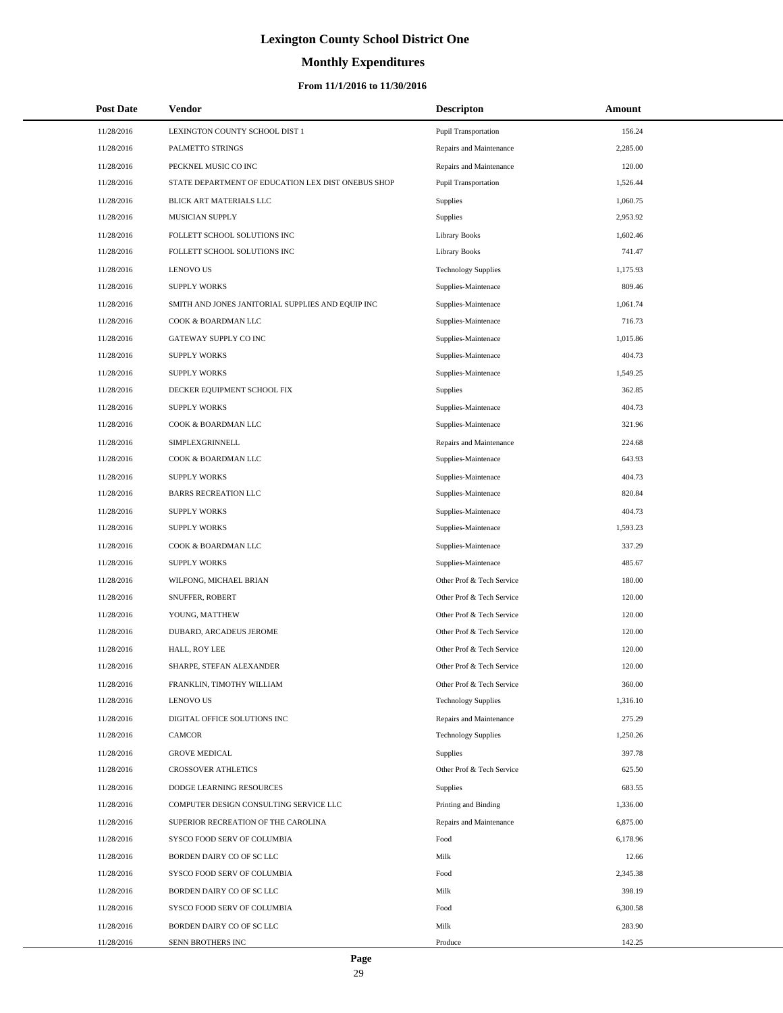# **Monthly Expenditures**

| <b>Post Date</b> | Vendor                                             | <b>Descripton</b>           | Amount   |
|------------------|----------------------------------------------------|-----------------------------|----------|
| 11/28/2016       | LEXINGTON COUNTY SCHOOL DIST 1                     | Pupil Transportation        | 156.24   |
| 11/28/2016       | PALMETTO STRINGS                                   | Repairs and Maintenance     | 2,285.00 |
| 11/28/2016       | PECKNEL MUSIC CO INC                               | Repairs and Maintenance     | 120.00   |
| 11/28/2016       | STATE DEPARTMENT OF EDUCATION LEX DIST ONEBUS SHOP | <b>Pupil Transportation</b> | 1,526.44 |
| 11/28/2016       | BLICK ART MATERIALS LLC                            | <b>Supplies</b>             | 1,060.75 |
| 11/28/2016       | MUSICIAN SUPPLY                                    | Supplies                    | 2,953.92 |
| 11/28/2016       | FOLLETT SCHOOL SOLUTIONS INC                       | Library Books               | 1,602.46 |
| 11/28/2016       | FOLLETT SCHOOL SOLUTIONS INC                       | Library Books               | 741.47   |
| 11/28/2016       | LENOVO US                                          | <b>Technology Supplies</b>  | 1,175.93 |
| 11/28/2016       | <b>SUPPLY WORKS</b>                                | Supplies-Maintenace         | 809.46   |
| 11/28/2016       | SMITH AND JONES JANITORIAL SUPPLIES AND EQUIP INC  | Supplies-Maintenace         | 1,061.74 |
| 11/28/2016       | COOK & BOARDMAN LLC                                | Supplies-Maintenace         | 716.73   |
| 11/28/2016       | GATEWAY SUPPLY CO INC                              | Supplies-Maintenace         | 1,015.86 |
| 11/28/2016       | <b>SUPPLY WORKS</b>                                | Supplies-Maintenace         | 404.73   |
| 11/28/2016       | <b>SUPPLY WORKS</b>                                | Supplies-Maintenace         | 1,549.25 |
| 11/28/2016       | DECKER EQUIPMENT SCHOOL FIX                        | <b>Supplies</b>             | 362.85   |
| 11/28/2016       | <b>SUPPLY WORKS</b>                                | Supplies-Maintenace         | 404.73   |
| 11/28/2016       | COOK & BOARDMAN LLC                                | Supplies-Maintenace         | 321.96   |
| 11/28/2016       | SIMPLEXGRINNELL                                    | Repairs and Maintenance     | 224.68   |
| 11/28/2016       | COOK & BOARDMAN LLC                                | Supplies-Maintenace         | 643.93   |
| 11/28/2016       | <b>SUPPLY WORKS</b>                                | Supplies-Maintenace         | 404.73   |
| 11/28/2016       | <b>BARRS RECREATION LLC</b>                        | Supplies-Maintenace         | 820.84   |
| 11/28/2016       | <b>SUPPLY WORKS</b>                                | Supplies-Maintenace         | 404.73   |
| 11/28/2016       | <b>SUPPLY WORKS</b>                                | Supplies-Maintenace         | 1,593.23 |
| 11/28/2016       | COOK & BOARDMAN LLC                                | Supplies-Maintenace         | 337.29   |
| 11/28/2016       | <b>SUPPLY WORKS</b>                                | Supplies-Maintenace         | 485.67   |
| 11/28/2016       | WILFONG, MICHAEL BRIAN                             | Other Prof & Tech Service   | 180.00   |
| 11/28/2016       | SNUFFER, ROBERT                                    | Other Prof & Tech Service   | 120.00   |
| 11/28/2016       | YOUNG, MATTHEW                                     | Other Prof & Tech Service   | 120.00   |
| 11/28/2016       | DUBARD, ARCADEUS JEROME                            | Other Prof & Tech Service   | 120.00   |
| 11/28/2016       | HALL, ROY LEE                                      | Other Prof & Tech Service   | 120.00   |
| 11/28/2016       | SHARPE, STEFAN ALEXANDER                           | Other Prof & Tech Service   | 120.00   |
| 11/28/2016       | FRANKLIN, TIMOTHY WILLIAM                          | Other Prof & Tech Service   | 360.00   |
| 11/28/2016       | <b>LENOVO US</b>                                   | <b>Technology Supplies</b>  | 1,316.10 |
| 11/28/2016       | DIGITAL OFFICE SOLUTIONS INC                       | Repairs and Maintenance     | 275.29   |
| 11/28/2016       | CAMCOR                                             | <b>Technology Supplies</b>  | 1,250.26 |
| 11/28/2016       | <b>GROVE MEDICAL</b>                               | <b>Supplies</b>             | 397.78   |
| 11/28/2016       | <b>CROSSOVER ATHLETICS</b>                         | Other Prof & Tech Service   | 625.50   |
| 11/28/2016       | DODGE LEARNING RESOURCES                           | Supplies                    | 683.55   |
| 11/28/2016       | COMPUTER DESIGN CONSULTING SERVICE LLC             | Printing and Binding        | 1,336.00 |
| 11/28/2016       | SUPERIOR RECREATION OF THE CAROLINA                | Repairs and Maintenance     | 6,875.00 |
| 11/28/2016       | SYSCO FOOD SERV OF COLUMBIA                        | Food                        | 6,178.96 |
| 11/28/2016       | BORDEN DAIRY CO OF SC LLC                          | Milk                        | 12.66    |
| 11/28/2016       | SYSCO FOOD SERV OF COLUMBIA                        | Food                        | 2,345.38 |
| 11/28/2016       | BORDEN DAIRY CO OF SC LLC                          | Milk                        | 398.19   |
| 11/28/2016       | SYSCO FOOD SERV OF COLUMBIA                        | Food                        | 6,300.58 |
| 11/28/2016       | BORDEN DAIRY CO OF SC LLC                          | Milk                        | 283.90   |
| 11/28/2016       | SENN BROTHERS INC                                  | Produce                     | 142.25   |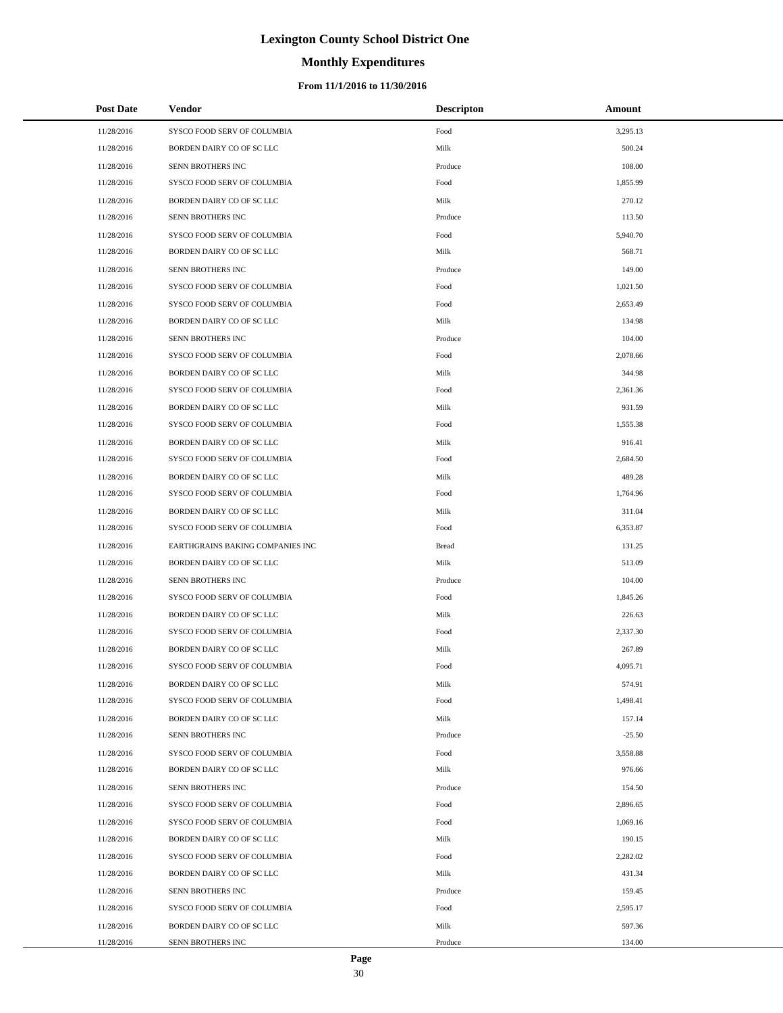# **Monthly Expenditures**

### **From 11/1/2016 to 11/30/2016**

| <b>Post Date</b> | <b>Vendor</b>                    | <b>Descripton</b> | Amount   |
|------------------|----------------------------------|-------------------|----------|
| 11/28/2016       | SYSCO FOOD SERV OF COLUMBIA      | Food              | 3,295.13 |
| 11/28/2016       | BORDEN DAIRY CO OF SC LLC        | Milk              | 500.24   |
| 11/28/2016       | SENN BROTHERS INC                | Produce           | 108.00   |
| 11/28/2016       | SYSCO FOOD SERV OF COLUMBIA      | Food              | 1,855.99 |
| 11/28/2016       | BORDEN DAIRY CO OF SC LLC        | Milk              | 270.12   |
| 11/28/2016       | SENN BROTHERS INC                | Produce           | 113.50   |
| 11/28/2016       | SYSCO FOOD SERV OF COLUMBIA      | Food              | 5,940.70 |
| 11/28/2016       | BORDEN DAIRY CO OF SC LLC        | Milk              | 568.71   |
| 11/28/2016       | SENN BROTHERS INC                | Produce           | 149.00   |
| 11/28/2016       | SYSCO FOOD SERV OF COLUMBIA      | Food              | 1,021.50 |
| 11/28/2016       | SYSCO FOOD SERV OF COLUMBIA      | Food              | 2,653.49 |
| 11/28/2016       | BORDEN DAIRY CO OF SC LLC        | Milk              | 134.98   |
| 11/28/2016       | SENN BROTHERS INC                | Produce           | 104.00   |
| 11/28/2016       | SYSCO FOOD SERV OF COLUMBIA      | Food              | 2,078.66 |
| 11/28/2016       | BORDEN DAIRY CO OF SC LLC        | Milk              | 344.98   |
| 11/28/2016       | SYSCO FOOD SERV OF COLUMBIA      | Food              | 2,361.36 |
| 11/28/2016       | BORDEN DAIRY CO OF SC LLC        | Milk              | 931.59   |
| 11/28/2016       | SYSCO FOOD SERV OF COLUMBIA      | Food              | 1,555.38 |
| 11/28/2016       | BORDEN DAIRY CO OF SC LLC        | Milk              | 916.41   |
| 11/28/2016       | SYSCO FOOD SERV OF COLUMBIA      | Food              | 2,684.50 |
| 11/28/2016       | BORDEN DAIRY CO OF SC LLC        | Milk              | 489.28   |
| 11/28/2016       | SYSCO FOOD SERV OF COLUMBIA      | Food              | 1,764.96 |
| 11/28/2016       | BORDEN DAIRY CO OF SC LLC        | Milk              | 311.04   |
| 11/28/2016       | SYSCO FOOD SERV OF COLUMBIA      | Food              | 6,353.87 |
| 11/28/2016       | EARTHGRAINS BAKING COMPANIES INC | Bread             | 131.25   |
| 11/28/2016       | BORDEN DAIRY CO OF SC LLC        | Milk              | 513.09   |
| 11/28/2016       | SENN BROTHERS INC                | Produce           | 104.00   |
| 11/28/2016       | SYSCO FOOD SERV OF COLUMBIA      | Food              | 1,845.26 |
| 11/28/2016       | BORDEN DAIRY CO OF SC LLC        | Milk              | 226.63   |
| 11/28/2016       | SYSCO FOOD SERV OF COLUMBIA      | Food              | 2,337.30 |
| 11/28/2016       | BORDEN DAIRY CO OF SC LLC        | Milk              | 267.89   |
| 11/28/2016       | SYSCO FOOD SERV OF COLUMBIA      | Food              | 4,095.71 |
| 11/28/2016       | BORDEN DAIRY CO OF SC LLC        | Milk              | 574.91   |
| 11/28/2016       | SYSCO FOOD SERV OF COLUMBIA      | Food              | 1,498.41 |
| 11/28/2016       | BORDEN DAIRY CO OF SC LLC        | Milk              | 157.14   |
| 11/28/2016       | SENN BROTHERS INC                | Produce           | $-25.50$ |
| 11/28/2016       | SYSCO FOOD SERV OF COLUMBIA      | Food              | 3,558.88 |
| 11/28/2016       | BORDEN DAIRY CO OF SC LLC        | Milk              | 976.66   |
| 11/28/2016       | SENN BROTHERS INC                | Produce           | 154.50   |
| 11/28/2016       | SYSCO FOOD SERV OF COLUMBIA      | Food              | 2,896.65 |
| 11/28/2016       | SYSCO FOOD SERV OF COLUMBIA      | Food              | 1,069.16 |
| 11/28/2016       | BORDEN DAIRY CO OF SC LLC        | Milk              | 190.15   |
| 11/28/2016       | SYSCO FOOD SERV OF COLUMBIA      | Food              | 2,282.02 |
| 11/28/2016       | BORDEN DAIRY CO OF SC LLC        | Milk              | 431.34   |
| 11/28/2016       | SENN BROTHERS INC                | Produce           | 159.45   |
| 11/28/2016       | SYSCO FOOD SERV OF COLUMBIA      | Food              | 2,595.17 |
| 11/28/2016       | BORDEN DAIRY CO OF SC LLC        | Milk              | 597.36   |
| 11/28/2016       | SENN BROTHERS INC                | Produce           | 134.00   |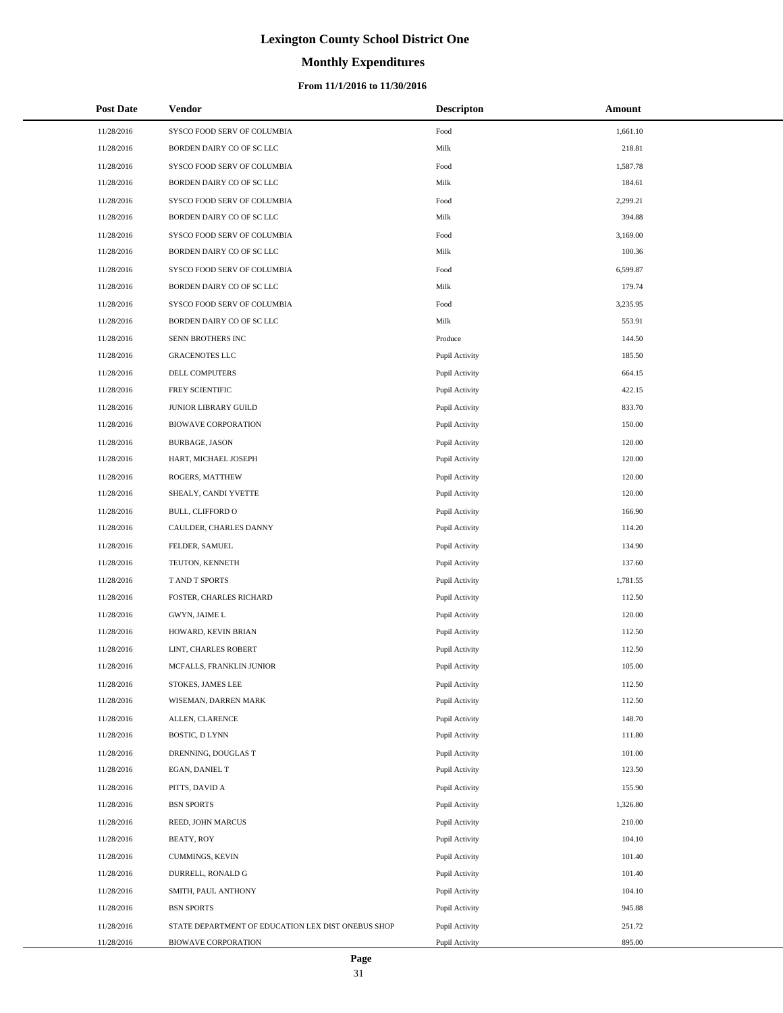# **Monthly Expenditures**

### **From 11/1/2016 to 11/30/2016**

| <b>Post Date</b> | Vendor                                             | <b>Descripton</b> | Amount   |
|------------------|----------------------------------------------------|-------------------|----------|
| 11/28/2016       | SYSCO FOOD SERV OF COLUMBIA                        | Food              | 1,661.10 |
| 11/28/2016       | BORDEN DAIRY CO OF SC LLC                          | Milk              | 218.81   |
| 11/28/2016       | SYSCO FOOD SERV OF COLUMBIA                        | Food              | 1,587.78 |
| 11/28/2016       | BORDEN DAIRY CO OF SC LLC                          | Milk              | 184.61   |
| 11/28/2016       | SYSCO FOOD SERV OF COLUMBIA                        | Food              | 2,299.21 |
| 11/28/2016       | BORDEN DAIRY CO OF SC LLC                          | Milk              | 394.88   |
| 11/28/2016       | SYSCO FOOD SERV OF COLUMBIA                        | Food              | 3,169.00 |
| 11/28/2016       | BORDEN DAIRY CO OF SC LLC                          | Milk              | 100.36   |
| 11/28/2016       | SYSCO FOOD SERV OF COLUMBIA                        | Food              | 6,599.87 |
| 11/28/2016       | BORDEN DAIRY CO OF SC LLC                          | Milk              | 179.74   |
| 11/28/2016       | SYSCO FOOD SERV OF COLUMBIA                        | Food              | 3,235.95 |
| 11/28/2016       | BORDEN DAIRY CO OF SC LLC                          | Milk              | 553.91   |
| 11/28/2016       | SENN BROTHERS INC                                  | Produce           | 144.50   |
| 11/28/2016       | <b>GRACENOTES LLC</b>                              | Pupil Activity    | 185.50   |
| 11/28/2016       | DELL COMPUTERS                                     | Pupil Activity    | 664.15   |
| 11/28/2016       | FREY SCIENTIFIC                                    | Pupil Activity    | 422.15   |
| 11/28/2016       | JUNIOR LIBRARY GUILD                               | Pupil Activity    | 833.70   |
| 11/28/2016       | <b>BIOWAVE CORPORATION</b>                         | Pupil Activity    | 150.00   |
| 11/28/2016       | <b>BURBAGE, JASON</b>                              | Pupil Activity    | 120.00   |
| 11/28/2016       | HART, MICHAEL JOSEPH                               | Pupil Activity    | 120.00   |
| 11/28/2016       | ROGERS, MATTHEW                                    | Pupil Activity    | 120.00   |
| 11/28/2016       | SHEALY, CANDI YVETTE                               | Pupil Activity    | 120.00   |
| 11/28/2016       | BULL, CLIFFORD O                                   | Pupil Activity    | 166.90   |
| 11/28/2016       | CAULDER, CHARLES DANNY                             | Pupil Activity    | 114.20   |
| 11/28/2016       | FELDER, SAMUEL                                     | Pupil Activity    | 134.90   |
| 11/28/2016       | TEUTON, KENNETH                                    | Pupil Activity    | 137.60   |
| 11/28/2016       | T AND T SPORTS                                     | Pupil Activity    | 1,781.55 |
| 11/28/2016       | FOSTER, CHARLES RICHARD                            | Pupil Activity    | 112.50   |
| 11/28/2016       | GWYN, JAIME L                                      | Pupil Activity    | 120.00   |
| 11/28/2016       | HOWARD, KEVIN BRIAN                                | Pupil Activity    | 112.50   |
| 11/28/2016       | LINT, CHARLES ROBERT                               | Pupil Activity    | 112.50   |
| 11/28/2016       | MCFALLS, FRANKLIN JUNIOR                           | Pupil Activity    | 105.00   |
| 11/28/2016       | STOKES, JAMES LEE                                  | Pupil Activity    | 112.50   |
| 11/28/2016       | WISEMAN, DARREN MARK                               | Pupil Activity    | 112.50   |
| 11/28/2016       | ALLEN, CLARENCE                                    | Pupil Activity    | 148.70   |
| 11/28/2016       | BOSTIC, D LYNN                                     | Pupil Activity    | 111.80   |
| 11/28/2016       | DRENNING, DOUGLAS T                                | Pupil Activity    | 101.00   |
| 11/28/2016       | EGAN, DANIEL T                                     | Pupil Activity    | 123.50   |
| 11/28/2016       | PITTS, DAVID A                                     | Pupil Activity    | 155.90   |
| 11/28/2016       | <b>BSN SPORTS</b>                                  | Pupil Activity    | 1,326.80 |
| 11/28/2016       | REED, JOHN MARCUS                                  | Pupil Activity    | 210.00   |
| 11/28/2016       | BEATY, ROY                                         | Pupil Activity    | 104.10   |
| 11/28/2016       | CUMMINGS, KEVIN                                    | Pupil Activity    | 101.40   |
| 11/28/2016       | DURRELL, RONALD G                                  | Pupil Activity    | 101.40   |
| 11/28/2016       | SMITH, PAUL ANTHONY                                | Pupil Activity    | 104.10   |
| 11/28/2016       | <b>BSN SPORTS</b>                                  | Pupil Activity    | 945.88   |
| 11/28/2016       | STATE DEPARTMENT OF EDUCATION LEX DIST ONEBUS SHOP | Pupil Activity    | 251.72   |
| 11/28/2016       | <b>BIOWAVE CORPORATION</b>                         | Pupil Activity    | 895.00   |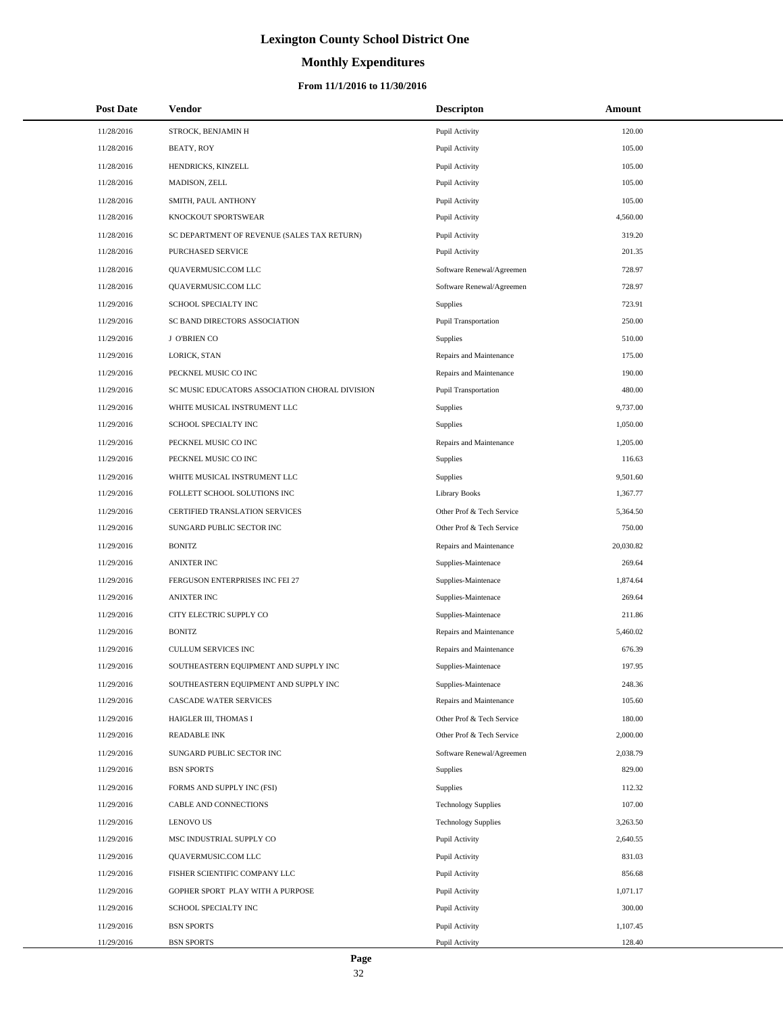# **Monthly Expenditures**

| <b>Post Date</b> | <b>Vendor</b>                                  | <b>Descripton</b>           | Amount    |
|------------------|------------------------------------------------|-----------------------------|-----------|
| 11/28/2016       | STROCK, BENJAMIN H                             | Pupil Activity              | 120.00    |
| 11/28/2016       | BEATY, ROY                                     | Pupil Activity              | 105.00    |
| 11/28/2016       | HENDRICKS, KINZELL                             | Pupil Activity              | 105.00    |
| 11/28/2016       | MADISON, ZELL                                  | Pupil Activity              | 105.00    |
| 11/28/2016       | SMITH, PAUL ANTHONY                            | Pupil Activity              | 105.00    |
| 11/28/2016       | KNOCKOUT SPORTSWEAR                            | Pupil Activity              | 4,560.00  |
| 11/28/2016       | SC DEPARTMENT OF REVENUE (SALES TAX RETURN)    | Pupil Activity              | 319.20    |
| 11/28/2016       | PURCHASED SERVICE                              | Pupil Activity              | 201.35    |
| 11/28/2016       | QUAVERMUSIC.COM LLC                            | Software Renewal/Agreemen   | 728.97    |
| 11/28/2016       | QUAVERMUSIC.COM LLC                            | Software Renewal/Agreemen   | 728.97    |
| 11/29/2016       | SCHOOL SPECIALTY INC                           | Supplies                    | 723.91    |
| 11/29/2016       | SC BAND DIRECTORS ASSOCIATION                  | <b>Pupil Transportation</b> | 250.00    |
| 11/29/2016       | J O'BRIEN CO                                   | Supplies                    | 510.00    |
| 11/29/2016       | LORICK, STAN                                   | Repairs and Maintenance     | 175.00    |
| 11/29/2016       | PECKNEL MUSIC CO INC                           | Repairs and Maintenance     | 190.00    |
| 11/29/2016       | SC MUSIC EDUCATORS ASSOCIATION CHORAL DIVISION | <b>Pupil Transportation</b> | 480.00    |
| 11/29/2016       | WHITE MUSICAL INSTRUMENT LLC                   | Supplies                    | 9,737.00  |
| 11/29/2016       | SCHOOL SPECIALTY INC                           | Supplies                    | 1,050.00  |
| 11/29/2016       | PECKNEL MUSIC CO INC                           | Repairs and Maintenance     | 1,205.00  |
| 11/29/2016       | PECKNEL MUSIC CO INC                           | Supplies                    | 116.63    |
| 11/29/2016       | WHITE MUSICAL INSTRUMENT LLC                   | Supplies                    | 9,501.60  |
| 11/29/2016       | FOLLETT SCHOOL SOLUTIONS INC                   | <b>Library Books</b>        | 1,367.77  |
| 11/29/2016       | CERTIFIED TRANSLATION SERVICES                 | Other Prof & Tech Service   | 5,364.50  |
| 11/29/2016       | SUNGARD PUBLIC SECTOR INC                      | Other Prof & Tech Service   | 750.00    |
| 11/29/2016       | <b>BONITZ</b>                                  | Repairs and Maintenance     | 20,030.82 |
| 11/29/2016       | <b>ANIXTER INC</b>                             | Supplies-Maintenace         | 269.64    |
| 11/29/2016       | FERGUSON ENTERPRISES INC FEI 27                | Supplies-Maintenace         | 1,874.64  |
| 11/29/2016       | <b>ANIXTER INC</b>                             | Supplies-Maintenace         | 269.64    |
| 11/29/2016       | CITY ELECTRIC SUPPLY CO                        | Supplies-Maintenace         | 211.86    |
| 11/29/2016       | <b>BONITZ</b>                                  | Repairs and Maintenance     | 5,460.02  |
| 11/29/2016       | <b>CULLUM SERVICES INC</b>                     | Repairs and Maintenance     | 676.39    |
| 11/29/2016       | SOUTHEASTERN EQUIPMENT AND SUPPLY INC          | Supplies-Maintenace         | 197.95    |
| 11/29/2016       | SOUTHEASTERN EQUIPMENT AND SUPPLY INC          | Supplies-Maintenace         | 248.36    |
| 11/29/2016       | <b>CASCADE WATER SERVICES</b>                  | Repairs and Maintenance     | 105.60    |
| 11/29/2016       | HAIGLER III, THOMAS I                          | Other Prof & Tech Service   | 180.00    |
| 11/29/2016       | <b>READABLE INK</b>                            | Other Prof & Tech Service   | 2,000.00  |
| 11/29/2016       | SUNGARD PUBLIC SECTOR INC                      | Software Renewal/Agreemen   | 2,038.79  |
| 11/29/2016       | <b>BSN SPORTS</b>                              | <b>Supplies</b>             | 829.00    |
| 11/29/2016       | FORMS AND SUPPLY INC (FSI)                     | Supplies                    | 112.32    |
| 11/29/2016       | CABLE AND CONNECTIONS                          | <b>Technology Supplies</b>  | 107.00    |
| 11/29/2016       | <b>LENOVO US</b>                               | <b>Technology Supplies</b>  | 3,263.50  |
| 11/29/2016       | MSC INDUSTRIAL SUPPLY CO                       | Pupil Activity              | 2,640.55  |
| 11/29/2016       | QUAVERMUSIC.COM LLC                            | Pupil Activity              | 831.03    |
| 11/29/2016       | FISHER SCIENTIFIC COMPANY LLC                  | Pupil Activity              | 856.68    |
| 11/29/2016       | GOPHER SPORT PLAY WITH A PURPOSE               | Pupil Activity              | 1,071.17  |
| 11/29/2016       | SCHOOL SPECIALTY INC                           | Pupil Activity              | 300.00    |
| 11/29/2016       | <b>BSN SPORTS</b>                              | Pupil Activity              | 1,107.45  |
| 11/29/2016       | <b>BSN SPORTS</b>                              | Pupil Activity              | 128.40    |